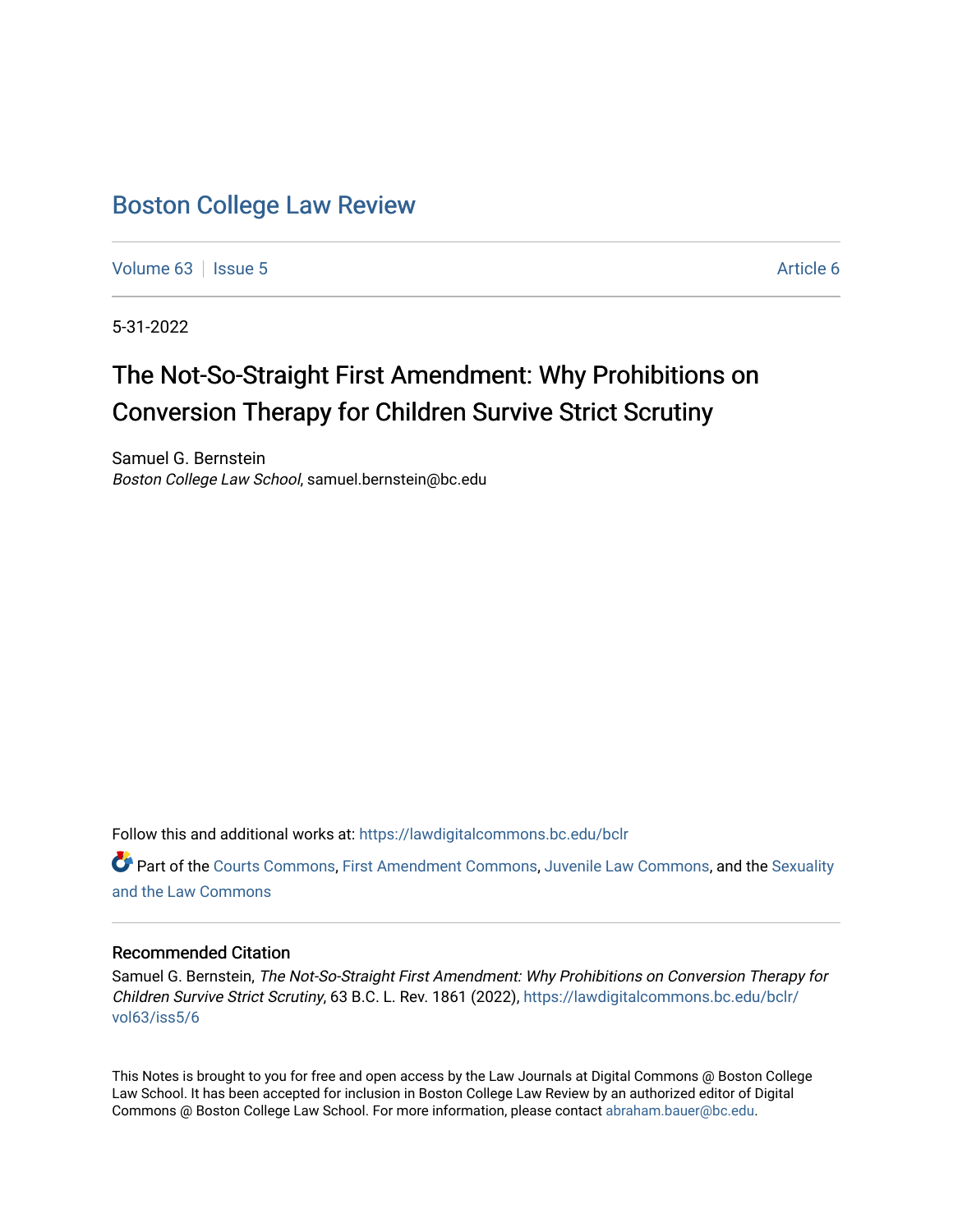## [Boston College Law Review](https://lawdigitalcommons.bc.edu/bclr)

[Volume 63](https://lawdigitalcommons.bc.edu/bclr/vol63) | [Issue 5](https://lawdigitalcommons.bc.edu/bclr/vol63/iss5) [Article 6](https://lawdigitalcommons.bc.edu/bclr/vol63/iss5/6) Article 6

5-31-2022

# The Not-So-Straight First Amendment: Why Prohibitions on Conversion Therapy for Children Survive Strict Scrutiny

Samuel G. Bernstein Boston College Law School, samuel.bernstein@bc.edu

Follow this and additional works at: [https://lawdigitalcommons.bc.edu/bclr](https://lawdigitalcommons.bc.edu/bclr?utm_source=lawdigitalcommons.bc.edu%2Fbclr%2Fvol63%2Fiss5%2F6&utm_medium=PDF&utm_campaign=PDFCoverPages) 

Part of the [Courts Commons,](https://network.bepress.com/hgg/discipline/839?utm_source=lawdigitalcommons.bc.edu%2Fbclr%2Fvol63%2Fiss5%2F6&utm_medium=PDF&utm_campaign=PDFCoverPages) [First Amendment Commons](https://network.bepress.com/hgg/discipline/1115?utm_source=lawdigitalcommons.bc.edu%2Fbclr%2Fvol63%2Fiss5%2F6&utm_medium=PDF&utm_campaign=PDFCoverPages), [Juvenile Law Commons](https://network.bepress.com/hgg/discipline/851?utm_source=lawdigitalcommons.bc.edu%2Fbclr%2Fvol63%2Fiss5%2F6&utm_medium=PDF&utm_campaign=PDFCoverPages), and the [Sexuality](https://network.bepress.com/hgg/discipline/877?utm_source=lawdigitalcommons.bc.edu%2Fbclr%2Fvol63%2Fiss5%2F6&utm_medium=PDF&utm_campaign=PDFCoverPages) [and the Law Commons](https://network.bepress.com/hgg/discipline/877?utm_source=lawdigitalcommons.bc.edu%2Fbclr%2Fvol63%2Fiss5%2F6&utm_medium=PDF&utm_campaign=PDFCoverPages) 

## Recommended Citation

Samuel G. Bernstein, The Not-So-Straight First Amendment: Why Prohibitions on Conversion Therapy for Children Survive Strict Scrutiny, 63 B.C. L. Rev. 1861 (2022), [https://lawdigitalcommons.bc.edu/bclr/](https://lawdigitalcommons.bc.edu/bclr/vol63/iss5/6?utm_source=lawdigitalcommons.bc.edu%2Fbclr%2Fvol63%2Fiss5%2F6&utm_medium=PDF&utm_campaign=PDFCoverPages) [vol63/iss5/6](https://lawdigitalcommons.bc.edu/bclr/vol63/iss5/6?utm_source=lawdigitalcommons.bc.edu%2Fbclr%2Fvol63%2Fiss5%2F6&utm_medium=PDF&utm_campaign=PDFCoverPages)

This Notes is brought to you for free and open access by the Law Journals at Digital Commons @ Boston College Law School. It has been accepted for inclusion in Boston College Law Review by an authorized editor of Digital Commons @ Boston College Law School. For more information, please contact [abraham.bauer@bc.edu.](mailto:abraham.bauer@bc.edu)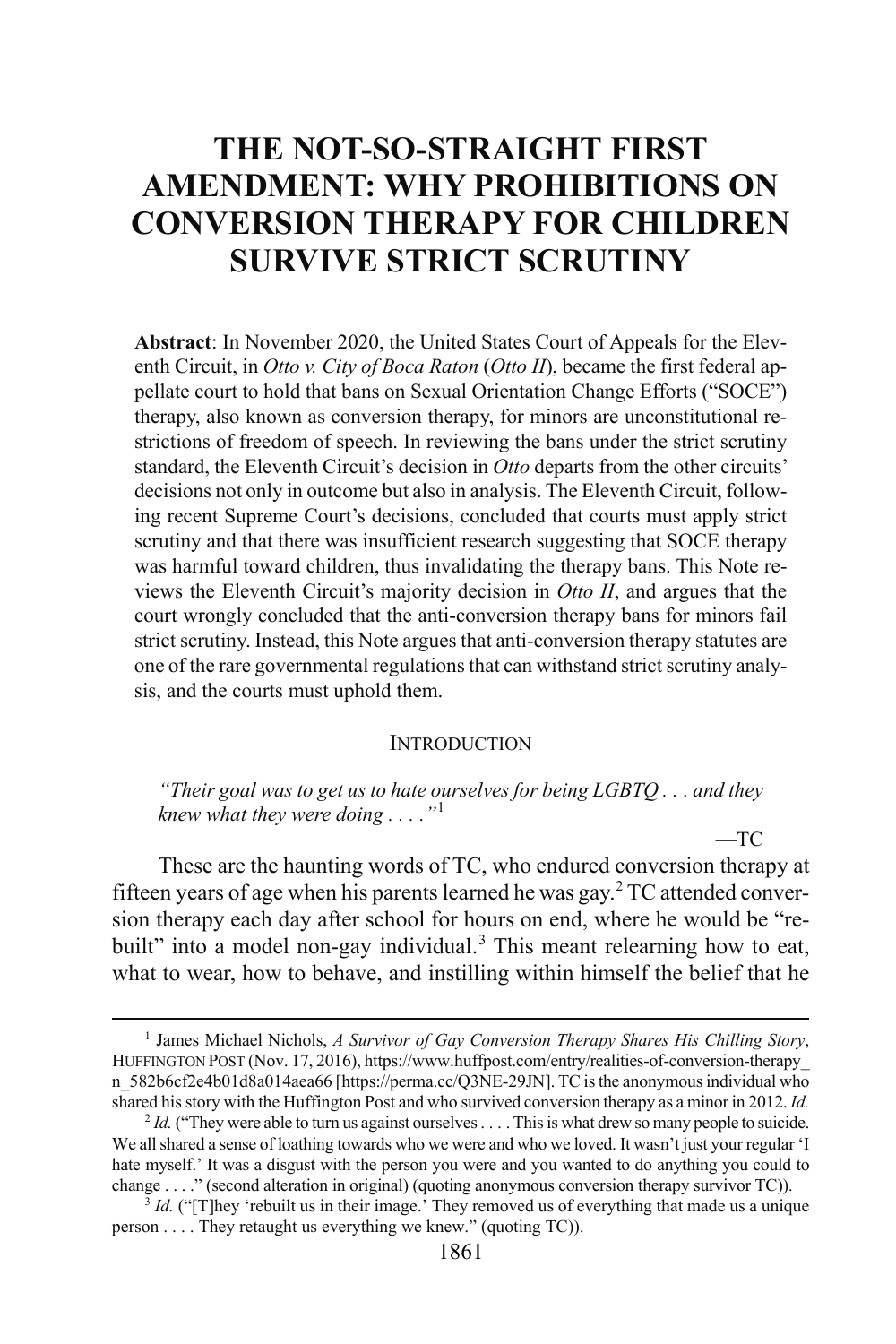## **THE NOT-SO-STRAIGHT FIRST AMENDMENT: WHY PROHIBITIONS ON CONVERSION THERAPY FOR CHILDREN SURVIVE STRICT SCRUTINY**

**Abstract**: In November 2020, the United States Court of Appeals for the Eleventh Circuit, in *Otto v. City of Boca Raton (Otto II)*, became the first federal appellate court to hold that bans on Sexual Orientation Change Efforts ("SOCE") therapy, also known as conversion therapy, for minors are unconstitutional restrictions of freedom of speech. In reviewing the bans under the strict scrutiny standard, the Eleventh Circuit's decision in *Otto* departs from the other circuits' decisions not only in outcome but also in analysis. The Eleventh Circuit, following recent Supreme Court's decisions, concluded that courts must apply strict scrutiny and that there was insufficient research suggesting that SOCE therapy was harmful toward children, thus invalidating the therapy bans. This Note reviews the Eleventh Circuit's majority decision in *Otto II*, and argues that the court wrongly concluded that the anti-conversion therapy bans for minors fail strict scrutiny. Instead, this Note argues that anti-conversion therapy statutes are one of the rare governmental regulations that can withstand strict scrutiny analysis, and the courts must uphold them.

#### **INTRODUCTION**

*"Their goal was to get us to hate ourselves for being LGBTQ . . . and they knew what they were doing . . . ."*[1](#page-1-0)

 $-TC$ 

These are the haunting words of TC, who endured conversion therapy at fifteen years of age when his parents learned he was gay.[2](#page-1-1) TC attended conversion therapy each day after school for hours on end, where he would be "re-built" into a model non-gay individual.<sup>[3](#page-1-2)</sup> This meant relearning how to eat, what to wear, how to behave, and instilling within himself the belief that he

<span id="page-1-0"></span><sup>&</sup>lt;sup>1</sup> James Michael Nichols, *A Survivor of Gay Conversion Therapy Shares His Chilling Story*, HUFFINGTON POST (Nov. 17, 2016), https://www.huffpost.com/entry/realities-of-conversion-therapy\_ n 582b6cf2e4b01d8a014aea66 [https://perma.cc/Q3NE-29JN]. TC is the anonymous individual who shared his story with the Huffington Post and who survived conversion therapy as a minor in 2012. *Id.*

<span id="page-1-1"></span><sup>&</sup>lt;sup>2</sup> *Id.* ("They were able to turn us against ourselves . . . . This is what drew so many people to suicide. We all shared a sense of loathing towards who we were and who we loved. It wasn't just your regular 'I hate myself.' It was a disgust with the person you were and you wanted to do anything you could to change . . . ." (second alteration in original) (quoting anonymous conversion therapy survivor TC)).

<span id="page-1-2"></span><sup>&</sup>lt;sup>3</sup> *Id.* ("[T]hey 'rebuilt us in their image.' They removed us of everything that made us a unique person . . . . They retaught us everything we knew." (quoting TC)).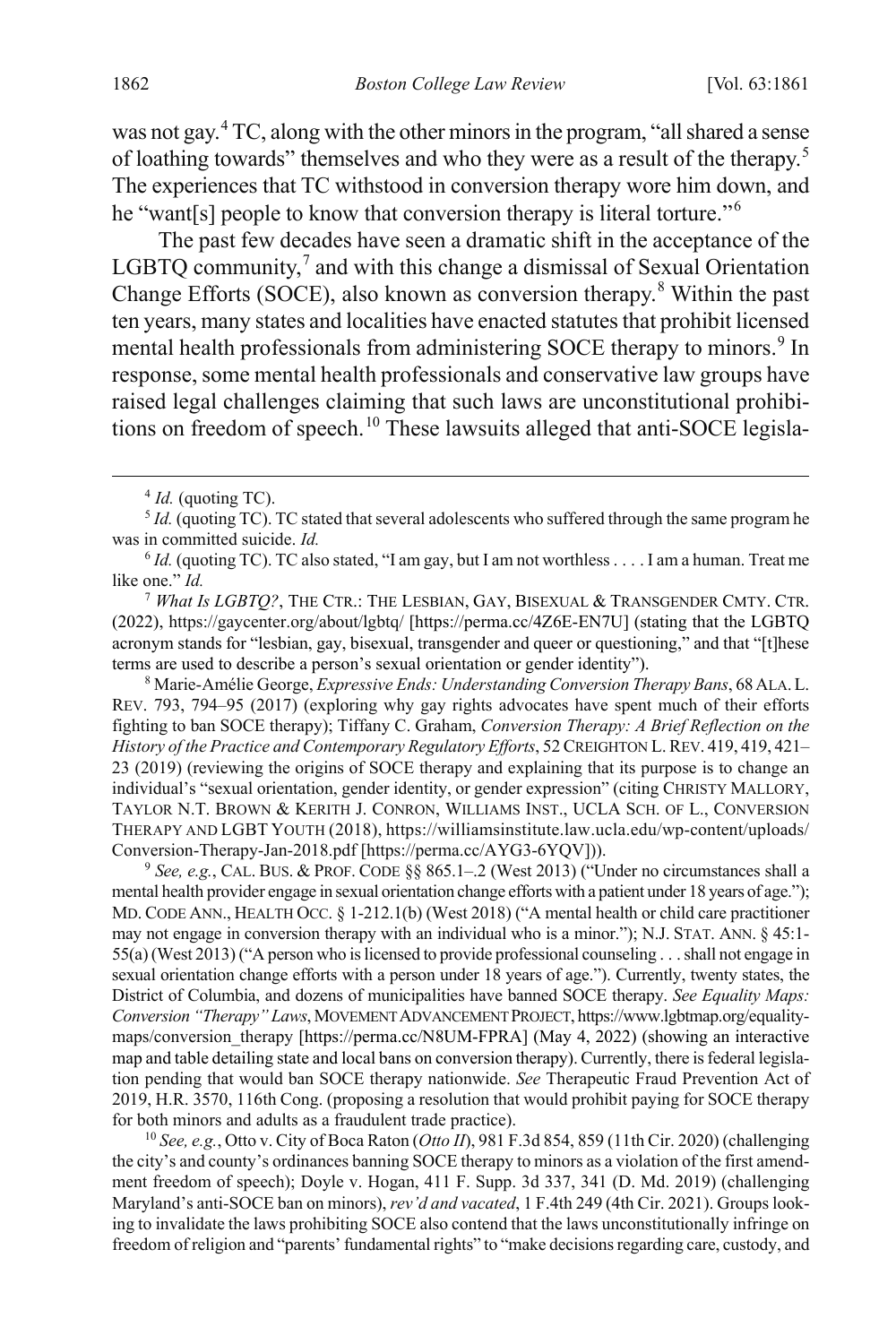was not gay.[4](#page-2-0) TC, along with the other minors in the program, "all shared a sense of loathing towards" themselves and who they were as a result of the therapy.[5](#page-2-1) The experiences that TC withstood in conversion therapy wore him down, and he "want[s] people to know that conversion therapy is literal torture."[6](#page-2-2)

<span id="page-2-7"></span>The past few decades have seen a dramatic shift in the acceptance of the LGBTO community,<sup>[7](#page-2-3)</sup> and with this change a dismissal of Sexual Orientation Change Efforts (SOCE), also known as conversion therapy.[8](#page-2-4) Within the past ten years, many states and localities have enacted statutes that prohibit licensed mental health professionals from administering SOCE therapy to minors.<sup>[9](#page-2-5)</sup> In response, some mental health professionals and conservative law groups have raised legal challenges claiming that such laws are unconstitutional prohibi-tions on freedom of speech.<sup>[10](#page-2-6)</sup> These lawsuits alleged that anti-SOCE legisla-

<span id="page-2-3"></span><sup>7</sup> *What Is LGBTQ?*, THE CTR.: THE LESBIAN, GAY, BISEXUAL & TRANSGENDER CMTY. CTR. (2022), https://gaycenter.org/about/lgbtq/ [https://perma.cc/4Z6E-EN7U] (stating that the LGBTQ acronym stands for "lesbian, gay, bisexual, transgender and queer or questioning," and that "[t]hese terms are used to describe a person's sexual orientation or gender identity").

<span id="page-2-4"></span><sup>8</sup> Marie-Amélie George, *Expressive Ends: Understanding Conversion Therapy Bans*, 68ALA.L. REV. 793, 794–95 (2017) (exploring why gay rights advocates have spent much of their efforts fighting to ban SOCE therapy); Tiffany C. Graham, *Conversion Therapy: A Brief Reflection on the History of the Practice and Contemporary Regulatory Efforts*, 52 CREIGHTON L. REV. 419, 419, 421– 23 (2019) (reviewing the origins of SOCE therapy and explaining that its purpose is to change an individual's "sexual orientation, gender identity, or gender expression" (citing CHRISTY MALLORY, TAYLOR N.T. BROWN & KERITH J. CONRON, WILLIAMS INST., UCLA SCH. OF L., CONVERSION THERAPY AND LGBT YOUTH (2018), https://williamsinstitute.law.ucla.edu/wp-content/uploads/ Conversion-Therapy-Jan-2018.pdf [https://perma.cc/AYG3-6YQV])).

<span id="page-2-5"></span><sup>9</sup> *See, e.g.*, CAL. BUS. & PROF. CODE §§ 865.1–.2 (West 2013) ("Under no circumstances shall a mental health provider engage in sexual orientation change efforts with a patient under 18 years of age."); MD. CODE ANN., HEALTH OCC. § 1-212.1(b) (West 2018) ("A mental health or child care practitioner may not engage in conversion therapy with an individual who is a minor."); N.J. STAT. ANN. § 45:1- 55(a) (West 2013) ("A person who is licensed to provide professional counseling . . . shall not engage in sexual orientation change efforts with a person under 18 years of age."). Currently, twenty states, the District of Columbia, and dozens of municipalities have banned SOCE therapy. *See Equality Maps: Conversion "Therapy" Laws*, MOVEMENT ADVANCEMENT PROJECT, https://www.lgbtmap.org/equalitymaps/conversion\_therapy [https://perma.cc/N8UM-FPRA] (May 4, 2022) (showing an interactive map and table detailing state and local bans on conversion therapy). Currently, there is federal legislation pending that would ban SOCE therapy nationwide. *See* Therapeutic Fraud Prevention Act of 2019, H.R. 3570, 116th Cong. (proposing a resolution that would prohibit paying for SOCE therapy for both minors and adults as a fraudulent trade practice).

<span id="page-2-6"></span><sup>10</sup> *See, e.g.*, Otto v. City of Boca Raton (*Otto II*), 981 F.3d 854, 859 (11th Cir. 2020) (challenging the city's and county's ordinances banning SOCE therapy to minors as a violation of the first amendment freedom of speech); Doyle v. Hogan, 411 F. Supp. 3d 337, 341 (D. Md. 2019) (challenging Maryland's anti-SOCE ban on minors), *rev'd and vacated*, 1 F.4th 249 (4th Cir. 2021). Groups looking to invalidate the laws prohibiting SOCE also contend that the laws unconstitutionally infringe on freedom of religion and "parents' fundamental rights" to "make decisions regarding care, custody, and

<sup>&</sup>lt;sup>4</sup> *Id.* (quoting TC).

<span id="page-2-1"></span><span id="page-2-0"></span><sup>&</sup>lt;sup>5</sup> *Id.* (quoting TC). TC stated that several adolescents who suffered through the same program he was in committed suicide. *Id.*

<span id="page-2-2"></span> $6$  *Id.* (quoting TC). TC also stated, "I am gay, but I am not worthless . . . . I am a human. Treat me like one." *Id.*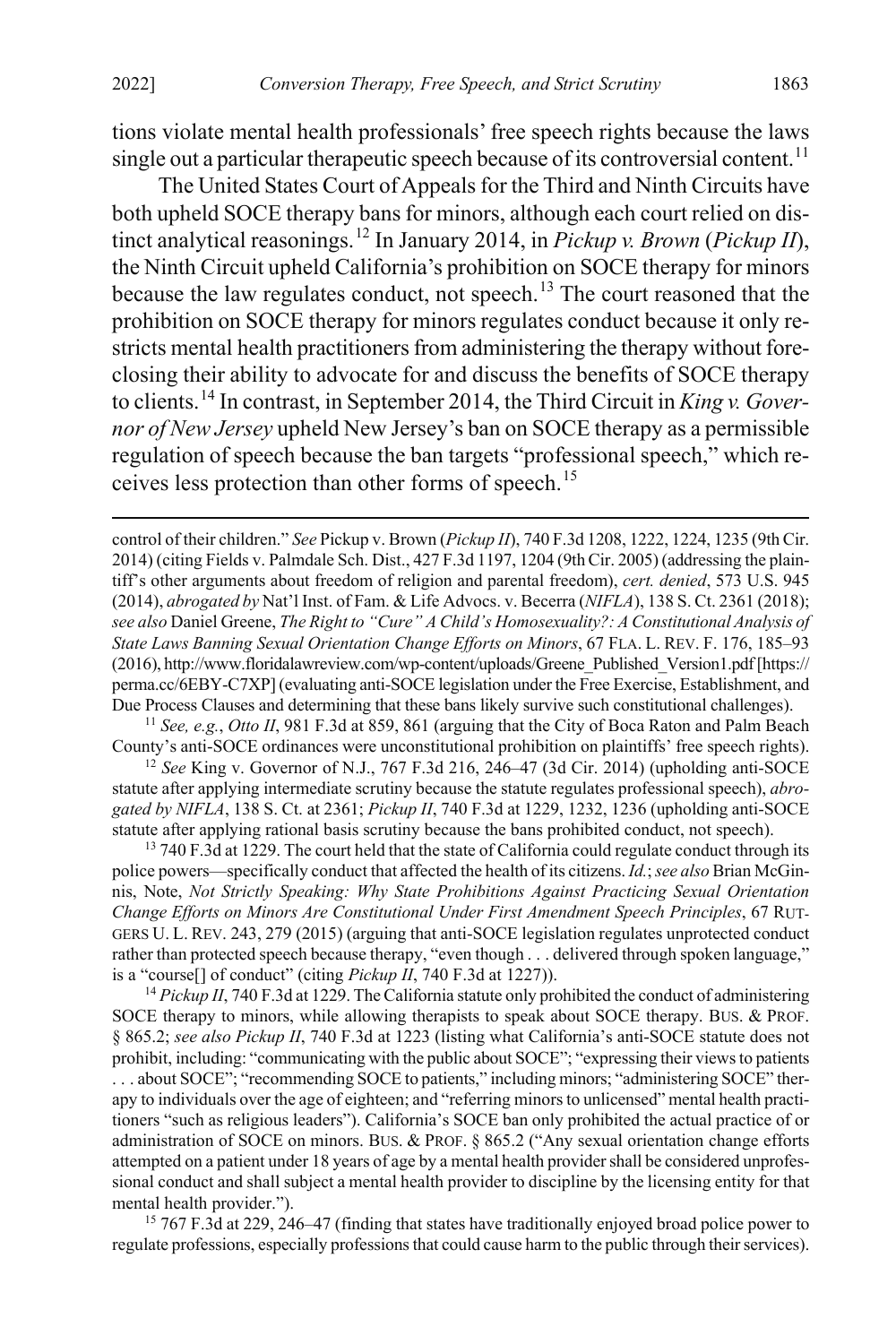tions violate mental health professionals' free speech rights because the laws single out a particular therapeutic speech because of its controversial content.<sup>[11](#page-3-0)</sup>

<span id="page-3-6"></span>The United States Court of Appeals for the Third and Ninth Circuits have both upheld SOCE therapy bans for minors, although each court relied on distinct analytical reasonings.[12](#page-3-1) In January 2014, in *Pickup v. Brown* (*Pickup II*), the Ninth Circuit upheld California's prohibition on SOCE therapy for minors because the law regulates conduct, not speech.<sup>[13](#page-3-2)</sup> The court reasoned that the prohibition on SOCE therapy for minors regulates conduct because it only restricts mental health practitioners from administering the therapy without foreclosing their ability to advocate for and discuss the benefits of SOCE therapy to clients.[14](#page-3-3) In contrast, in September 2014, the Third Circuit in *King v. Governor of New Jersey* upheld New Jersey's ban on SOCE therapy as a permissible regulation of speech because the ban targets "professional speech," which re-ceives less protection than other forms of speech.<sup>[15](#page-3-4)</sup>

<span id="page-3-0"></span><sup>11</sup> *See, e.g.*, *Otto II*, 981 F.3d at 859, 861 (arguing that the City of Boca Raton and Palm Beach County's anti-SOCE ordinances were unconstitutional prohibition on plaintiffs' free speech rights).

<span id="page-3-1"></span><sup>12</sup> *See* King v. Governor of N.J., 767 F.3d 216, 246–47 (3d Cir. 2014) (upholding anti-SOCE statute after applying intermediate scrutiny because the statute regulates professional speech), *abrogated by NIFLA*, 138 S. Ct. at 2361; *Pickup II*, 740 F.3d at 1229, 1232, 1236 (upholding anti-SOCE statute after applying rational basis scrutiny because the bans prohibited conduct, not speech).

<span id="page-3-2"></span><sup>13</sup> 740 F.3d at 1229. The court held that the state of California could regulate conduct through its police powers—specifically conduct that affected the health of its citizens. *Id.*; *see also* Brian McGinnis, Note, *Not Strictly Speaking: Why State Prohibitions Against Practicing Sexual Orientation Change Efforts on Minors Are Constitutional Under First Amendment Speech Principles*, 67 RUT-GERS U. L. REV. 243, 279 (2015) (arguing that anti-SOCE legislation regulates unprotected conduct rather than protected speech because therapy, "even though . . . delivered through spoken language," is a "course[] of conduct" (citing *Pickup II*, 740 F.3d at 1227)).

<span id="page-3-3"></span><sup>14</sup> *Pickup II*, 740 F.3d at 1229. The California statute only prohibited the conduct of administering SOCE therapy to minors, while allowing therapists to speak about SOCE therapy. BUS. & PROF. § 865.2; *see also Pickup II*, 740 F.3d at 1223 (listing what California's anti-SOCE statute does not prohibit, including: "communicating with the public about SOCE"; "expressing their views to patients . . . about SOCE"; "recommending SOCE to patients," including minors; "administering SOCE" therapy to individuals over the age of eighteen; and "referring minorsto unlicensed" mental health practitioners "such as religious leaders"). California's SOCE ban only prohibited the actual practice of or administration of SOCE on minors. BUS. & PROF. § 865.2 ("Any sexual orientation change efforts attempted on a patient under 18 years of age by a mental health provider shall be considered unprofessional conduct and shall subject a mental health provider to discipline by the licensing entity for that mental health provider.").

<span id="page-3-4"></span><sup>15</sup> 767 F.3d at 229, 246–47 (finding that states have traditionally enjoyed broad police power to regulate professions, especially professions that could cause harm to the public through their services).

<span id="page-3-5"></span>control of their children." *See* Pickup v. Brown (*Pickup II*), 740 F.3d 1208, 1222, 1224, 1235 (9th Cir. 2014) (citing Fields v. Palmdale Sch. Dist., 427 F.3d 1197, 1204 (9th Cir. 2005) (addressing the plaintiff's other arguments about freedom of religion and parental freedom), *cert. denied*, 573 U.S. 945 (2014), *abrogated by* Nat'l Inst. of Fam. & Life Advocs. v. Becerra (*NIFLA*), 138 S. Ct. 2361 (2018); *see also* Daniel Greene, *The Right to "Cure" A Child's Homosexuality?: A Constitutional Analysis of State Laws Banning Sexual Orientation Change Efforts on Minors*, 67 FLA. L. REV. F. 176, 185–93 (2016), http://www.floridalawreview.com/wp-content/uploads/Greene\_Published\_Version1.pdf[https:// perma.cc/6EBY-C7XP] (evaluating anti-SOCE legislation under the Free Exercise, Establishment, and Due Process Clauses and determining that these bans likely survive such constitutional challenges).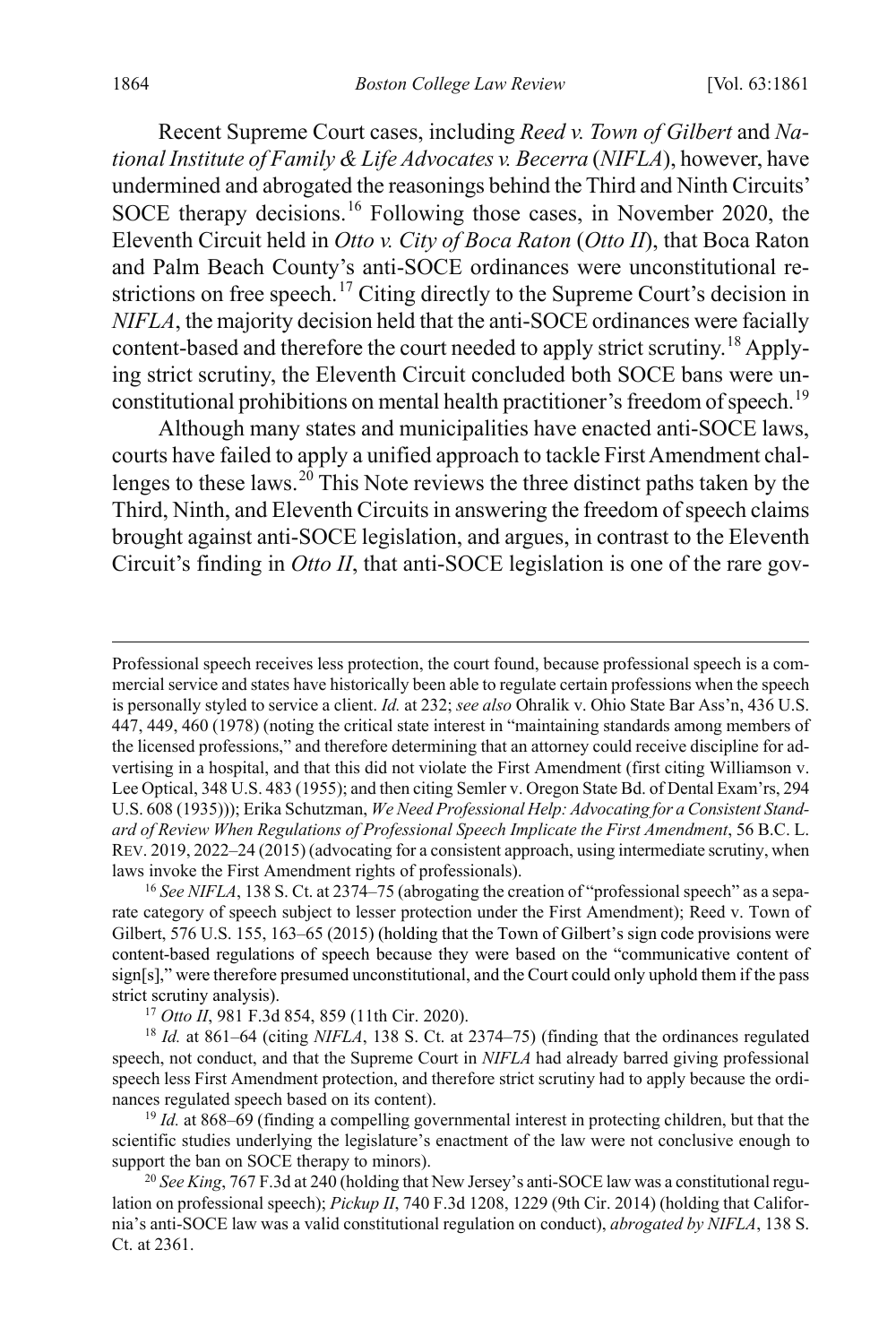Recent Supreme Court cases, including *Reed v. Town of Gilbert* and *National Institute of Family & Life Advocates v. Becerra* (*NIFLA*), however, have undermined and abrogated the reasonings behind the Third and Ninth Circuits' SOCE therapy decisions.<sup>[16](#page-4-0)</sup> Following those cases, in November 2020, the Eleventh Circuit held in *Otto v. City of Boca Raton* (*Otto II*), that Boca Raton and Palm Beach County's anti-SOCE ordinances were unconstitutional re-strictions on free speech.<sup>[17](#page-4-1)</sup> Citing directly to the Supreme Court's decision in *NIFLA*, the majority decision held that the anti-SOCE ordinances were facially content-based and therefore the court needed to apply strict scrutiny.[18](#page-4-2) Applying strict scrutiny, the Eleventh Circuit concluded both SOCE bans were un-constitutional prohibitions on mental health practitioner's freedom of speech.<sup>[19](#page-4-3)</sup>

Although many states and municipalities have enacted anti-SOCE laws, courts have failed to apply a unified approach to tackle First Amendment chal-lenges to these laws.<sup>[20](#page-4-4)</sup> This Note reviews the three distinct paths taken by the Third, Ninth, and Eleventh Circuits in answering the freedom of speech claims brought against anti-SOCE legislation, and argues, in contrast to the Eleventh Circuit's finding in *Otto II*, that anti-SOCE legislation is one of the rare gov-

<span id="page-4-3"></span><sup>19</sup> *Id.* at 868–69 (finding a compelling governmental interest in protecting children, but that the scientific studies underlying the legislature's enactment of the law were not conclusive enough to support the ban on SOCE therapy to minors).

<span id="page-4-4"></span><sup>20</sup> *See King*, 767 F.3d at 240 (holding that New Jersey's anti-SOCE law was a constitutional regulation on professional speech); *Pickup II*, 740 F.3d 1208, 1229 (9th Cir. 2014) (holding that California's anti-SOCE law was a valid constitutional regulation on conduct), *abrogated by NIFLA*, 138 S. Ct. at 2361.

Professional speech receives less protection, the court found, because professional speech is a commercial service and states have historically been able to regulate certain professions when the speech is personally styled to service a client. *Id.* at 232; *see also* Ohralik v. Ohio State Bar Ass'n, 436 U.S. 447, 449, 460 (1978) (noting the critical state interest in "maintaining standards among members of the licensed professions," and therefore determining that an attorney could receive discipline for advertising in a hospital, and that this did not violate the First Amendment (first citing Williamson v. Lee Optical, 348 U.S. 483 (1955); and then citing Semler v. Oregon State Bd. of Dental Exam'rs, 294 U.S. 608 (1935))); Erika Schutzman, *We Need Professional Help: Advocating for a Consistent Standard of Review When Regulations of Professional Speech Implicate the First Amendment*, 56 B.C. L. REV. 2019, 2022–24 (2015) (advocating for a consistent approach, using intermediate scrutiny, when laws invoke the First Amendment rights of professionals).

<span id="page-4-0"></span><sup>16</sup> *See NIFLA*, 138 S. Ct. at 2374–75 (abrogating the creation of "professional speech" as a separate category of speech subject to lesser protection under the First Amendment); Reed v. Town of Gilbert, 576 U.S. 155, 163–65 (2015) (holding that the Town of Gilbert's sign code provisions were content-based regulations of speech because they were based on the "communicative content of sign[s]," were therefore presumed unconstitutional, and the Court could only uphold them if the pass strict scrutiny analysis).

<sup>17</sup> *Otto II*, 981 F.3d 854, 859 (11th Cir. 2020).

<span id="page-4-2"></span><span id="page-4-1"></span><sup>18</sup> *Id.* at 861–64 (citing *NIFLA*, 138 S. Ct. at 2374–75) (finding that the ordinances regulated speech, not conduct, and that the Supreme Court in *NIFLA* had already barred giving professional speech less First Amendment protection, and therefore strict scrutiny had to apply because the ordinances regulated speech based on its content).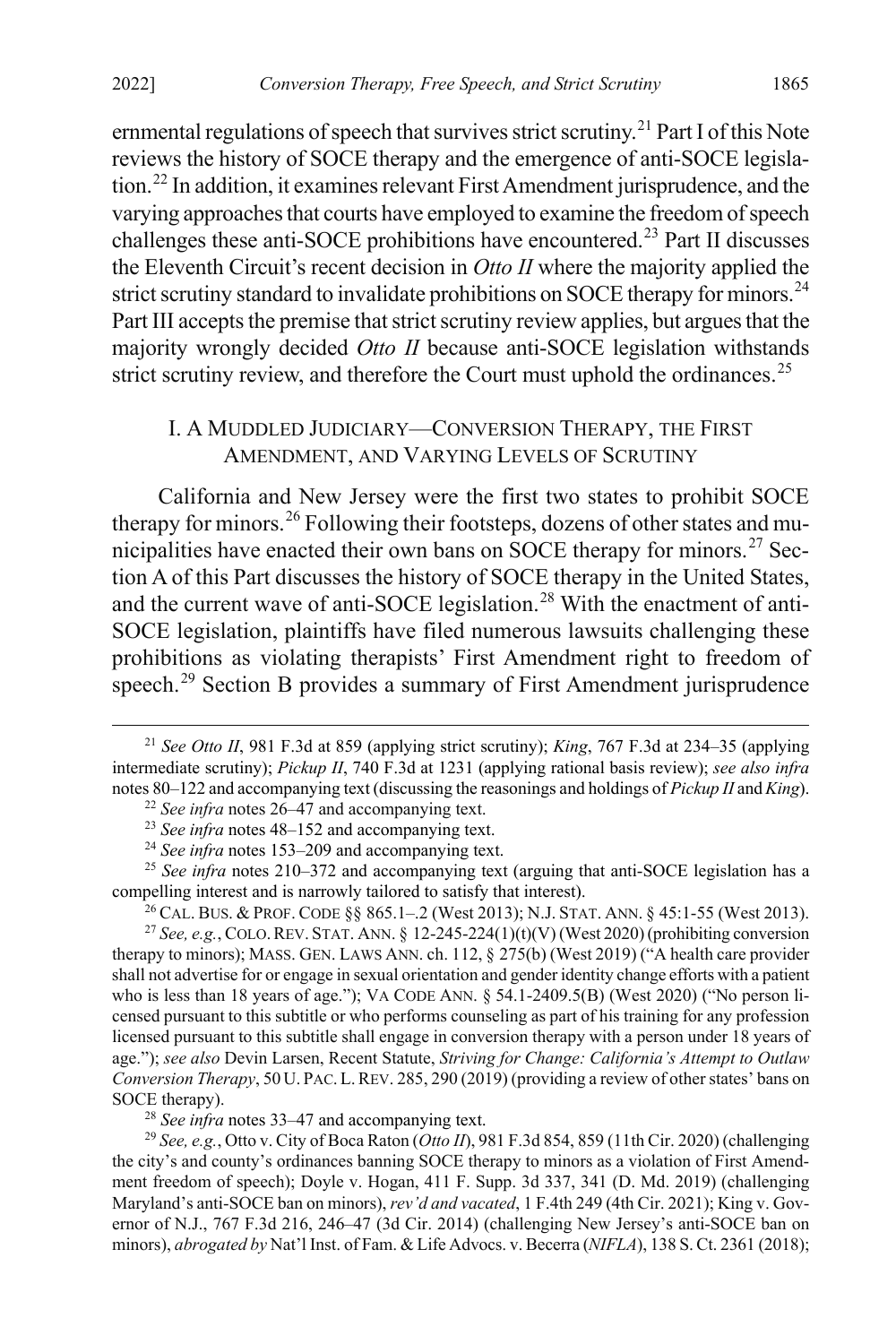ernmental regulations of speech that survives strict scrutiny.<sup>[21](#page-5-1)</sup> Part I of this Note reviews the history of SOCE therapy and the emergence of anti-SOCE legislation.[22](#page-5-2) In addition, it examines relevant First Amendment jurisprudence, and the varying approaches that courts have employed to examine the freedom of speech challenges these anti-SOCE prohibitions have encountered.<sup>[23](#page-5-3)</sup> Part II discusses the Eleventh Circuit's recent decision in *Otto II* where the majority applied the strict scrutiny standard to invalidate prohibitions on SOCE therapy for minors.<sup>[24](#page-5-4)</sup> Part III accepts the premise that strict scrutiny review applies, but argues that the majority wrongly decided *Otto II* because anti-SOCE legislation withstands strict scrutiny review, and therefore the Court must uphold the ordinances.<sup>[25](#page-5-5)</sup>

### <span id="page-5-10"></span><span id="page-5-0"></span>I. A MUDDLED JUDICIARY—CONVERSION THERAPY, THE FIRST AMENDMENT, AND VARYING LEVELS OF SCRUTINY

California and New Jersey were the first two states to prohibit SOCE therapy for minors.<sup>[26](#page-5-6)</sup> Following their footsteps, dozens of other states and mu-nicipalities have enacted their own bans on SOCE therapy for minors.<sup>[27](#page-5-7)</sup> Section A of this Part discusses the history of SOCE therapy in the United States, and the current wave of anti-SOCE legislation.<sup>[28](#page-5-8)</sup> With the enactment of anti-SOCE legislation, plaintiffs have filed numerous lawsuits challenging these prohibitions as violating therapists' First Amendment right to freedom of speech.<sup>[29](#page-5-9)</sup> Section B provides a summary of First Amendment jurisprudence

<span id="page-5-5"></span><span id="page-5-4"></span><span id="page-5-3"></span><sup>25</sup> *See infra* notes [210](#page-32-1)[–372](#page-51-0) and accompanying text (arguing that anti-SOCE legislation has a compelling interest and is narrowly tailored to satisfy that interest).

<sup>26</sup> CAL. BUS. & PROF. CODE  $\S$ § 865.1–.2 (West 2013); N.J. STAT. ANN. § 45:1-55 (West 2013).

<span id="page-5-7"></span><span id="page-5-6"></span><sup>27</sup> *See, e.g.*, COLO.REV. STAT. ANN. § 12-245-224(1)(t)(V) (West 2020) (prohibiting conversion therapy to minors); MASS. GEN. LAWS ANN. ch. 112, § 275(b) (West 2019) ("A health care provider shall not advertise for or engage in sexual orientation and gender identity change efforts with a patient who is less than 18 years of age."); VA CODE ANN.  $\S$  54.1-2409.5(B) (West 2020) ("No person licensed pursuant to this subtitle or who performs counseling as part of his training for any profession licensed pursuant to this subtitle shall engage in conversion therapy with a person under 18 years of age."); *see also* Devin Larsen, Recent Statute, *Striving for Change: California's Attempt to Outlaw Conversion Therapy*, 50 U. PAC.L.REV. 285, 290 (2019) (providing a review of other states' bans on SOCE therapy).

<sup>28</sup> *See infra* note[s 33–](#page-6-0)[47](#page-9-0) and accompanying text.

<span id="page-5-9"></span><span id="page-5-8"></span><sup>29</sup> *See, e.g.*, Otto v. City of Boca Raton (*Otto II*), 981 F.3d 854, 859 (11th Cir. 2020) (challenging the city's and county's ordinances banning SOCE therapy to minors as a violation of First Amendment freedom of speech); Doyle v. Hogan, 411 F. Supp. 3d 337, 341 (D. Md. 2019) (challenging Maryland's anti-SOCE ban on minors), *rev'd and vacated*, 1 F.4th 249 (4th Cir. 2021); King v. Governor of N.J., 767 F.3d 216, 246–47 (3d Cir. 2014) (challenging New Jersey's anti-SOCE ban on minors), *abrogated by* Nat'l Inst. of Fam. & Life Advocs. v. Becerra (*NIFLA*), 138 S. Ct. 2361 (2018);

<span id="page-5-2"></span><span id="page-5-1"></span> <sup>21</sup> *See Otto II*, 981 F.3d at 859 (applying strict scrutiny); *King*, 767 F.3d at 234–35 (applying intermediate scrutiny); *Pickup II*, 740 F.3d at 1231 (applying rational basis review); *see also infra*  note[s 80](#page-14-0)[–122](#page-19-0) and accompanying text (discussing the reasonings and holdings of *Pickup II* and *King*).

<sup>22</sup> *See infra* note[s 26–](#page-5-0)[47](#page-9-0) and accompanying text.

<sup>23</sup> *See infra* note[s 48–](#page-9-1)[152](#page-24-0) and accompanying text.

<sup>24</sup> *See infra* note[s 153](#page-24-1)[–209](#page-32-0) and accompanying text.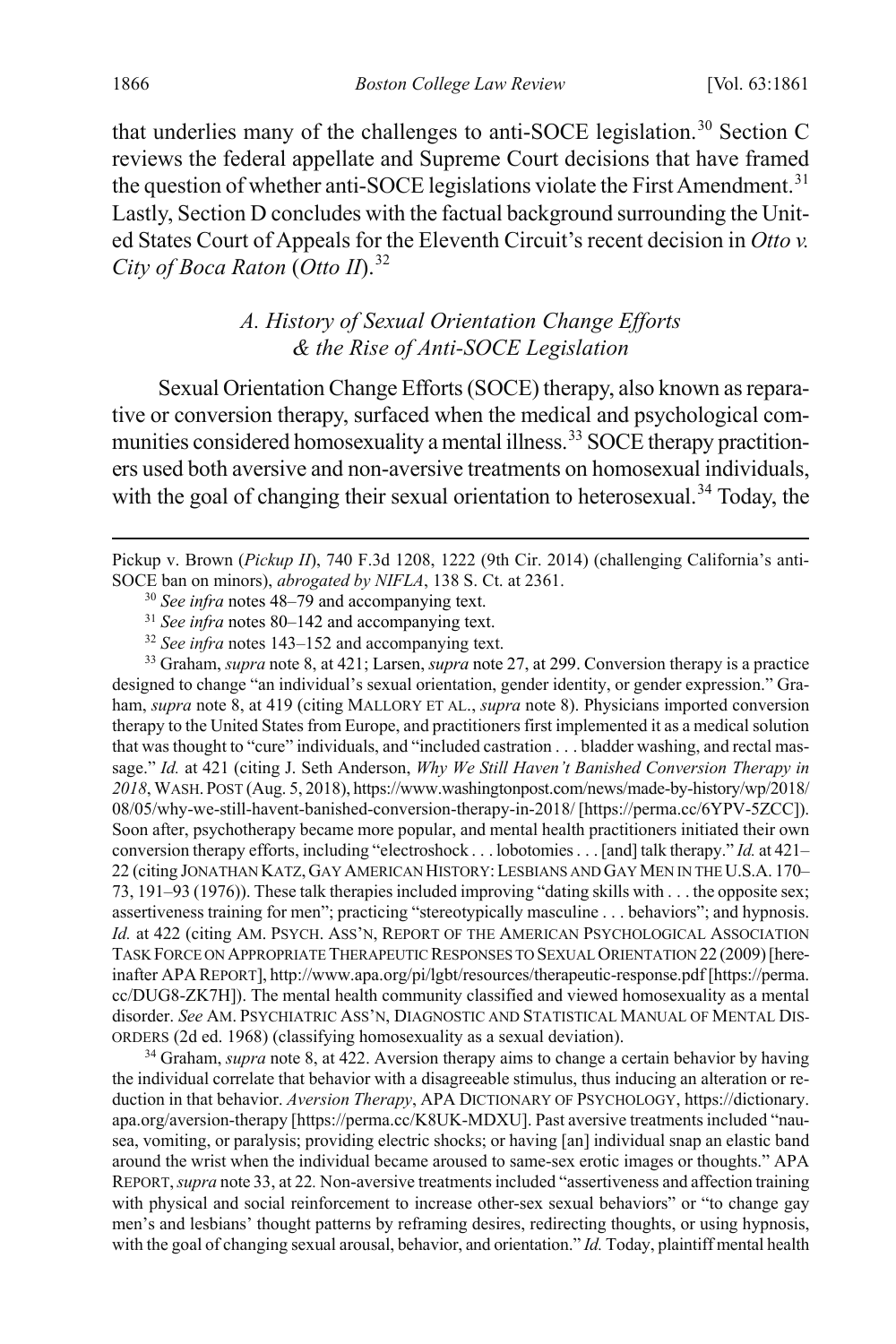that underlies many of the challenges to anti-SOCE legislation.<sup>[30](#page-6-1)</sup> Section C reviews the federal appellate and Supreme Court decisions that have framed the question of whether anti-SOCE legislations violate the First Amendment.<sup>[31](#page-6-2)</sup> Lastly, Section D concludes with the factual background surrounding the United States Court of Appeals for the Eleventh Circuit's recent decision in *Otto v. City of Boca Raton* (*Otto II*).[32](#page-6-3)

## <span id="page-6-0"></span>*A. History of Sexual Orientation Change Efforts & the Rise of Anti-SOCE Legislation*

Sexual Orientation Change Efforts (SOCE) therapy, also known as reparative or conversion therapy, surfaced when the medical and psychological com-munities considered homosexuality a mental illness.<sup>[33](#page-6-4)</sup> SOCE therapy practitioners used both aversive and non-aversive treatments on homosexual individuals, with the goal of changing their sexual orientation to heterosexual.<sup>[34](#page-6-5)</sup> Today, the

<span id="page-6-1"></span> Pickup v. Brown (*Pickup II*), 740 F.3d 1208, 1222 (9th Cir. 2014) (challenging California's anti-SOCE ban on minors), *abrogated by NIFLA*, 138 S. Ct. at 2361.

<sup>30</sup> *See infra* note[s 48–](#page-9-1)[79](#page-13-0) and accompanying text.

<sup>31</sup> *See infra* note[s 80–](#page-14-0)[142](#page-22-0) and accompanying text.

<sup>32</sup> *See infra* note[s 143](#page-22-1)[–152](#page-24-0) and accompanying text.

<span id="page-6-4"></span><span id="page-6-3"></span><span id="page-6-2"></span><sup>33</sup> Graham, *supra* not[e 8,](#page-2-7) at 421; Larsen, *supra* not[e 27,](#page-5-10) at 299. Conversion therapy is a practice designed to change "an individual's sexual orientation, gender identity, or gender expression." Graham, *supra* not[e 8,](#page-2-7) at 419 (citing MALLORY ET AL., *supra* note [8\)](#page-2-7). Physicians imported conversion therapy to the United States from Europe, and practitioners first implemented it as a medical solution that was thought to "cure" individuals, and "included castration . . . bladder washing, and rectal massage." *Id.* at 421 (citing J. Seth Anderson, *Why We Still Haven't Banished Conversion Therapy in 2018*, WASH.POST (Aug. 5, 2018), https://www.washingtonpost.com/news/made-by-history/wp/2018/ 08/05/why-we-still-havent-banished-conversion-therapy-in-2018/ [https://perma.cc/6YPV-5ZCC]). Soon after, psychotherapy became more popular, and mental health practitioners initiated their own conversion therapy efforts, including "electroshock . . . lobotomies . . . [and] talk therapy." *Id.* at 421– 22 (citing JONATHAN KATZ,GAY AMERICAN HISTORY:LESBIANS AND GAY MEN IN THE U.S.A. 170– 73, 191–93 (1976)). These talk therapies included improving "dating skills with . . . the opposite sex; assertiveness training for men"; practicing "stereotypically masculine . . . behaviors"; and hypnosis. *Id.* at 422 (citing AM. PSYCH. ASS'N, REPORT OF THE AMERICAN PSYCHOLOGICAL ASSOCIATION TASK FORCE ON APPROPRIATE THERAPEUTIC RESPONSES TO SEXUAL ORIENTATION 22 (2009)[hereinafter APA REPORT], http://www.apa.org/pi/lgbt/resources/therapeutic-response.pdf [https://perma. cc/DUG8-ZK7H]). The mental health community classified and viewed homosexuality as a mental disorder. *See* AM. PSYCHIATRIC ASS'N, DIAGNOSTIC AND STATISTICAL MANUAL OF MENTAL DIS-ORDERS (2d ed. 1968) (classifying homosexuality as a sexual deviation).

<span id="page-6-5"></span><sup>34</sup> Graham, *supra* note [8,](#page-2-7) at 422. Aversion therapy aims to change a certain behavior by having the individual correlate that behavior with a disagreeable stimulus, thus inducing an alteration or reduction in that behavior. *Aversion Therapy*, APA DICTIONARY OF PSYCHOLOGY, https://dictionary. apa.org/aversion-therapy [https://perma.cc/K8UK-MDXU]. Past aversive treatments included "nausea, vomiting, or paralysis; providing electric shocks; or having [an] individual snap an elastic band around the wrist when the individual became aroused to same-sex erotic images or thoughts." APA REPORT,*supra* note [33,](#page-6-0) at 22*.* Non-aversive treatments included "assertiveness and affection training with physical and social reinforcement to increase other-sex sexual behaviors" or "to change gay men's and lesbians' thought patterns by reframing desires, redirecting thoughts, or using hypnosis, with the goal of changing sexual arousal, behavior, and orientation." *Id.* Today, plaintiff mental health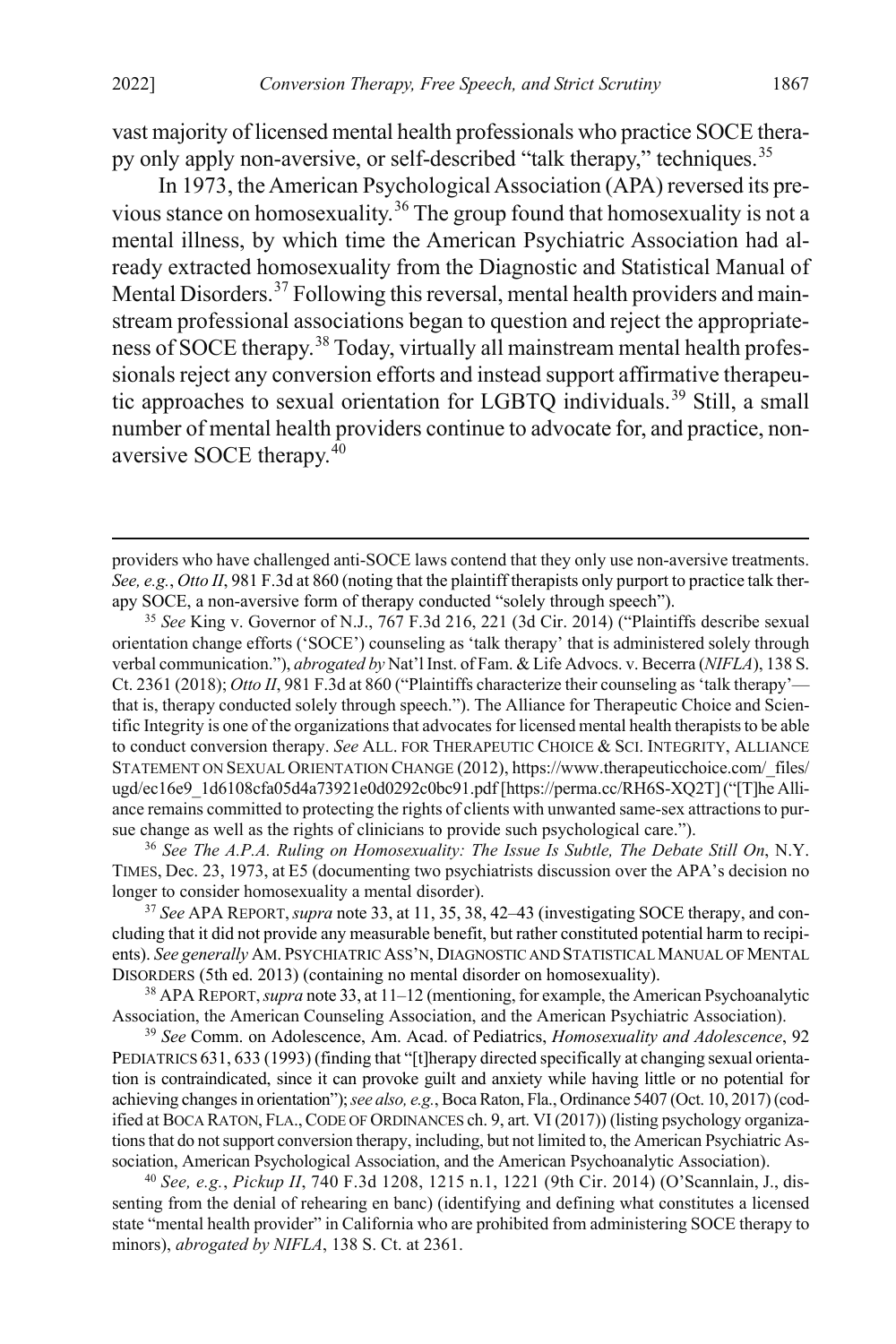vast majority of licensed mental health professionals who practice SOCE thera-py only apply non-aversive, or self-described "talk therapy," techniques.<sup>[35](#page-7-0)</sup>

In 1973, the American Psychological Association (APA) reversed its previous stance on homosexuality.[36](#page-7-1) The group found that homosexuality is not a mental illness, by which time the American Psychiatric Association had already extracted homosexuality from the Diagnostic and Statistical Manual of Mental Disorders.<sup>[37](#page-7-2)</sup> Following this reversal, mental health providers and mainstream professional associations began to question and reject the appropriateness of SOCE therapy.[38](#page-7-3) Today, virtually all mainstream mental health professionals reject any conversion efforts and instead support affirmative therapeutic approaches to sexual orientation for LGBTQ individuals.[39](#page-7-4) Still, a small number of mental health providers continue to advocate for, and practice, nonaversive SOCE therapy.[40](#page-7-5)

<span id="page-7-0"></span><sup>35</sup> *See* King v. Governor of N.J., 767 F.3d 216, 221 (3d Cir. 2014) ("Plaintiffs describe sexual orientation change efforts ('SOCE') counseling as 'talk therapy' that is administered solely through verbal communication."), *abrogated by* Nat'l Inst. of Fam. & Life Advocs. v. Becerra (*NIFLA*), 138 S. Ct. 2361 (2018); *Otto II*, 981 F.3d at 860 ("Plaintiffs characterize their counseling as 'talk therapy' that is, therapy conducted solely through speech."). The Alliance for Therapeutic Choice and Scientific Integrity is one of the organizations that advocates for licensed mental health therapists to be able to conduct conversion therapy. *See* ALL. FOR THERAPEUTIC CHOICE & SCI. INTEGRITY, ALLIANCE STATEMENT ON SEXUAL ORIENTATION CHANGE (2012), https://www.therapeuticchoice.com/\_files/ ugd/ec16e9\_1d6108cfa05d4a73921e0d0292c0bc91.pdf [https://perma.cc/RH6S-XQ2T]("[T]he Alliance remains committed to protecting the rights of clients with unwanted same-sex attractions to pursue change as well as the rights of clinicians to provide such psychological care.").

<span id="page-7-1"></span><sup>36</sup> *See The A.P.A. Ruling on Homosexuality: The Issue Is Subtle, The Debate Still On*, N.Y. TIMES, Dec. 23, 1973, at E5 (documenting two psychiatrists discussion over the APA's decision no longer to consider homosexuality a mental disorder).

<span id="page-7-2"></span><sup>37</sup> *See* APA REPORT,*supra* not[e 33,](#page-6-0) at 11, 35, 38, 42–43 (investigating SOCE therapy, and concluding that it did not provide any measurable benefit, but rather constituted potential harm to recipients). *See generally* AM. PSYCHIATRIC ASS'N, DIAGNOSTIC AND STATISTICAL MANUAL OF MENTAL DISORDERS (5th ed. 2013) (containing no mental disorder on homosexuality).

<span id="page-7-3"></span><sup>38</sup> APA REPORT,*supra* not[e 33,](#page-6-0) at 11–12 (mentioning, for example, the American Psychoanalytic Association, the American Counseling Association, and the American Psychiatric Association).

<span id="page-7-4"></span><sup>39</sup> *See* Comm. on Adolescence, Am. Acad. of Pediatrics, *Homosexuality and Adolescence*, 92 PEDIATRICS 631, 633 (1993) (finding that "[t]herapy directed specifically at changing sexual orientation is contraindicated, since it can provoke guilt and anxiety while having little or no potential for achieving changes in orientation"); *see also, e.g.*, Boca Raton, Fla., Ordinance 5407 (Oct. 10, 2017) (codified at BOCA RATON, FLA.,CODE OF ORDINANCES ch. 9, art. VI (2017)) (listing psychology organizations that do not support conversion therapy, including, but not limited to, the American Psychiatric Association, American Psychological Association, and the American Psychoanalytic Association).

<span id="page-7-5"></span><sup>40</sup> *See, e.g.*, *Pickup II*, 740 F.3d 1208, 1215 n.1, 1221 (9th Cir. 2014) (O'Scannlain, J., dissenting from the denial of rehearing en banc) (identifying and defining what constitutes a licensed state "mental health provider" in California who are prohibited from administering SOCE therapy to minors), *abrogated by NIFLA*, 138 S. Ct. at 2361.

providers who have challenged anti-SOCE laws contend that they only use non-aversive treatments. *See, e.g.*, *Otto II*, 981 F.3d at 860 (noting that the plaintiff therapists only purport to practice talk therapy SOCE, a non-aversive form of therapy conducted "solely through speech").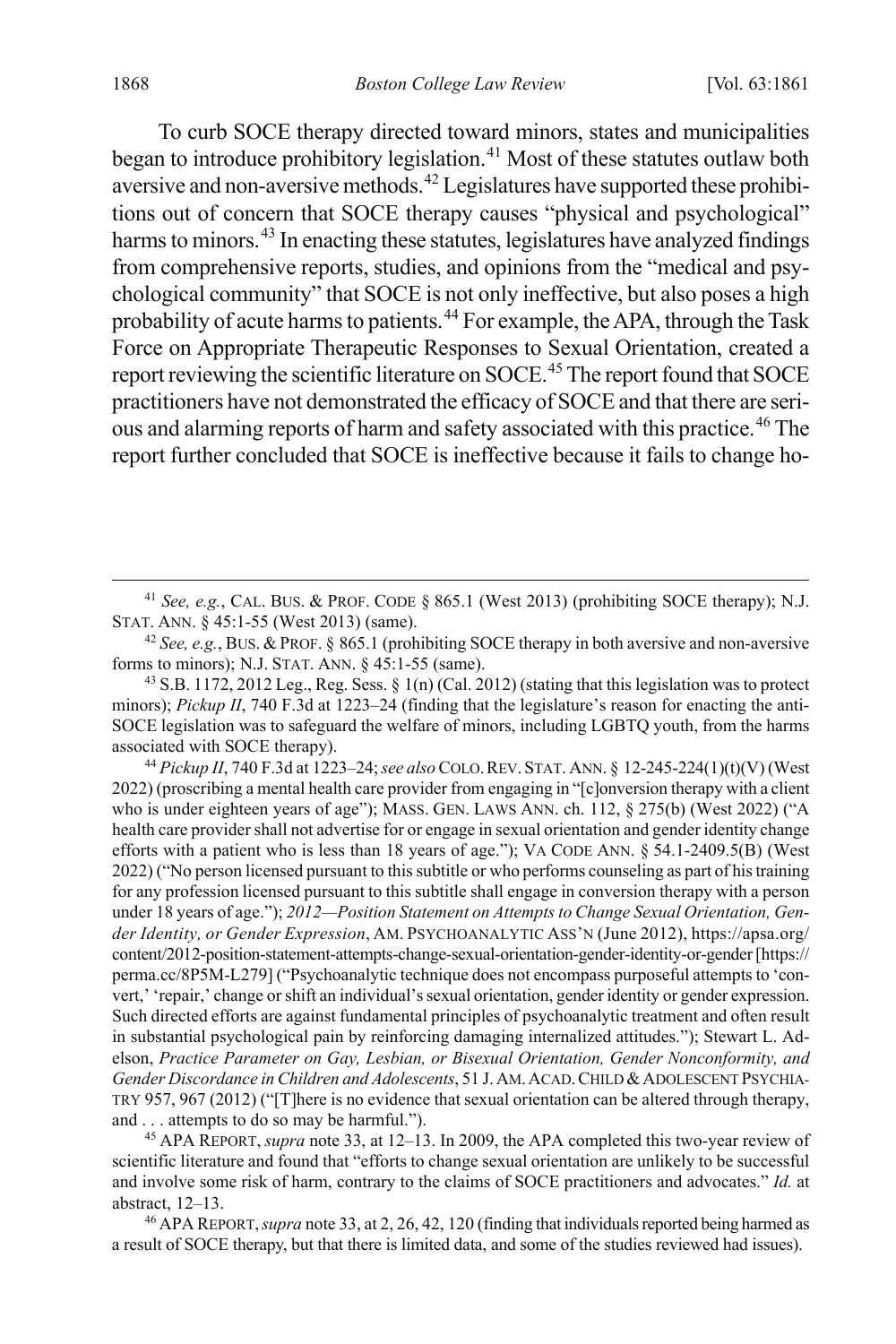To curb SOCE therapy directed toward minors, states and municipalities began to introduce prohibitory legislation.<sup>[41](#page-8-0)</sup> Most of these statutes outlaw both aversive and non-aversive methods.[42](#page-8-1) Legislatures have supported these prohibitions out of concern that SOCE therapy causes "physical and psychological" harms to minors.<sup>[43](#page-8-2)</sup> In enacting these statutes, legislatures have analyzed findings from comprehensive reports, studies, and opinions from the "medical and psychological community" that SOCE is not only ineffective, but also poses a high probability of acute harms to patients.<sup>[44](#page-8-3)</sup> For example, the APA, through the Task Force on Appropriate Therapeutic Responses to Sexual Orientation, created a report reviewing the scientific literature on SOCE.<sup>[45](#page-8-4)</sup> The report found that SOCE practitioners have not demonstrated the efficacy of SOCE and that there are seri-ous and alarming reports of harm and safety associated with this practice.<sup>[46](#page-8-5)</sup> The report further concluded that SOCE is ineffective because it fails to change ho-

<span id="page-8-3"></span><sup>44</sup> *Pickup II*, 740 F.3d at 1223–24; *see also* COLO.REV. STAT. ANN. § 12-245-224(1)(t)(V) (West 2022) (proscribing a mental health care provider from engaging in "[c]onversion therapy with a client who is under eighteen years of age"); MASS. GEN. LAWS ANN. ch. 112, § 275(b) (West 2022) ("A health care provider shall not advertise for or engage in sexual orientation and gender identity change efforts with a patient who is less than 18 years of age."); VA CODE ANN. § 54.1-2409.5(B) (West 2022) ("No person licensed pursuant to this subtitle or who performs counseling as part of his training for any profession licensed pursuant to this subtitle shall engage in conversion therapy with a person under 18 years of age."); *2012—Position Statement on Attempts to Change Sexual Orientation, Gender Identity, or Gender Expression*, AM. PSYCHOANALYTIC ASS'N (June 2012), https://apsa.org/ content/2012-position-statement-attempts-change-sexual-orientation-gender-identity-or-gender[https:// perma.cc/8P5M-L279] ("Psychoanalytic technique does not encompass purposeful attempts to 'convert,' 'repair,' change or shift an individual's sexual orientation, gender identity or gender expression. Such directed efforts are against fundamental principles of psychoanalytic treatment and often result in substantial psychological pain by reinforcing damaging internalized attitudes."); Stewart L. Adelson, *Practice Parameter on Gay, Lesbian, or Bisexual Orientation, Gender Nonconformity, and Gender Discordance in Children and Adolescents*, 51 J.AM.ACAD.CHILD &ADOLESCENT PSYCHIA-TRY 957, 967 (2012) ("[T]here is no evidence that sexual orientation can be altered through therapy, and . . . attempts to do so may be harmful.").

<span id="page-8-4"></span><sup>45</sup> APA REPORT, *supra* note [33,](#page-6-0) at 12–13. In 2009, the APA completed this two-year review of scientific literature and found that "efforts to change sexual orientation are unlikely to be successful and involve some risk of harm, contrary to the claims of SOCE practitioners and advocates." *Id.* at abstract, 12–13.

<span id="page-8-5"></span><sup>46</sup> APA REPORT,*supra* not[e 33,](#page-6-0) at 2, 26, 42, 120 (finding that individuals reported being harmed as a result of SOCE therapy, but that there is limited data, and some of the studies reviewed had issues).

<span id="page-8-0"></span> <sup>41</sup> *See, e.g.*, CAL. BUS. & PROF. CODE § 865.1 (West 2013) (prohibiting SOCE therapy); N.J. STAT. ANN. § 45:1-55 (West 2013) (same).

<span id="page-8-1"></span><sup>42</sup> *See, e.g.*, BUS. & PROF. § 865.1 (prohibiting SOCE therapy in both aversive and non-aversive forms to minors); N.J. STAT. ANN. § 45:1-55 (same).

<span id="page-8-2"></span><sup>&</sup>lt;sup>43</sup> S.B. 1172, 2012 Leg., Reg. Sess.  $\S$  1(n) (Cal. 2012) (stating that this legislation was to protect minors); *Pickup II*, 740 F.3d at 1223-24 (finding that the legislature's reason for enacting the anti-SOCE legislation was to safeguard the welfare of minors, including LGBTQ youth, from the harms associated with SOCE therapy).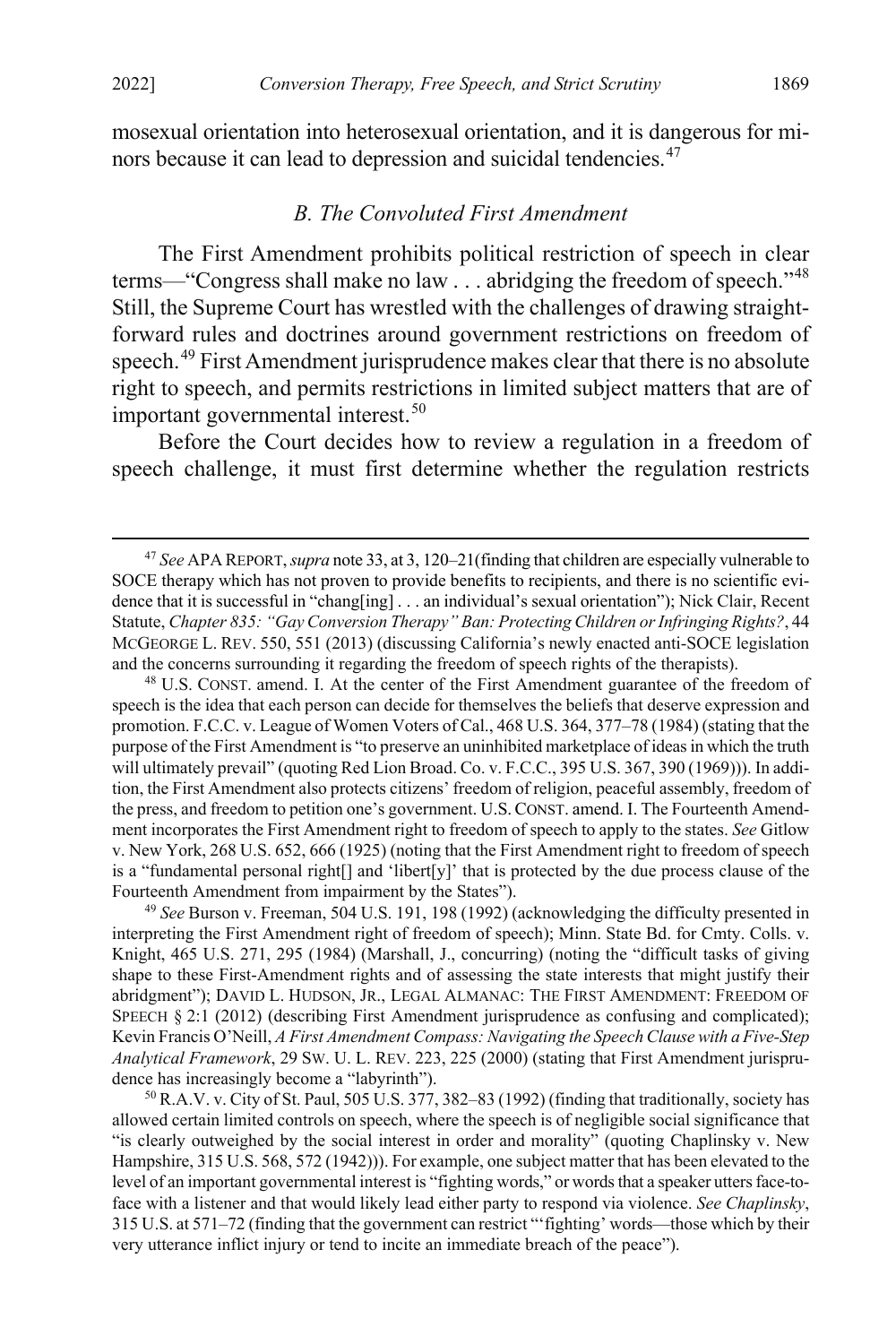mosexual orientation into heterosexual orientation, and it is dangerous for mi-nors because it can lead to depression and suicidal tendencies.<sup>[47](#page-9-2)</sup>

#### <span id="page-9-1"></span><span id="page-9-0"></span>*B. The Convoluted First Amendment*

The First Amendment prohibits political restriction of speech in clear terms—"Congress shall make no law . . . abridging the freedom of speech."<sup>[48](#page-9-3)</sup> Still, the Supreme Court has wrestled with the challenges of drawing straightforward rules and doctrines around government restrictions on freedom of speech.<sup>[49](#page-9-4)</sup> First Amendment jurisprudence makes clear that there is no absolute right to speech, and permits restrictions in limited subject matters that are of important governmental interest.<sup>[50](#page-9-5)</sup>

<span id="page-9-6"></span>Before the Court decides how to review a regulation in a freedom of speech challenge, it must first determine whether the regulation restricts

<span id="page-9-3"></span><sup>48</sup> U.S. CONST. amend. I. At the center of the First Amendment guarantee of the freedom of speech is the idea that each person can decide for themselves the beliefs that deserve expression and promotion. F.C.C. v. League of Women Voters of Cal., 468 U.S. 364, 377–78 (1984) (stating that the purpose of the First Amendment is "to preserve an uninhibited marketplace of ideas in which the truth will ultimately prevail" (quoting Red Lion Broad. Co. v. F.C.C., 395 U.S. 367, 390 (1969))). In addition, the First Amendment also protects citizens' freedom of religion, peaceful assembly, freedom of the press, and freedom to petition one's government. U.S.CONST. amend. I. The Fourteenth Amendment incorporates the First Amendment right to freedom of speech to apply to the states. *See* Gitlow v. New York, 268 U.S. 652, 666 (1925) (noting that the First Amendment right to freedom of speech is a "fundamental personal right<sup>[]</sup> and 'libert $[y]$ ' that is protected by the due process clause of the Fourteenth Amendment from impairment by the States").

<span id="page-9-4"></span><sup>49</sup> *See* Burson v. Freeman, 504 U.S. 191, 198 (1992) (acknowledging the difficulty presented in interpreting the First Amendment right of freedom of speech); Minn. State Bd. for Cmty. Colls. v. Knight, 465 U.S. 271, 295 (1984) (Marshall, J., concurring) (noting the "difficult tasks of giving shape to these First-Amendment rights and of assessing the state interests that might justify their abridgment"); DAVID L. HUDSON, JR., LEGAL ALMANAC: THE FIRST AMENDMENT: FREEDOM OF SPEECH § 2:1 (2012) (describing First Amendment jurisprudence as confusing and complicated); Kevin Francis O'Neill, *A First Amendment Compass: Navigating the Speech Clause with a Five-Step Analytical Framework*, 29 SW. U. L. REV. 223, 225 (2000) (stating that First Amendment jurisprudence has increasingly become a "labyrinth").

<span id="page-9-5"></span><sup>50</sup> R.A.V. v. City of St. Paul, 505 U.S. 377, 382–83 (1992) (finding that traditionally, society has allowed certain limited controls on speech, where the speech is of negligible social significance that "is clearly outweighed by the social interest in order and morality" (quoting Chaplinsky v. New Hampshire, 315 U.S. 568, 572 (1942))). For example, one subject matter that has been elevated to the level of an important governmental interest is "fighting words," or words that a speaker utters face-toface with a listener and that would likely lead either party to respond via violence. *See Chaplinsky*, 315 U.S. at 571–72 (finding that the government can restrict "'fighting' words—those which by their very utterance inflict injury or tend to incite an immediate breach of the peace").

<span id="page-9-2"></span> <sup>47</sup> *See* APA REPORT, *supra* not[e 33,](#page-6-0) at 3, 120–21(finding that children are especially vulnerable to SOCE therapy which has not proven to provide benefits to recipients, and there is no scientific evidence that it is successful in "chang[ing] . . . an individual's sexual orientation"); Nick Clair, Recent Statute, *Chapter 835: "Gay Conversion Therapy" Ban: Protecting Children or Infringing Rights?*, 44 MCGEORGE L. REV. 550, 551 (2013) (discussing California's newly enacted anti-SOCE legislation and the concerns surrounding it regarding the freedom of speech rights of the therapists).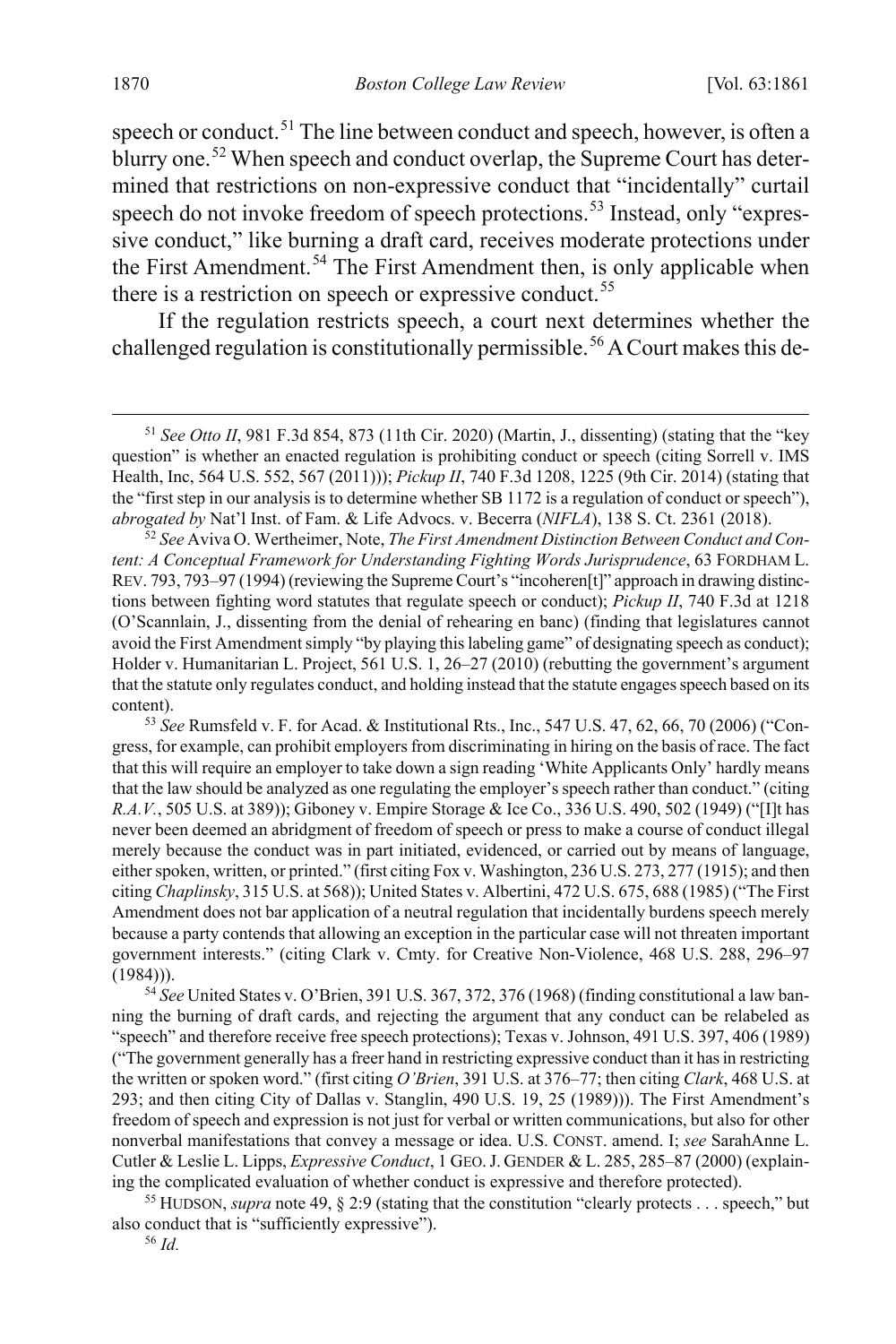<span id="page-10-6"></span>speech or conduct.<sup>[51](#page-10-0)</sup> The line between conduct and speech, however, is often a blurry one.<sup>[52](#page-10-1)</sup> When speech and conduct overlap, the Supreme Court has determined that restrictions on non-expressive conduct that "incidentally" curtail speech do not invoke freedom of speech protections.<sup>[53](#page-10-2)</sup> Instead, only "expressive conduct," like burning a draft card, receives moderate protections under the First Amendment.<sup>[54](#page-10-3)</sup> The First Amendment then, is only applicable when there is a restriction on speech or expressive conduct.<sup>[55](#page-10-4)</sup>

If the regulation restricts speech, a court next determines whether the challenged regulation is constitutionally permissible.<sup>[56](#page-10-5)</sup> A Court makes this de-

<span id="page-10-3"></span><sup>54</sup> *See* United States v. O'Brien, 391 U.S. 367, 372, 376 (1968) (finding constitutional a law banning the burning of draft cards, and rejecting the argument that any conduct can be relabeled as "speech" and therefore receive free speech protections); Texas v. Johnson, 491 U.S. 397, 406 (1989) ("The government generally has a freer hand in restricting expressive conduct than it has in restricting the written or spoken word." (first citing *O'Brien*, 391 U.S. at 376–77; then citing *Clark*, 468 U.S. at 293; and then citing City of Dallas v. Stanglin, 490 U.S. 19, 25 (1989))). The First Amendment's freedom of speech and expression is not just for verbal or written communications, but also for other nonverbal manifestations that convey a message or idea. U.S. CONST. amend. I; *see* SarahAnne L. Cutler & Leslie L. Lipps, *Expressive Conduct*, 1 GEO.J. GENDER & L. 285, 285–87 (2000) (explaining the complicated evaluation of whether conduct is expressive and therefore protected).

<span id="page-10-5"></span><span id="page-10-4"></span><sup>55</sup> HUDSON, *supra* not[e 49,](#page-9-6) § 2:9 (stating that the constitution "clearly protects . . . speech," but also conduct that is "sufficiently expressive").

<span id="page-10-0"></span> <sup>51</sup> *See Otto II*, 981 F.3d 854, 873 (11th Cir. 2020) (Martin, J., dissenting) (stating that the "key question" is whether an enacted regulation is prohibiting conduct or speech (citing Sorrell v. IMS Health, Inc, 564 U.S. 552, 567 (2011))); *Pickup II*, 740 F.3d 1208, 1225 (9th Cir. 2014) (stating that the "first step in our analysis is to determine whether SB 1172 is a regulation of conduct or speech"), *abrogated by* Nat'l Inst. of Fam. & Life Advocs. v. Becerra (*NIFLA*), 138 S. Ct. 2361 (2018).

<span id="page-10-1"></span><sup>52</sup> *See* Aviva O. Wertheimer, Note, *The First Amendment Distinction Between Conduct and Content: A Conceptual Framework for Understanding Fighting Words Jurisprudence*, 63 FORDHAM L. REV. 793, 793-97 (1994) (reviewing the Supreme Court's "incoheren[t]" approach in drawing distinctions between fighting word statutes that regulate speech or conduct); *Pickup II*, 740 F.3d at 1218 (O'Scannlain, J., dissenting from the denial of rehearing en banc) (finding that legislatures cannot avoid the First Amendment simply "by playing this labeling game" of designating speech as conduct); Holder v. Humanitarian L. Project, 561 U.S. 1, 26–27 (2010) (rebutting the government's argument that the statute only regulates conduct, and holding instead that the statute engages speech based on its content).

<span id="page-10-2"></span><sup>53</sup> *See* Rumsfeld v. F. for Acad. & Institutional Rts., Inc., 547 U.S. 47, 62, 66, 70 (2006) ("Congress, for example, can prohibit employers from discriminating in hiring on the basis of race. The fact that this will require an employer to take down a sign reading 'White Applicants Only' hardly means that the law should be analyzed as one regulating the employer's speech rather than conduct." (citing *R.A.V.*, 505 U.S. at 389)); Giboney v. Empire Storage & Ice Co., 336 U.S. 490, 502 (1949) ("[I]t has never been deemed an abridgment of freedom of speech or press to make a course of conduct illegal merely because the conduct was in part initiated, evidenced, or carried out by means of language, either spoken, written, or printed." (first citing Fox v. Washington, 236 U.S. 273, 277 (1915); and then citing *Chaplinsky*, 315 U.S. at 568)); United States v. Albertini, 472 U.S. 675, 688 (1985) ("The First Amendment does not bar application of a neutral regulation that incidentally burdens speech merely because a party contends that allowing an exception in the particular case will not threaten important government interests." (citing Clark v. Cmty. for Creative Non-Violence, 468 U.S. 288, 296–97  $(1984)$ ).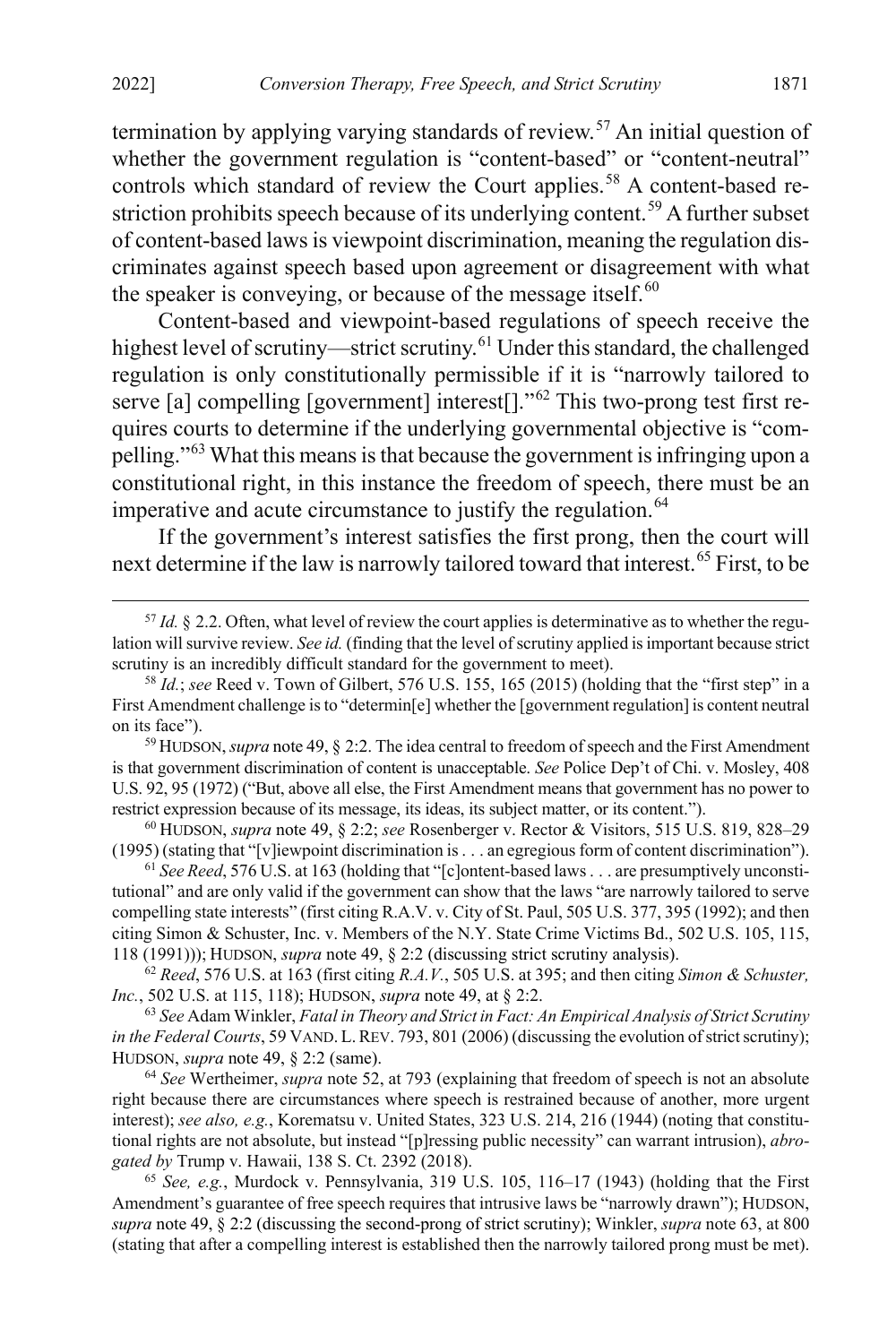termination by applying varying standards of review.<sup>[57](#page-11-1)</sup> An initial question of whether the government regulation is "content-based" or "content-neutral" controls which standard of review the Court applies.<sup>[58](#page-11-2)</sup> A content-based re-striction prohibits speech because of its underlying content.<sup>[59](#page-11-3)</sup> A further subset of content-based laws is viewpoint discrimination, meaning the regulation discriminates against speech based upon agreement or disagreement with what the speaker is conveying, or because of the message itself. $60$ 

Content-based and viewpoint-based regulations of speech receive the highest level of scrutiny—strict scrutiny.<sup>[61](#page-11-5)</sup> Under this standard, the challenged regulation is only constitutionally permissible if it is "narrowly tailored to serve [a] compelling [government] interest[]."<sup>[62](#page-11-6)</sup> This two-prong test first requires courts to determine if the underlying governmental objective is "compelling."[63](#page-11-7) What this means is that because the government is infringing upon a constitutional right, in this instance the freedom of speech, there must be an imperative and acute circumstance to justify the regulation.<sup>[64](#page-11-8)</sup>

<span id="page-11-0"></span>If the government's interest satisfies the first prong, then the court will next determine if the law is narrowly tailored toward that interest.[65](#page-11-9) First, to be

<span id="page-11-4"></span><sup>60</sup> HUDSON, *supra* note [49,](#page-9-6) § 2:2; *see* Rosenberger v. Rector & Visitors, 515 U.S. 819, 828–29 (1995) (stating that "[v]iewpoint discrimination is . . . an egregious form of content discrimination").

<span id="page-11-5"></span><sup>61</sup> *See Reed*, 576 U.S. at 163 (holding that "[c]ontent-based laws . . . are presumptively unconstitutional" and are only valid if the government can show that the laws "are narrowly tailored to serve compelling state interests" (first citing R.A.V. v. City of St. Paul, 505 U.S. 377, 395 (1992); and then citing Simon & Schuster, Inc. v. Members of the N.Y. State Crime Victims Bd., 502 U.S. 105, 115, 118 (1991))); HUDSON, *supra* note [49,](#page-9-6) § 2:2 (discussing strict scrutiny analysis).

<span id="page-11-6"></span><sup>62</sup> *Reed*, 576 U.S. at 163 (first citing *R.A.V.*, 505 U.S. at 395; and then citing *Simon & Schuster, Inc.*, 502 U.S. at 115, 118); HUDSON, *supra* not[e 49,](#page-9-6) at § 2:2.

<span id="page-11-7"></span><sup>63</sup> *See* Adam Winkler, *Fatal in Theory and Strict in Fact: An Empirical Analysis of Strict Scrutiny in the Federal Courts*, 59 VAND. L. REV. 793, 801 (2006) (discussing the evolution of strict scrutiny); HUDSON, *supra* note [49,](#page-9-6) § 2:2 (same).

<span id="page-11-8"></span><sup>64</sup> *See* Wertheimer, *supra* not[e 52,](#page-10-6) at 793 (explaining that freedom of speech is not an absolute right because there are circumstances where speech is restrained because of another, more urgent interest); *see also, e.g.*, Korematsu v. United States, 323 U.S. 214, 216 (1944) (noting that constitutional rights are not absolute, but instead "[p]ressing public necessity" can warrant intrusion), *abrogated by* Trump v. Hawaii, 138 S. Ct. 2392 (2018).

<span id="page-11-9"></span><sup>65</sup> *See, e.g.*, Murdock v. Pennsylvania, 319 U.S. 105, 116–17 (1943) (holding that the First Amendment's guarantee of free speech requires that intrusive laws be "narrowly drawn"); HUDSON, *supra* not[e 49,](#page-9-6) § 2:2 (discussing the second-prong of strict scrutiny); Winkler, *supra* note [63,](#page-11-0) at 800 (stating that after a compelling interest is established then the narrowly tailored prong must be met).

<span id="page-11-1"></span><sup>&</sup>lt;sup>57</sup> *Id.* § 2.2. Often, what level of review the court applies is determinative as to whether the regulation will survive review. *See id.* (finding that the level of scrutiny applied is important because strict scrutiny is an incredibly difficult standard for the government to meet).

<span id="page-11-2"></span><sup>58</sup> *Id.*; *see* Reed v. Town of Gilbert, 576 U.S. 155, 165 (2015) (holding that the "first step" in a First Amendment challenge is to "determin[e] whether the [government regulation] is content neutral on its face").

<span id="page-11-3"></span><sup>59</sup> HUDSON,*supra* not[e 49,](#page-9-6) § 2:2. The idea central to freedom of speech and the First Amendment is that government discrimination of content is unacceptable. *See* Police Dep't of Chi. v. Mosley, 408 U.S. 92, 95 (1972) ("But, above all else, the First Amendment means that government has no power to restrict expression because of its message, its ideas, its subject matter, or its content.").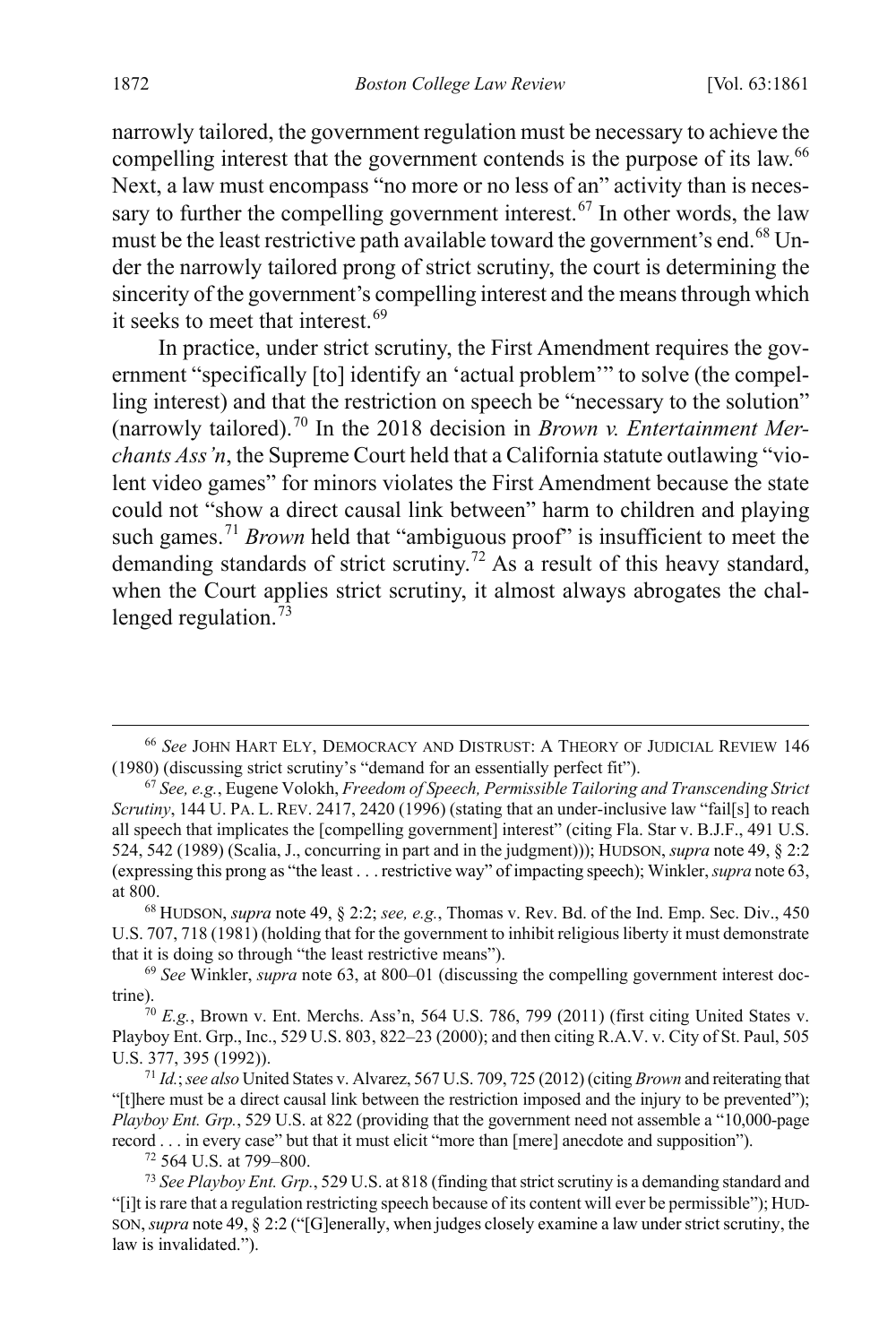narrowly tailored, the government regulation must be necessary to achieve the compelling interest that the government contends is the purpose of its law.<sup>[66](#page-12-0)</sup> Next, a law must encompass "no more or no less of an" activity than is neces-sary to further the compelling government interest.<sup>[67](#page-12-1)</sup> In other words, the law must be the least restrictive path available toward the government's end.<sup>[68](#page-12-2)</sup> Under the narrowly tailored prong of strict scrutiny, the court is determining the sincerity of the government's compelling interest and the means through which it seeks to meet that interest.<sup>[69](#page-12-3)</sup>

In practice, under strict scrutiny, the First Amendment requires the government "specifically [to] identify an 'actual problem'" to solve (the compelling interest) and that the restriction on speech be "necessary to the solution" (narrowly tailored).[70](#page-12-4) In the 2018 decision in *Brown v. Entertainment Merchants Ass'n*, the Supreme Court held that a California statute outlawing "violent video games" for minors violates the First Amendment because the state could not "show a direct causal link between" harm to children and playing such games.<sup>[71](#page-12-5)</sup> *Brown* held that "ambiguous proof" is insufficient to meet the demanding standards of strict scrutiny.<sup>[72](#page-12-6)</sup> As a result of this heavy standard, when the Court applies strict scrutiny, it almost always abrogates the challenged regulation. $\frac{73}{3}$  $\frac{73}{3}$  $\frac{73}{3}$ 

<sup>72</sup> 564 U.S. at 799–800.

<span id="page-12-0"></span> <sup>66</sup> *See* JOHN HART ELY, DEMOCRACY AND DISTRUST: <sup>A</sup> THEORY OF JUDICIAL REVIEW <sup>146</sup> (1980) (discussing strict scrutiny's "demand for an essentially perfect fit").

<span id="page-12-1"></span><sup>67</sup> *See, e.g.*, Eugene Volokh, *Freedom of Speech, Permissible Tailoring and Transcending Strict Scrutiny*, 144 U. PA. L. REV. 2417, 2420 (1996) (stating that an under-inclusive law "fail[s] to reach all speech that implicates the [compelling government] interest" (citing Fla. Star v. B.J.F., 491 U.S. 524, 542 (1989) (Scalia, J., concurring in part and in the judgment))); HUDSON, *supra* not[e 49,](#page-9-6) § 2:2 (expressing this prong as "the least . . . restrictive way" of impacting speech); Winkler, *supra* not[e 63,](#page-11-0) at 800.

<span id="page-12-2"></span><sup>68</sup> HUDSON, *supra* not[e 49,](#page-9-6) § 2:2; *see, e.g.*, Thomas v. Rev. Bd. of the Ind. Emp. Sec. Div., 450 U.S. 707, 718 (1981) (holding that for the government to inhibit religious liberty it must demonstrate that it is doing so through "the least restrictive means").

<span id="page-12-3"></span><sup>69</sup> *See* Winkler, *supra* not[e 63,](#page-11-0) at 800–01 (discussing the compelling government interest doctrine).<br><sup>70</sup> *E.g.*, Brown v. Ent. Merchs. Ass'n, 564 U.S. 786, 799 (2011) (first citing United States v.

<span id="page-12-4"></span>Playboy Ent. Grp., Inc., 529 U.S. 803, 822–23 (2000); and then citing R.A.V. v. City of St. Paul, 505 U.S. 377, 395 (1992)).

<span id="page-12-5"></span><sup>71</sup> *Id.*; *see also* United States v. Alvarez, 567 U.S. 709, 725 (2012) (citing *Brown* and reiterating that "[t]here must be a direct causal link between the restriction imposed and the injury to be prevented"); *Playboy Ent. Grp.*, 529 U.S. at 822 (providing that the government need not assemble a "10,000-page record . . . in every case" but that it must elicit "more than [mere] anecdote and supposition").

<span id="page-12-7"></span><span id="page-12-6"></span><sup>73</sup> *See Playboy Ent. Grp.*, 529 U.S. at 818 (finding that strict scrutiny is a demanding standard and "[i]t is rare that a regulation restricting speech because of its content will ever be permissible"); HUD-SON, *supra* not[e 49,](#page-9-6) § 2:2 ("[G]enerally, when judges closely examine a law under strict scrutiny, the law is invalidated.").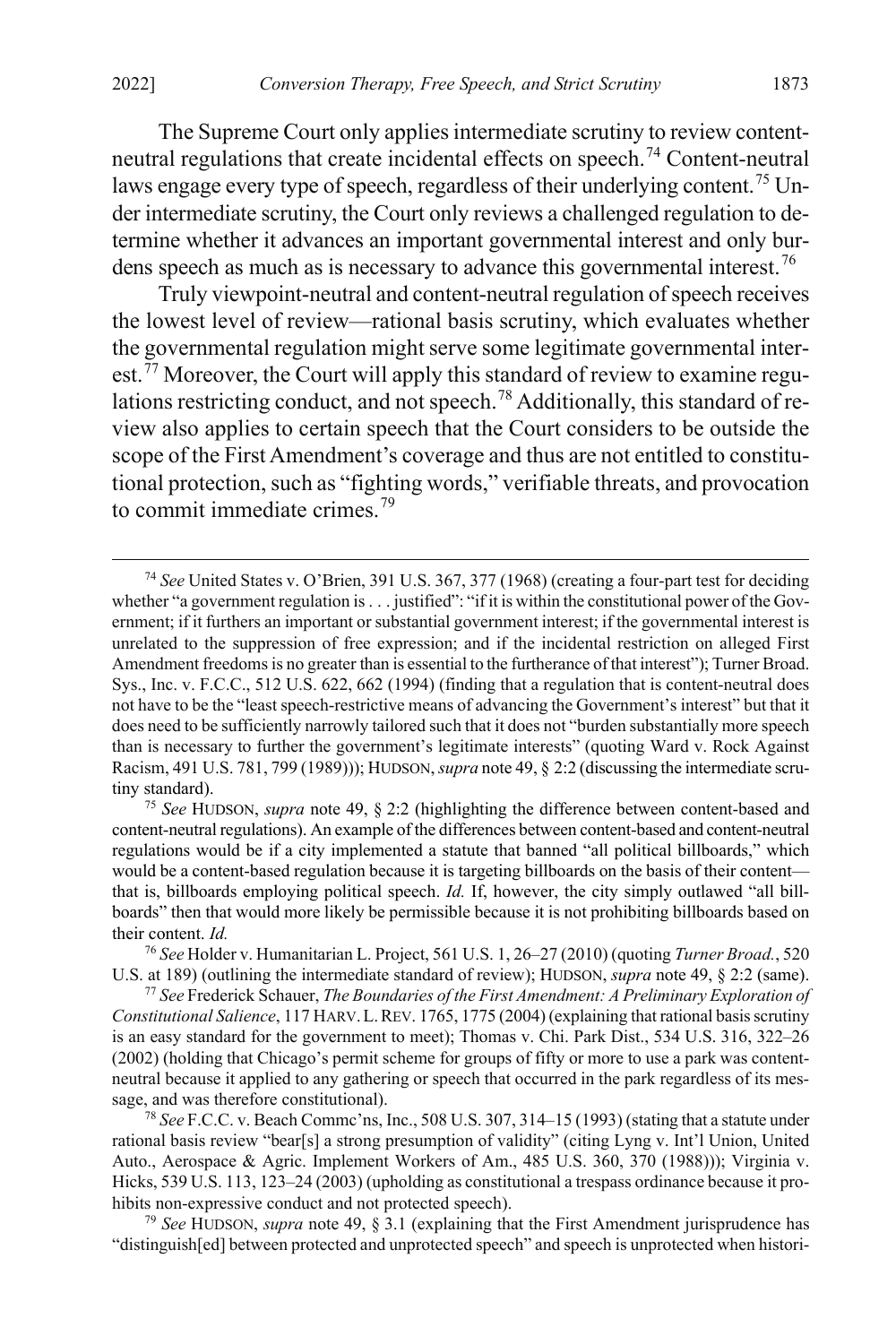The Supreme Court only applies intermediate scrutiny to review contentneutral regulations that create incidental effects on speech.[74](#page-13-1) Content-neutral laws engage every type of speech, regardless of their underlying content.<sup>[75](#page-13-2)</sup> Under intermediate scrutiny, the Court only reviews a challenged regulation to determine whether it advances an important governmental interest and only bur-dens speech as much as is necessary to advance this governmental interest.<sup>[76](#page-13-3)</sup>

Truly viewpoint-neutral and content-neutral regulation of speech receives the lowest level of review—rational basis scrutiny, which evaluates whether the governmental regulation might serve some legitimate governmental interest.<sup> $77$ </sup> Moreover, the Court will apply this standard of review to examine regulations restricting conduct, and not speech.[78](#page-13-5) Additionally, this standard of review also applies to certain speech that the Court considers to be outside the scope of the First Amendment's coverage and thus are not entitled to constitutional protection, such as "fighting words," verifiable threats, and provocation to commit immediate crimes.[79](#page-13-6)

<span id="page-13-2"></span><sup>75</sup> *See* HUDSON, *supra* note [49,](#page-9-6) § 2:2 (highlighting the difference between content-based and content-neutral regulations). An example of the differences between content-based and content-neutral regulations would be if a city implemented a statute that banned "all political billboards," which would be a content-based regulation because it is targeting billboards on the basis of their content that is, billboards employing political speech. *Id.* If, however, the city simply outlawed "all billboards" then that would more likely be permissible because it is not prohibiting billboards based on their content. *Id.*

<span id="page-13-3"></span><sup>76</sup> *See* Holder v. Humanitarian L. Project, 561 U.S. 1, 26–27 (2010) (quoting *Turner Broad.*, 520 U.S. at 189) (outlining the intermediate standard of review); HUDSON, *supra* note [49,](#page-9-6) § 2:2 (same).

<span id="page-13-4"></span><sup>77</sup> *See* Frederick Schauer, *The Boundaries of the First Amendment: A Preliminary Exploration of Constitutional Salience*, 117 HARV.L.REV. 1765, 1775 (2004) (explaining that rational basis scrutiny is an easy standard for the government to meet); Thomas v. Chi. Park Dist., 534 U.S. 316, 322–26 (2002) (holding that Chicago's permit scheme for groups of fifty or more to use a park was contentneutral because it applied to any gathering or speech that occurred in the park regardless of its message, and was therefore constitutional).

<span id="page-13-5"></span><sup>78</sup> *See* F.C.C. v. Beach Commc'ns, Inc., 508 U.S. 307, 314–15 (1993) (stating that a statute under rational basis review "bear[s] a strong presumption of validity" (citing Lyng v. Int'l Union, United Auto., Aerospace & Agric. Implement Workers of Am., 485 U.S. 360, 370 (1988))); Virginia v. Hicks, 539 U.S. 113, 123–24 (2003) (upholding as constitutional a trespass ordinance because it prohibits non-expressive conduct and not protected speech).

<span id="page-13-6"></span><sup>79</sup> *See* HUDSON, *supra* note [49,](#page-9-6) § 3.1 (explaining that the First Amendment jurisprudence has "distinguish[ed] between protected and unprotected speech" and speech is unprotected when histori-

<span id="page-13-1"></span><span id="page-13-0"></span> <sup>74</sup> *See* United States v. O'Brien, 391 U.S. 367, 377 (1968) (creating a four-part test for deciding whether "a government regulation is . . . justified": "if it is within the constitutional power of the Government; if it furthers an important or substantial government interest; if the governmental interest is unrelated to the suppression of free expression; and if the incidental restriction on alleged First Amendment freedoms is no greater than is essential to the furtherance of that interest"); Turner Broad. Sys., Inc. v. F.C.C., 512 U.S. 622, 662 (1994) (finding that a regulation that is content-neutral does not have to be the "least speech-restrictive means of advancing the Government's interest" but that it does need to be sufficiently narrowly tailored such that it does not "burden substantially more speech than is necessary to further the government's legitimate interests" (quoting Ward v. Rock Against Racism, 491 U.S. 781, 799 (1989))); HUDSON,*supra* not[e 49,](#page-9-6) § 2:2 (discussing the intermediate scrutiny standard).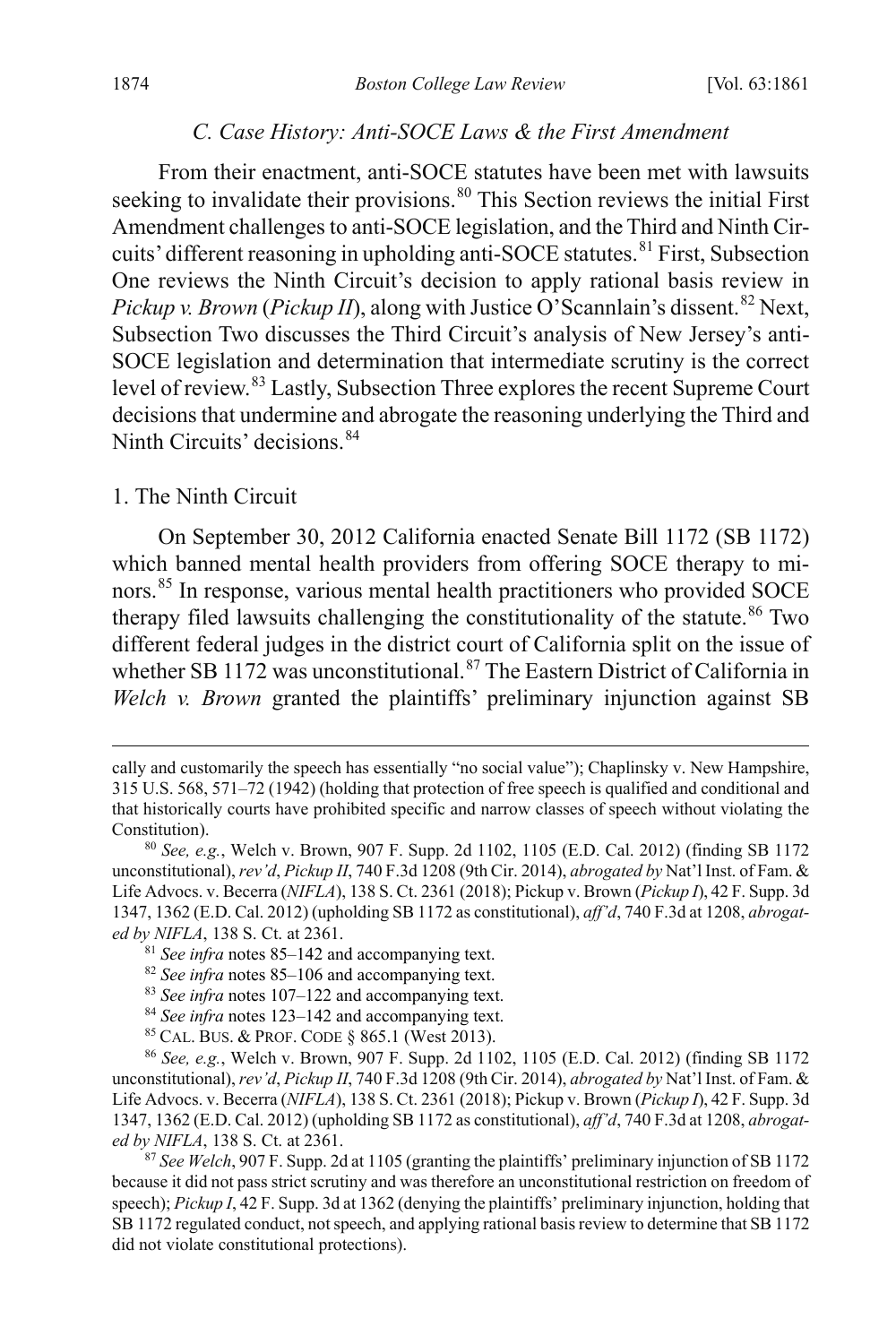#### <span id="page-14-0"></span>*C. Case History: Anti-SOCE Laws & the First Amendment*

From their enactment, anti-SOCE statutes have been met with lawsuits seeking to invalidate their provisions.<sup>[80](#page-14-2)</sup> This Section reviews the initial First Amendment challenges to anti-SOCE legislation, and the Third and Ninth Cir-cuits' different reasoning in upholding anti-SOCE statutes.<sup>[81](#page-14-3)</sup> First, Subsection One reviews the Ninth Circuit's decision to apply rational basis review in *Pickup v. Brown (Pickup II)*, along with Justice O'Scannlain's dissent.<sup>[82](#page-14-4)</sup> Next, Subsection Two discusses the Third Circuit's analysis of New Jersey's anti-SOCE legislation and determination that intermediate scrutiny is the correct level of review.[83](#page-14-5) Lastly, Subsection Three explores the recent Supreme Court decisions that undermine and abrogate the reasoning underlying the Third and Ninth Circuits' decisions. [84](#page-14-6)

#### 1. The Ninth Circuit

<span id="page-14-1"></span>On September 30, 2012 California enacted Senate Bill 1172 (SB 1172) which banned mental health providers from offering SOCE therapy to minors.[85](#page-14-7) In response, various mental health practitioners who provided SOCE therapy filed lawsuits challenging the constitutionality of the statute.<sup>[86](#page-14-8)</sup> Two different federal judges in the district court of California split on the issue of whether SB 1172 was unconstitutional.<sup>[87](#page-14-9)</sup> The Eastern District of California in *Welch v. Brown* granted the plaintiffs' preliminary injunction against SB

<sup>85</sup> CAL. BUS. & PROF. CODE § 865.1 (West 2013).

cally and customarily the speech has essentially "no social value"); Chaplinsky v. New Hampshire, 315 U.S. 568, 571–72 (1942) (holding that protection of free speech is qualified and conditional and that historically courts have prohibited specific and narrow classes of speech without violating the Constitution).

<span id="page-14-2"></span><sup>80</sup> *See, e.g.*, Welch v. Brown, 907 F. Supp. 2d 1102, 1105 (E.D. Cal. 2012) (finding SB 1172 unconstitutional), *rev'd*, *Pickup II*, 740 F.3d 1208 (9th Cir. 2014), *abrogated by* Nat'l Inst. of Fam. & Life Advocs. v. Becerra (*NIFLA*), 138 S. Ct. 2361 (2018); Pickup v. Brown (*Pickup I*), 42 F. Supp. 3d 1347, 1362 (E.D. Cal. 2012) (upholding SB 1172 as constitutional), *aff'd*, 740 F.3d at 1208, *abrogated by NIFLA*, 138 S. Ct. at 2361.

<span id="page-14-3"></span><sup>81</sup> *See infra* note[s 85–](#page-14-1)[142](#page-22-0) and accompanying text.

<sup>82</sup> *See infra* note[s 85–](#page-14-1)[106](#page-17-0) and accompanying text.

<sup>83</sup> *See infra* note[s 107](#page-17-1)[–122](#page-19-0) and accompanying text.

<sup>84</sup> *See infra* note[s 123](#page-19-1)[–142](#page-22-0) and accompanying text.

<span id="page-14-8"></span><span id="page-14-7"></span><span id="page-14-6"></span><span id="page-14-5"></span><span id="page-14-4"></span><sup>86</sup> *See, e.g.*, Welch v. Brown, 907 F. Supp. 2d 1102, 1105 (E.D. Cal. 2012) (finding SB 1172 unconstitutional), *rev'd*, *Pickup II*, 740 F.3d 1208 (9th Cir. 2014), *abrogated by* Nat'l Inst. of Fam. & Life Advocs. v. Becerra (*NIFLA*), 138 S. Ct. 2361 (2018); Pickup v. Brown (*Pickup I*), 42 F. Supp. 3d 1347, 1362 (E.D. Cal. 2012) (upholding SB 1172 as constitutional), *aff'd*, 740 F.3d at 1208, *abrogated by NIFLA*, 138 S. Ct. at 2361.

<span id="page-14-9"></span><sup>87</sup> *See Welch*, 907 F. Supp. 2d at 1105 (granting the plaintiffs' preliminary injunction of SB 1172 because it did not pass strict scrutiny and was therefore an unconstitutional restriction on freedom of speech); *Pickup I*, 42 F. Supp. 3d at 1362 (denying the plaintiffs' preliminary injunction, holding that SB 1172 regulated conduct, not speech, and applying rational basis review to determine that SB 1172 did not violate constitutional protections).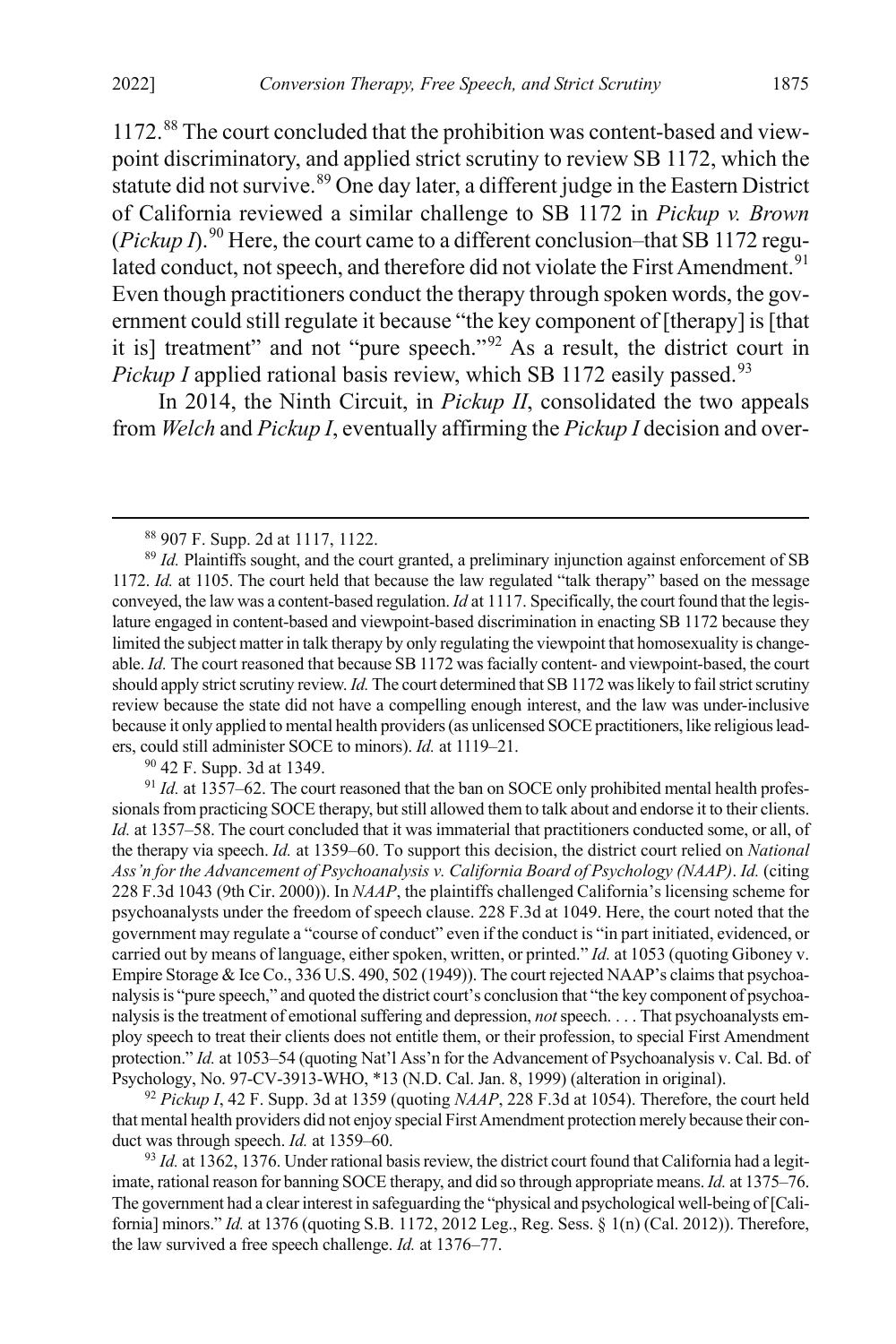1172.[88](#page-15-0) The court concluded that the prohibition was content-based and viewpoint discriminatory, and applied strict scrutiny to review SB 1172, which the statute did not survive.<sup>[89](#page-15-1)</sup> One day later, a different judge in the Eastern District of California reviewed a similar challenge to SB 1172 in *Pickup v. Brown*  ( $Pickup\ D$ <sup>00</sup> Here, the court came to a different conclusion–that SB 1172 regu-lated conduct, not speech, and therefore did not violate the First Amendment.<sup>[91](#page-15-3)</sup> Even though practitioners conduct the therapy through spoken words, the government could still regulate it because "the key component of [therapy] is [that it is] treatment" and not "pure speech."[92](#page-15-4) As a result, the district court in *Pickup I* applied rational basis review, which SB 1172 easily passed.<sup>[93](#page-15-5)</sup>

In 2014, the Ninth Circuit, in *Pickup II*, consolidated the two appeals from *Welch* and *Pickup I*, eventually affirming the *Pickup I* decision and over-

<sup>90</sup> 42 F. Supp. 3d at 1349.

<span id="page-15-4"></span><sup>92</sup> *Pickup I*, 42 F. Supp. 3d at 1359 (quoting *NAAP*, 228 F.3d at 1054). Therefore, the court held that mental health providers did not enjoy special First Amendment protection merely because their conduct was through speech. *Id.* at 1359–60.

<span id="page-15-5"></span>93 *Id.* at 1362, 1376. Under rational basis review, the district court found that California had a legitimate, rational reason for banning SOCE therapy, and did so through appropriate means. *Id.* at 1375–76. The government had a clear interest in safeguarding the "physical and psychological well-being of [California] minors." *Id.* at 1376 (quoting S.B. 1172, 2012 Leg., Reg. Sess. § 1(n) (Cal. 2012)). Therefore, the law survived a free speech challenge. *Id.* at 1376–77.

 <sup>88</sup> 907 F. Supp. 2d at 1117, 1122.

<span id="page-15-1"></span><span id="page-15-0"></span><sup>&</sup>lt;sup>89</sup> Id. Plaintiffs sought, and the court granted, a preliminary injunction against enforcement of SB 1172. *Id.* at 1105. The court held that because the law regulated "talk therapy" based on the message conveyed, the law was a content-based regulation. *Id* at 1117. Specifically, the court found that the legislature engaged in content-based and viewpoint-based discrimination in enacting SB 1172 because they limited the subject matter in talk therapy by only regulating the viewpoint that homosexuality is changeable. *Id.* The court reasoned that because SB 1172 was facially content- and viewpoint-based, the court should apply strict scrutiny review. *Id.* The court determined that SB 1172 was likely to fail strict scrutiny review because the state did not have a compelling enough interest, and the law was under-inclusive because it only applied to mental health providers (as unlicensed SOCE practitioners, like religious leaders, could still administer SOCE to minors). *Id.* at 1119–21.

<span id="page-15-3"></span><span id="page-15-2"></span><sup>&</sup>lt;sup>91</sup> *Id.* at 1357–62. The court reasoned that the ban on SOCE only prohibited mental health professionals from practicing SOCE therapy, but still allowed them to talk about and endorse it to their clients. *Id.* at 1357–58. The court concluded that it was immaterial that practitioners conducted some, or all, of the therapy via speech. *Id.* at 1359–60. To support this decision, the district court relied on *National Ass'n for the Advancement of Psychoanalysis v. California Board of Psychology (NAAP)*. *Id.* (citing 228 F.3d 1043 (9th Cir. 2000)). In *NAAP*, the plaintiffs challenged California's licensing scheme for psychoanalysts under the freedom of speech clause. 228 F.3d at 1049. Here, the court noted that the government may regulate a "course of conduct" even if the conduct is "in part initiated, evidenced, or carried out by means of language, either spoken, written, or printed." *Id.* at 1053 (quoting Giboney v. Empire Storage & Ice Co., 336 U.S. 490, 502 (1949)). The court rejected NAAP's claims that psychoanalysis is "pure speech," and quoted the district court's conclusion that "the key component of psychoanalysis is the treatment of emotional suffering and depression, *not*speech. . . . That psychoanalysts employ speech to treat their clients does not entitle them, or their profession, to special First Amendment protection." *Id.* at 1053–54 (quoting Nat'l Ass'n for the Advancement of Psychoanalysis v. Cal. Bd. of Psychology, No. 97-CV-3913-WHO, \*13 (N.D. Cal. Jan. 8, 1999) (alteration in original).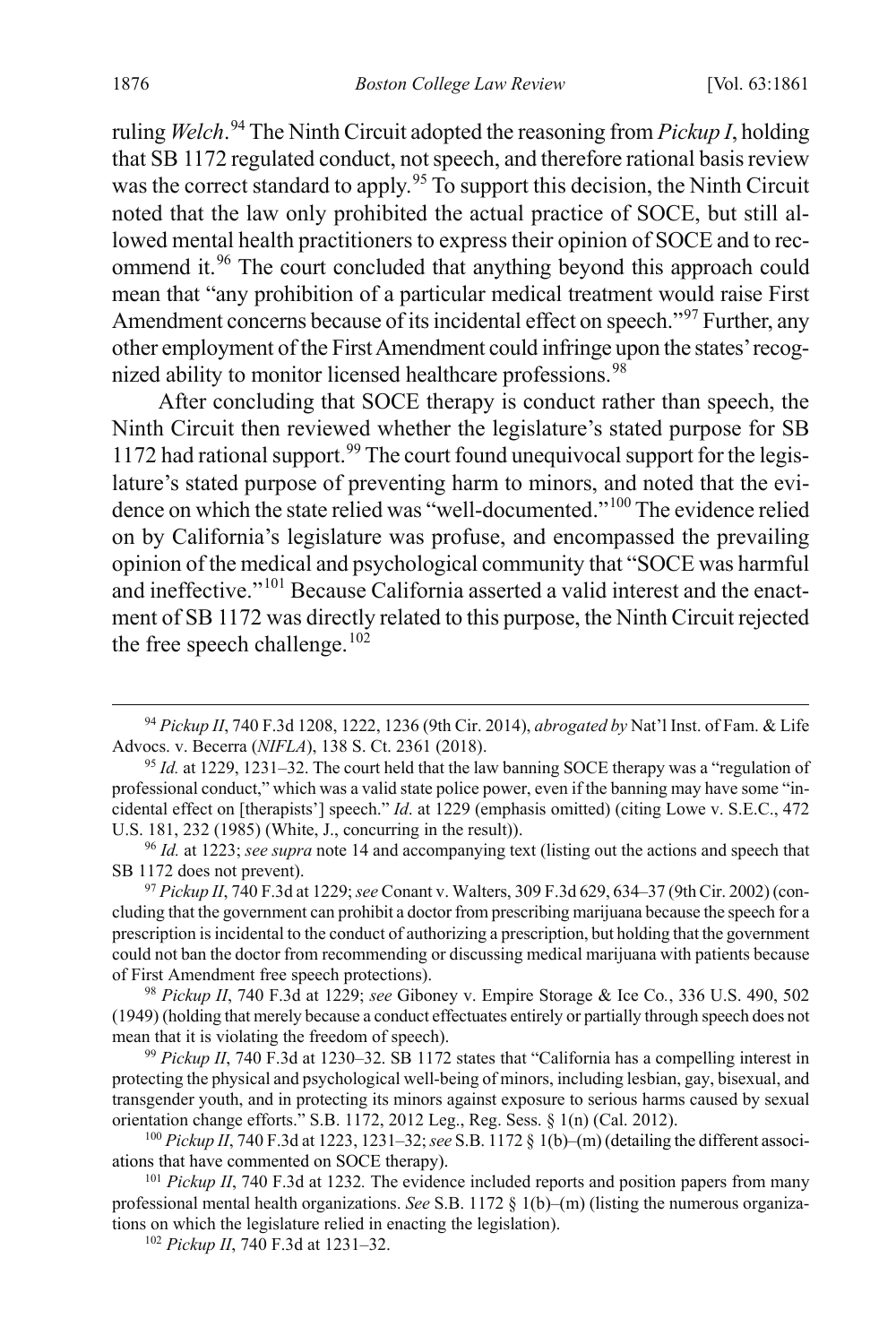ruling *Welch*. [94](#page-16-0) The Ninth Circuit adopted the reasoning from *Pickup I*, holding that SB 1172 regulated conduct, not speech, and therefore rational basis review was the correct standard to apply.<sup>[95](#page-16-1)</sup> To support this decision, the Ninth Circuit noted that the law only prohibited the actual practice of SOCE, but still allowed mental health practitioners to express their opinion of SOCE and to rec-ommend it.<sup>[96](#page-16-2)</sup> The court concluded that anything beyond this approach could mean that "any prohibition of a particular medical treatment would raise First Amendment concerns because of its incidental effect on speech."<sup>[97](#page-16-3)</sup> Further, any other employment of the First Amendment could infringe upon the states' recog-nized ability to monitor licensed healthcare professions.<sup>[98](#page-16-4)</sup>

After concluding that SOCE therapy is conduct rather than speech, the Ninth Circuit then reviewed whether the legislature's stated purpose for SB 1172 had rational support.<sup>[99](#page-16-5)</sup> The court found unequivocal support for the legislature's stated purpose of preventing harm to minors, and noted that the evi-dence on which the state relied was "well-documented."<sup>[100](#page-16-6)</sup> The evidence relied on by California's legislature was profuse, and encompassed the prevailing opinion of the medical and psychological community that "SOCE was harmful and ineffective."<sup>[101](#page-16-7)</sup> Because California asserted a valid interest and the enactment of SB 1172 was directly related to this purpose, the Ninth Circuit rejected the free speech challenge.<sup>[102](#page-16-8)</sup>

<span id="page-16-5"></span><sup>99</sup> *Pickup II*, 740 F.3d at 1230–32. SB 1172 states that "California has a compelling interest in protecting the physical and psychological well-being of minors, including lesbian, gay, bisexual, and transgender youth, and in protecting its minors against exposure to serious harms caused by sexual orientation change efforts." S.B. 1172, 2012 Leg., Reg. Sess. § 1(n) (Cal. 2012).

<span id="page-16-6"></span><sup>100</sup> *Pickup II*, 740 F.3d at 1223, 1231–32;*see* S.B. 1172 § 1(b)–(m) (detailing the different associations that have commented on SOCE therapy).

<span id="page-16-8"></span><span id="page-16-7"></span><sup>101</sup> *Pickup II*, 740 F.3d at 1232*.* The evidence included reports and position papers from many professional mental health organizations. *See* S.B. 1172 § 1(b)–(m) (listing the numerous organizations on which the legislature relied in enacting the legislation).

<sup>102</sup> *Pickup II*, 740 F.3d at 1231–32.

<span id="page-16-0"></span> <sup>94</sup> *Pickup II*, 740 F.3d 1208, 1222, 1236 (9th Cir. 2014), *abrogated by* Nat'l Inst. of Fam. & Life Advocs. v. Becerra (*NIFLA*), 138 S. Ct. 2361 (2018).

<span id="page-16-1"></span><sup>95</sup> *Id.* at 1229, 1231–32. The court held that the law banning SOCE therapy was a "regulation of professional conduct," which was a valid state police power, even if the banning may have some "incidental effect on [therapists'] speech." *Id*. at 1229 (emphasis omitted) (citing Lowe v. S.E.C., 472 U.S. 181, 232 (1985) (White, J., concurring in the result)).

<span id="page-16-2"></span><sup>96</sup> *Id.* at 1223; *see supra* not[e 14](#page-3-5) and accompanying text (listing out the actions and speech that SB 1172 does not prevent).

<span id="page-16-3"></span><sup>97</sup> *Pickup II*, 740 F.3d at 1229; *see* Conant v. Walters, 309 F.3d 629, 634–37 (9th Cir. 2002) (concluding that the government can prohibit a doctor from prescribing marijuana because the speech for a prescription is incidental to the conduct of authorizing a prescription, but holding that the government could not ban the doctor from recommending or discussing medical marijuana with patients because of First Amendment free speech protections).

<span id="page-16-4"></span><sup>98</sup> *Pickup II*, 740 F.3d at 1229; *see* Giboney v. Empire Storage & Ice Co*.*, 336 U.S. 490, 502 (1949) (holding that merely because a conduct effectuates entirely or partially through speech does not mean that it is violating the freedom of speech).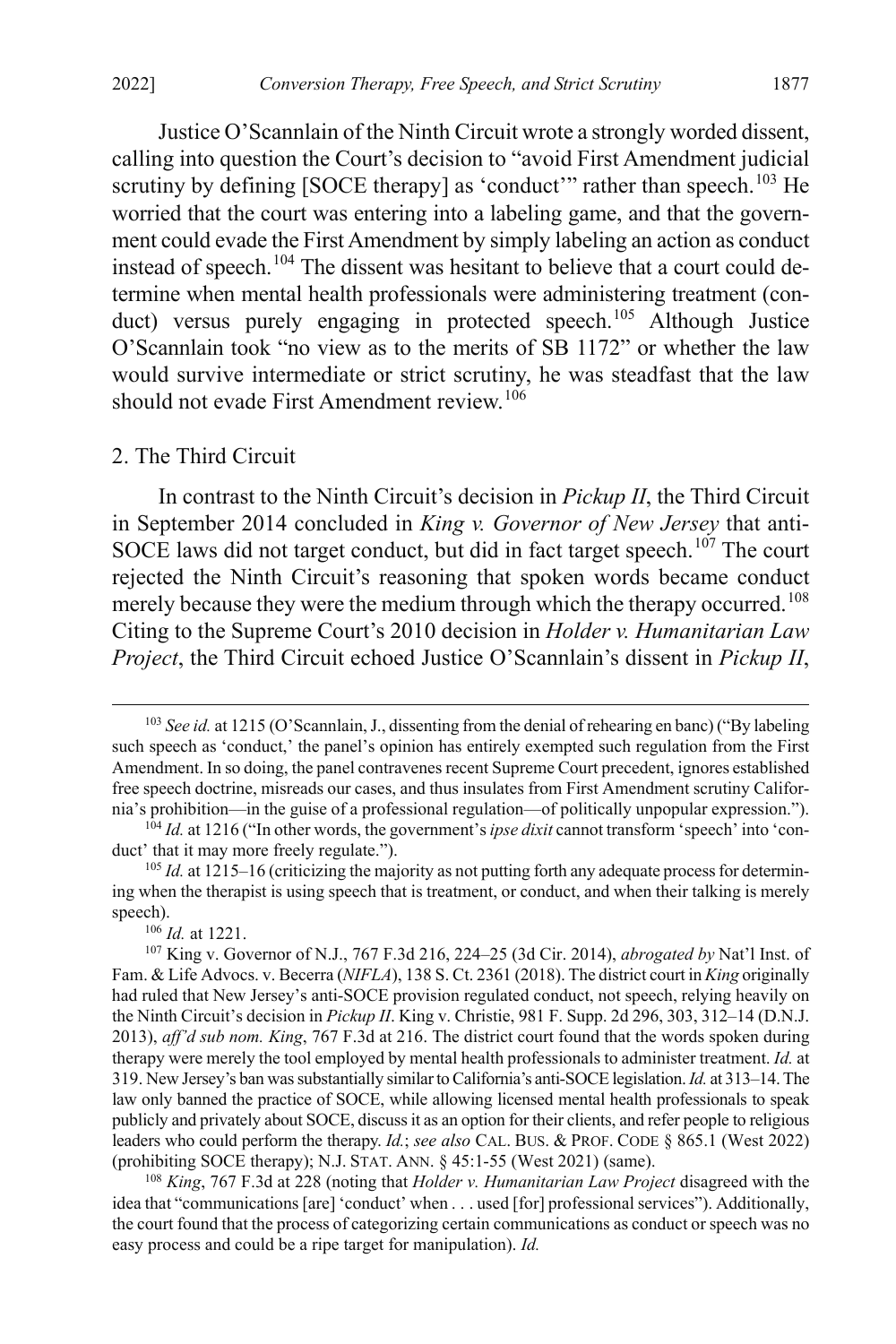Justice O'Scannlain of the Ninth Circuit wrote a strongly worded dissent, calling into question the Court's decision to "avoid First Amendment judicial scrutiny by defining  $[SOCE$  therapy $]$  as 'conduct'" rather than speech.<sup>[103](#page-17-2)</sup> He worried that the court was entering into a labeling game, and that the government could evade the First Amendment by simply labeling an action as conduct instead of speech.<sup>[104](#page-17-3)</sup> The dissent was hesitant to believe that a court could determine when mental health professionals were administering treatment (con-duct) versus purely engaging in protected speech.<sup>[105](#page-17-4)</sup> Although Justice O'Scannlain took "no view as to the merits of SB 1172" or whether the law would survive intermediate or strict scrutiny, he was steadfast that the law should not evade First Amendment review.<sup>[106](#page-17-5)</sup>

#### <span id="page-17-0"></span>2. The Third Circuit

<span id="page-17-1"></span>In contrast to the Ninth Circuit's decision in *Pickup II*, the Third Circuit in September 2014 concluded in *King v. Governor of New Jersey* that anti-SOCE laws did not target conduct, but did in fact target speech.<sup>[107](#page-17-6)</sup> The court rejected the Ninth Circuit's reasoning that spoken words became conduct merely because they were the medium through which the therapy occurred.<sup>[108](#page-17-7)</sup> Citing to the Supreme Court's 2010 decision in *Holder v. Humanitarian Law Project*, the Third Circuit echoed Justice O'Scannlain's dissent in *Pickup II*,

<sup>106</sup> *Id.* at 1221.

<span id="page-17-2"></span> <sup>103</sup> *See id.* at 1215 (O'Scannlain, J., dissenting from the denial of rehearing en banc) ("By labeling such speech as 'conduct,' the panel's opinion has entirely exempted such regulation from the First Amendment. In so doing, the panel contravenes recent Supreme Court precedent, ignores established free speech doctrine, misreads our cases, and thus insulates from First Amendment scrutiny California's prohibition—in the guise of a professional regulation—of politically unpopular expression.").

<span id="page-17-3"></span><sup>104</sup> *Id.* at 1216 ("In other words, the government's *ipse dixit* cannot transform 'speech' into 'conduct' that it may more freely regulate.").

<span id="page-17-4"></span><sup>&</sup>lt;sup>105</sup> *Id.* at 1215–16 (criticizing the majority as not putting forth any adequate process for determining when the therapist is using speech that is treatment, or conduct, and when their talking is merely speech).

<span id="page-17-6"></span><span id="page-17-5"></span><sup>107</sup> King v. Governor of N.J., 767 F.3d 216, 224–25 (3d Cir. 2014), *abrogated by* Nat'l Inst. of Fam. & Life Advocs. v. Becerra (*NIFLA*), 138 S. Ct. 2361 (2018). The district court in *King* originally had ruled that New Jersey's anti-SOCE provision regulated conduct, not speech, relying heavily on the Ninth Circuit's decision in *Pickup II*. King v. Christie, 981 F. Supp. 2d 296, 303, 312–14 (D.N.J. 2013), *aff'd sub nom. King*, 767 F.3d at 216. The district court found that the words spoken during therapy were merely the tool employed by mental health professionals to administer treatment. *Id.* at 319. New Jersey's ban was substantially similar to California's anti-SOCE legislation. *Id.* at 313–14. The law only banned the practice of SOCE, while allowing licensed mental health professionals to speak publicly and privately about SOCE, discuss it as an option for their clients, and refer people to religious leaders who could perform the therapy. *Id.*; *see also* CAL. BUS. & PROF. CODE § 865.1 (West 2022) (prohibiting SOCE therapy); N.J. STAT. ANN. § 45:1-55 (West 2021) (same).

<span id="page-17-7"></span><sup>108</sup> *King*, 767 F.3d at 228 (noting that *Holder v. Humanitarian Law Project* disagreed with the idea that "communications [are] 'conduct' when . . . used [for] professional services"). Additionally, the court found that the process of categorizing certain communications as conduct or speech was no easy process and could be a ripe target for manipulation). *Id.*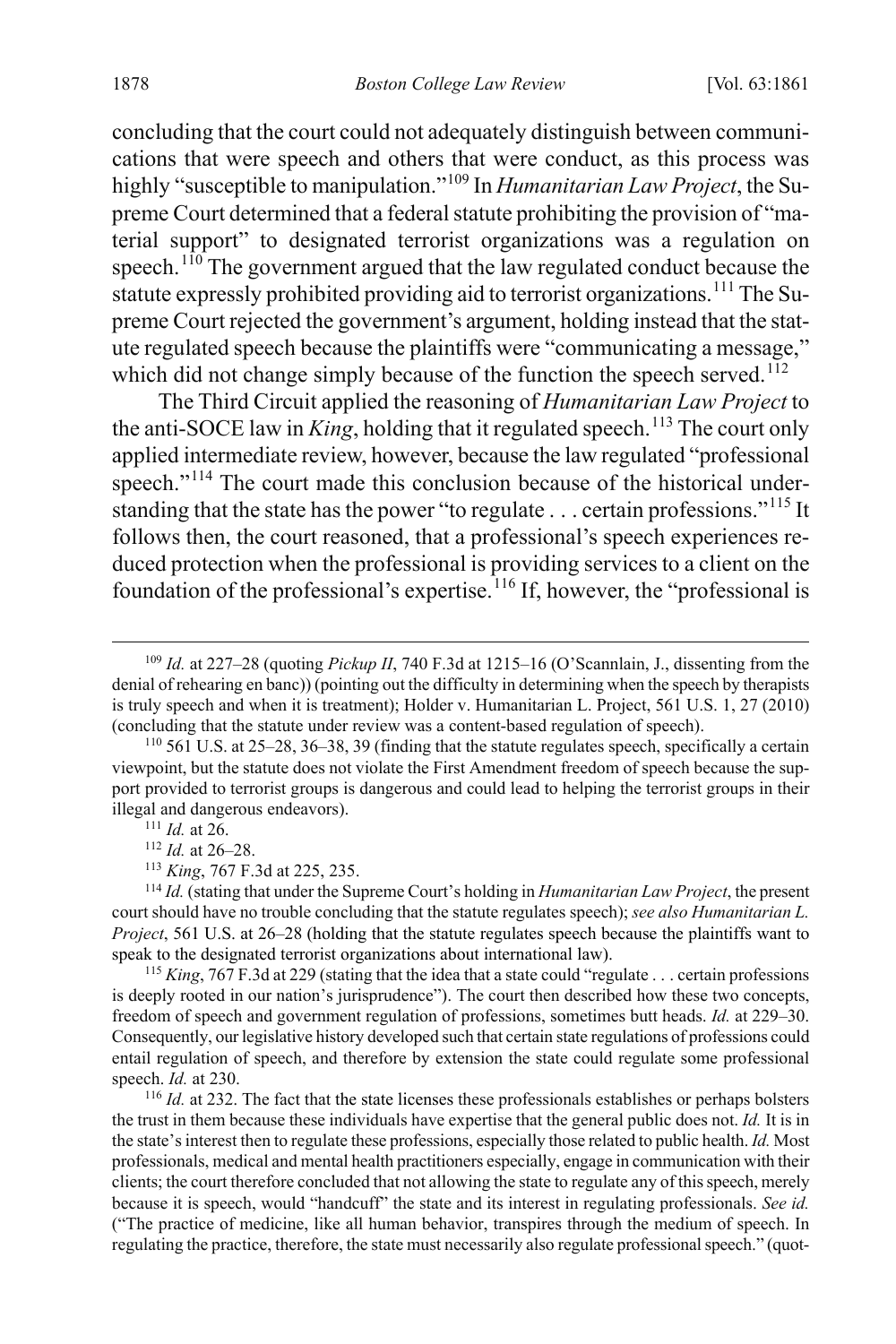concluding that the court could not adequately distinguish between communications that were speech and others that were conduct, as this process was highly "susceptible to manipulation."[109](#page-18-0) In *Humanitarian Law Project*, the Supreme Court determined that a federal statute prohibiting the provision of "material support" to designated terrorist organizations was a regulation on speech.<sup>[110](#page-18-1)</sup> The government argued that the law regulated conduct because the statute expressly prohibited providing aid to terrorist organizations.<sup>[111](#page-18-2)</sup> The Supreme Court rejected the government's argument, holding instead that the statute regulated speech because the plaintiffs were "communicating a message," which did not change simply because of the function the speech served.<sup>[112](#page-18-3)</sup>

The Third Circuit applied the reasoning of *Humanitarian Law Project* to the anti-SOCE law in *King*, holding that it regulated speech.<sup>[113](#page-18-4)</sup> The court only applied intermediate review, however, because the law regulated "professional speech."<sup>[114](#page-18-5)</sup> The court made this conclusion because of the historical understanding that the state has the power "to regulate . . . certain professions."[115](#page-18-6) It follows then, the court reasoned, that a professional's speech experiences reduced protection when the professional is providing services to a client on the foundation of the professional's expertise.<sup>[116](#page-18-7)</sup> If, however, the "professional is

<span id="page-18-5"></span><span id="page-18-4"></span><span id="page-18-3"></span><span id="page-18-2"></span><sup>114</sup> *Id.* (stating that under the Supreme Court's holding in *Humanitarian Law Project*, the present court should have no trouble concluding that the statute regulates speech); *see also Humanitarian L. Project*, 561 U.S. at 26–28 (holding that the statute regulates speech because the plaintiffs want to speak to the designated terrorist organizations about international law).

<span id="page-18-6"></span><sup>115</sup> *King*, 767 F.3d at 229 (stating that the idea that a state could "regulate . . . certain professions" is deeply rooted in our nation's jurisprudence"). The court then described how these two concepts, freedom of speech and government regulation of professions, sometimes butt heads. *Id.* at 229–30. Consequently, our legislative history developed such that certain state regulations of professions could entail regulation of speech, and therefore by extension the state could regulate some professional speech. *Id.* at 230.

<span id="page-18-7"></span><sup>116</sup> *Id.* at 232. The fact that the state licenses these professionals establishes or perhaps bolsters the trust in them because these individuals have expertise that the general public does not. *Id.* It is in the state's interest then to regulate these professions, especially those related to public health. *Id.* Most professionals, medical and mental health practitioners especially, engage in communication with their clients; the court therefore concluded that not allowing the state to regulate any of this speech, merely because it is speech, would "handcuff" the state and its interest in regulating professionals. *See id.*  ("The practice of medicine, like all human behavior, transpires through the medium of speech. In regulating the practice, therefore, the state must necessarily also regulate professional speech." (quot-

<span id="page-18-0"></span> <sup>109</sup> *Id.* at 227–28 (quoting *Pickup II*, 740 F.3d at 1215–16 (O'Scannlain, J., dissenting from the denial of rehearing en banc)) (pointing out the difficulty in determining when the speech by therapists is truly speech and when it is treatment); Holder v. Humanitarian L. Project, 561 U.S. 1, 27 (2010) (concluding that the statute under review was a content-based regulation of speech).

<span id="page-18-1"></span> $110\,561$  U.S. at 25–28, 36–38, 39 (finding that the statute regulates speech, specifically a certain viewpoint, but the statute does not violate the First Amendment freedom of speech because the support provided to terrorist groups is dangerous and could lead to helping the terrorist groups in their illegal and dangerous endeavors).

<sup>111</sup> *Id.* at 26.

<sup>112</sup> *Id.* at 26–28.

<sup>113</sup> *King*, 767 F.3d at 225, 235.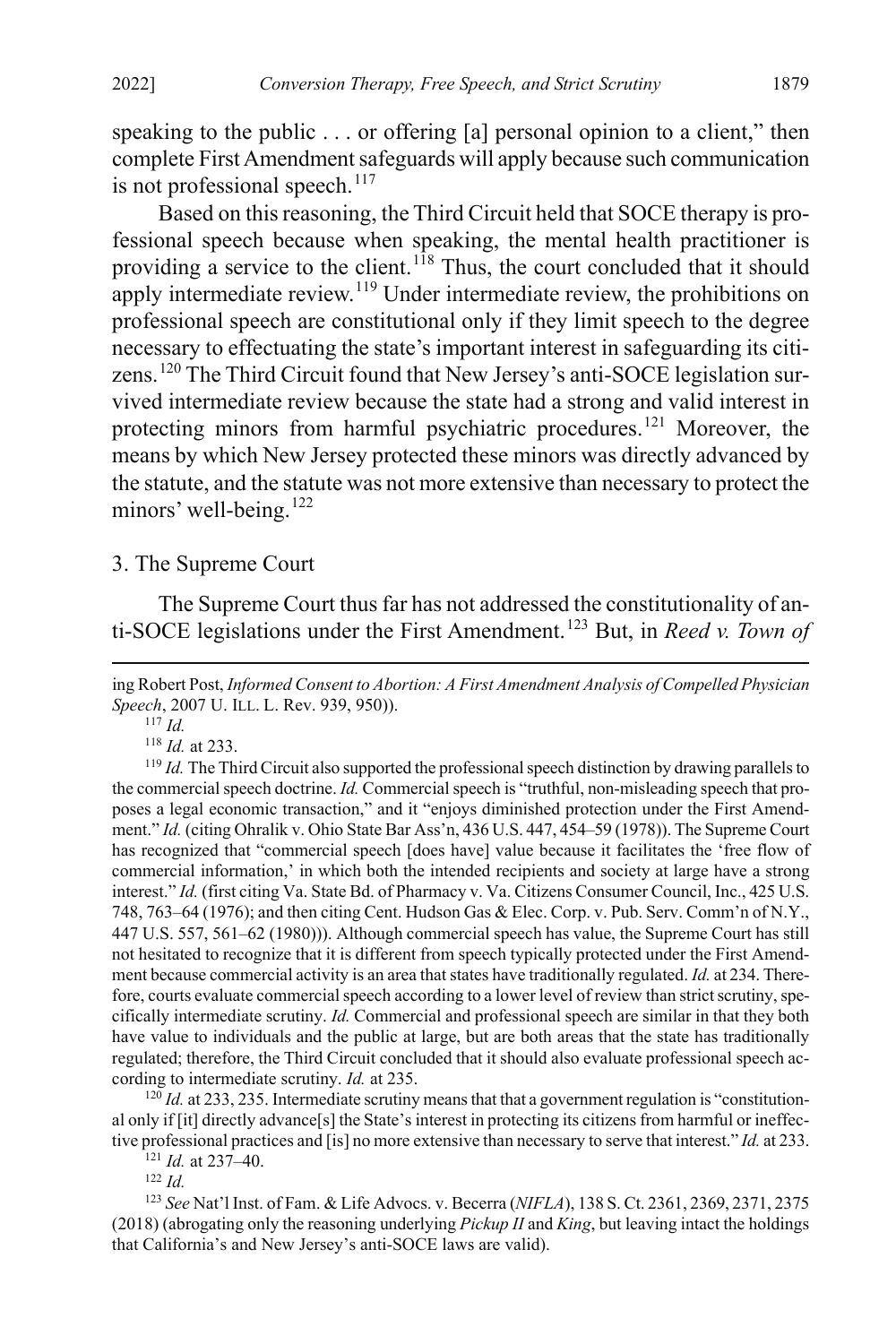speaking to the public . . . or offering [a] personal opinion to a client," then complete First Amendment safeguards will apply because such communication is not professional speech. $117$ 

Based on this reasoning, the Third Circuit held that SOCE therapy is professional speech because when speaking, the mental health practitioner is providing a service to the client.<sup>[118](#page-19-3)</sup> Thus, the court concluded that it should apply intermediate review.<sup>[119](#page-19-4)</sup> Under intermediate review, the prohibitions on professional speech are constitutional only if they limit speech to the degree necessary to effectuating the state's important interest in safeguarding its citi-zens.<sup>[120](#page-19-5)</sup> The Third Circuit found that New Jersey's anti-SOCE legislation survived intermediate review because the state had a strong and valid interest in protecting minors from harmful psychiatric procedures.<sup>[121](#page-19-6)</sup> Moreover, the means by which New Jersey protected these minors was directly advanced by the statute, and the statute was not more extensive than necessary to protect the minors' well-being.<sup>[122](#page-19-7)</sup>

#### <span id="page-19-0"></span>3. The Supreme Court

The Supreme Court thus far has not addressed the constitutionality of anti-SOCE legislations under the First Amendment.[123](#page-19-8) But, in *Reed v. Town of* 

<sup>118</sup> *Id.* at 233.

<span id="page-19-4"></span><span id="page-19-3"></span><sup>119</sup> *Id.* The Third Circuit also supported the professional speech distinction by drawing parallels to the commercial speech doctrine. *Id.* Commercial speech is "truthful, non-misleading speech that proposes a legal economic transaction," and it "enjoys diminished protection under the First Amendment." *Id.* (citing Ohralik v. Ohio State Bar Ass'n, 436 U.S. 447, 454–59 (1978)). The Supreme Court has recognized that "commercial speech [does have] value because it facilitates the 'free flow of commercial information,' in which both the intended recipients and society at large have a strong interest." *Id.* (first citing Va. State Bd. of Pharmacy v. Va. Citizens Consumer Council, Inc., 425 U.S. 748, 763–64 (1976); and then citing Cent. Hudson Gas & Elec. Corp. v. Pub. Serv. Comm'n of N.Y., 447 U.S. 557, 561–62 (1980))). Although commercial speech has value, the Supreme Court has still not hesitated to recognize that it is different from speech typically protected under the First Amendment because commercial activity is an area that states have traditionally regulated. *Id.* at 234. Therefore, courts evaluate commercial speech according to a lower level of review than strict scrutiny, specifically intermediate scrutiny. *Id.* Commercial and professional speech are similar in that they both have value to individuals and the public at large, but are both areas that the state has traditionally regulated; therefore, the Third Circuit concluded that it should also evaluate professional speech according to intermediate scrutiny. *Id.* at 235.

<span id="page-19-5"></span><sup>120</sup> *Id.* at 233, 235. Intermediate scrutiny means that that a government regulation is "constitutional only if [it] directly advance[s] the State's interest in protecting its citizens from harmful or ineffective professional practices and [is] no more extensive than necessary to serve that interest." *Id.* at 233.

<sup>121</sup> *Id.* at 237–40.

<sup>122</sup> *Id.*

<span id="page-19-8"></span><span id="page-19-7"></span><span id="page-19-6"></span><sup>123</sup> *See* Nat'l Inst. of Fam. & Life Advocs. v. Becerra (*NIFLA*), 138 S. Ct. 2361, 2369, 2371, 2375 (2018) (abrogating only the reasoning underlying *Pickup II* and *King*, but leaving intact the holdings that California's and New Jersey's anti-SOCE laws are valid).

<span id="page-19-2"></span>ing Robert Post, *Informed Consent to Abortion: A First Amendment Analysis of Compelled Physician Speech*, 2007 U. ILL. L. Rev. 939, 950)).

<span id="page-19-1"></span><sup>117</sup> *Id.*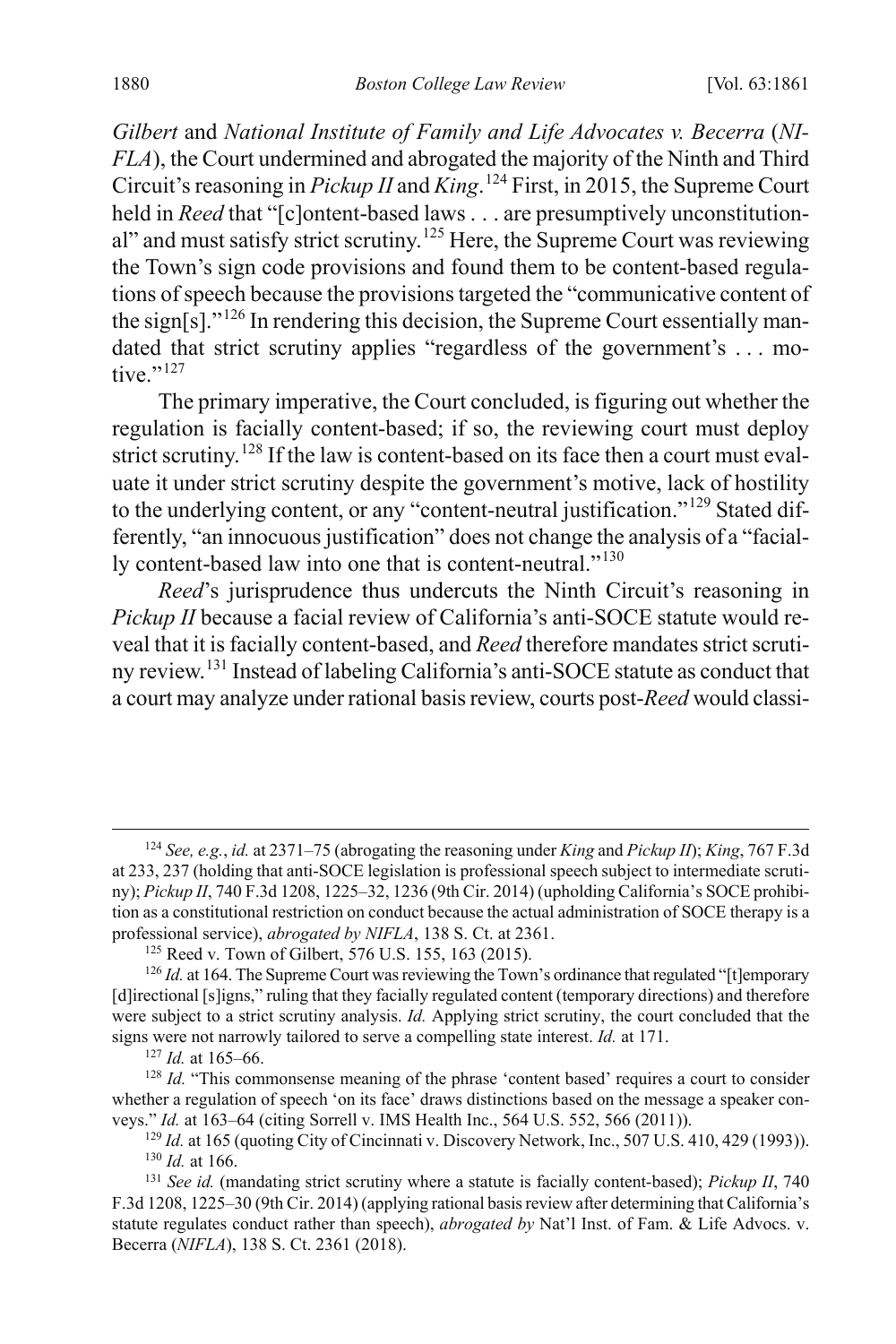*Gilbert* and *National Institute of Family and Life Advocates v. Becerra* (*NI-FLA*), the Court undermined and abrogated the majority of the Ninth and Third Circuit's reasoning in *Pickup II* and *King*. [124](#page-20-0) First, in 2015, the Supreme Court held in *Reed* that "[c]ontent-based laws . . . are presumptively unconstitution-al" and must satisfy strict scrutiny.<sup>[125](#page-20-1)</sup> Here, the Supreme Court was reviewing the Town's sign code provisions and found them to be content-based regulations of speech because the provisions targeted the "communicative content of the sign[s]."<sup>[126](#page-20-2)</sup> In rendering this decision, the Supreme Court essentially mandated that strict scrutiny applies "regardless of the government's . . . motive $"$ <sup>[127](#page-20-3)</sup>

The primary imperative, the Court concluded, is figuring out whether the regulation is facially content-based; if so, the reviewing court must deploy strict scrutiny.<sup>[128](#page-20-4)</sup> If the law is content-based on its face then a court must evaluate it under strict scrutiny despite the government's motive, lack of hostility to the underlying content, or any "content-neutral justification."<sup>[129](#page-20-5)</sup> Stated differently, "an innocuous justification" does not change the analysis of a "facial-ly content-based law into one that is content-neutral."<sup>[130](#page-20-6)</sup>

*Reed*'s jurisprudence thus undercuts the Ninth Circuit's reasoning in *Pickup II* because a facial review of California's anti-SOCE statute would reveal that it is facially content-based, and *Reed* therefore mandates strict scrutiny review.[131](#page-20-7) Instead of labeling California's anti-SOCE statute as conduct that a court may analyze under rational basis review, courts post-*Reed* would classi-

<sup>127</sup> *Id.* at 165–66.

<span id="page-20-0"></span> <sup>124</sup> *See, e.g.*, *id.* at 2371–75 (abrogating the reasoning under *King* and *Pickup II*); *King*, 767 F.3d at 233, 237 (holding that anti-SOCE legislation is professional speech subject to intermediate scrutiny); *Pickup II*, 740 F.3d 1208, 1225–32, 1236 (9th Cir. 2014) (upholding California's SOCE prohibition as a constitutional restriction on conduct because the actual administration of SOCE therapy is a professional service), *abrogated by NIFLA*, 138 S. Ct. at 2361.

<sup>&</sup>lt;sup>125</sup> Reed v. Town of Gilbert, 576 U.S. 155, 163 (2015).

<span id="page-20-2"></span><span id="page-20-1"></span><sup>&</sup>lt;sup>126</sup> *Id.* at 164. The Supreme Court was reviewing the Town's ordinance that regulated "[t]emporary [d]irectional [s]igns," ruling that they facially regulated content (temporary directions) and therefore were subject to a strict scrutiny analysis. *Id.* Applying strict scrutiny, the court concluded that the signs were not narrowly tailored to serve a compelling state interest. *Id.* at 171.

<span id="page-20-4"></span><span id="page-20-3"></span><sup>&</sup>lt;sup>128</sup> *Id.* "This commonsense meaning of the phrase 'content based' requires a court to consider whether a regulation of speech 'on its face' draws distinctions based on the message a speaker conveys." *Id.* at 163–64 (citing Sorrell v. IMS Health Inc., 564 U.S. 552, 566 (2011)).

<sup>&</sup>lt;sup>129</sup> *Id.* at 165 (quoting City of Cincinnati v. Discovery Network, Inc., 507 U.S. 410, 429 (1993)). <sup>130</sup> *Id.* at 166.

<span id="page-20-7"></span><span id="page-20-6"></span><span id="page-20-5"></span><sup>131</sup> *See id.* (mandating strict scrutiny where a statute is facially content-based); *Pickup II*, 740 F.3d 1208, 1225–30 (9th Cir. 2014) (applying rational basis review after determining that California's statute regulates conduct rather than speech), *abrogated by* Nat'l Inst. of Fam. & Life Advocs. v. Becerra (*NIFLA*), 138 S. Ct. 2361 (2018).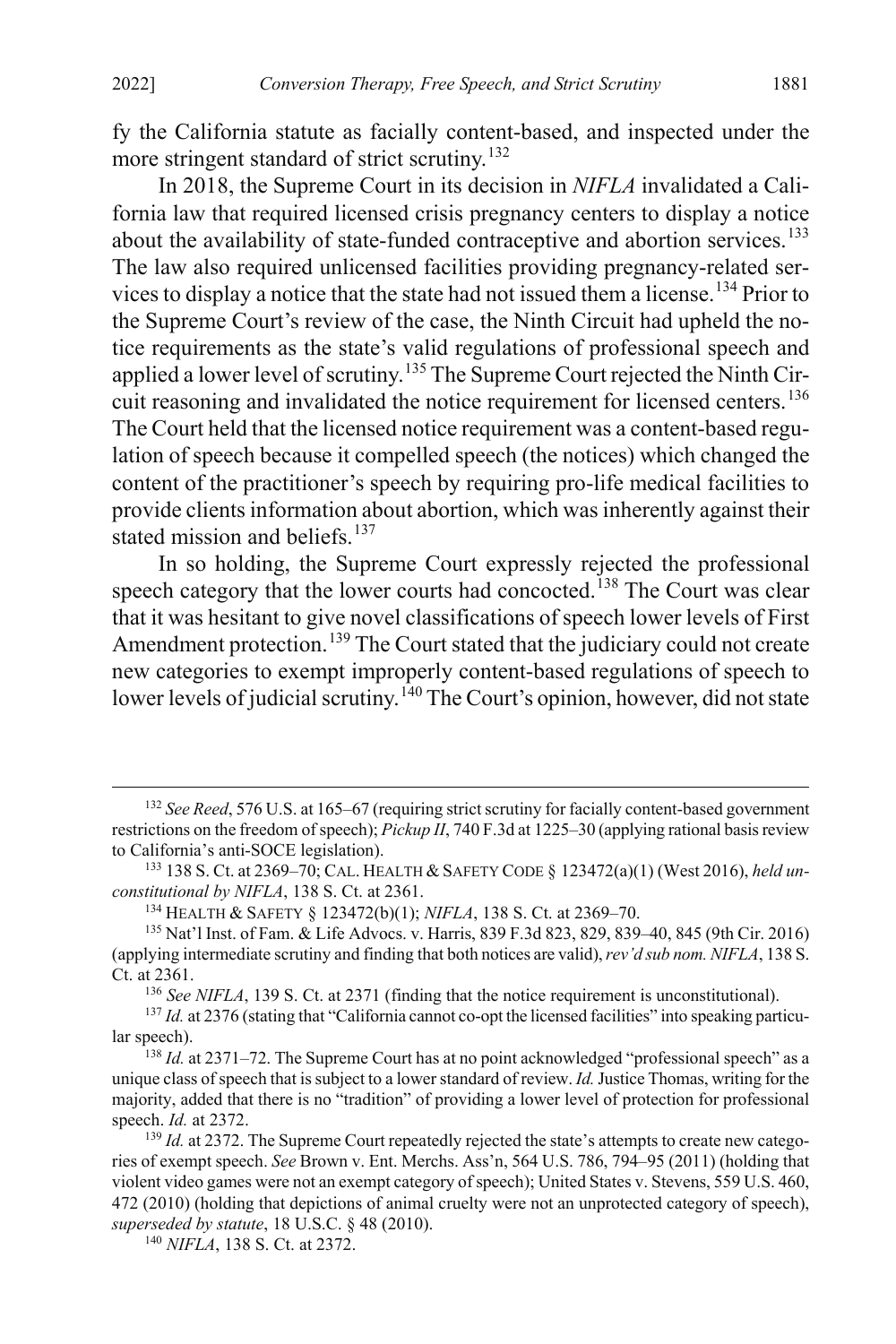fy the California statute as facially content-based, and inspected under the more stringent standard of strict scrutiny.<sup>[132](#page-21-0)</sup>

In 2018, the Supreme Court in its decision in *NIFLA* invalidated a California law that required licensed crisis pregnancy centers to display a notice about the availability of state-funded contraceptive and abortion services.<sup>[133](#page-21-1)</sup> The law also required unlicensed facilities providing pregnancy-related services to display a notice that the state had not issued them a license.[134](#page-21-2) Prior to the Supreme Court's review of the case, the Ninth Circuit had upheld the notice requirements as the state's valid regulations of professional speech and applied a lower level of scrutiny.[135](#page-21-3) The Supreme Court rejected the Ninth Cir-cuit reasoning and invalidated the notice requirement for licensed centers.<sup>[136](#page-21-4)</sup> The Court held that the licensed notice requirement was a content-based regulation of speech because it compelled speech (the notices) which changed the content of the practitioner's speech by requiring pro-life medical facilities to provide clients information about abortion, which was inherently against their stated mission and beliefs.<sup>[137](#page-21-5)</sup>

In so holding, the Supreme Court expressly rejected the professional speech category that the lower courts had concocted.<sup>[138](#page-21-6)</sup> The Court was clear that it was hesitant to give novel classifications of speech lower levels of First Amendment protection.<sup>[139](#page-21-7)</sup> The Court stated that the judiciary could not create new categories to exempt improperly content-based regulations of speech to lower levels of judicial scrutiny.<sup>[140](#page-21-8)</sup> The Court's opinion, however, did not state

<span id="page-21-0"></span> <sup>132</sup> *See Reed*, 576 U.S. at 165–67 (requiring strict scrutiny for facially content-based government restrictions on the freedom of speech); *Pickup II*, 740 F.3d at 1225–30 (applying rational basis review to California's anti-SOCE legislation).

<span id="page-21-1"></span><sup>133</sup> 138 S. Ct. at 2369–70; CAL. HEALTH & SAFETY CODE § 123472(a)(1) (West 2016), *held unconstitutional by NIFLA*, 138 S. Ct. at 2361.

<sup>134</sup> HEALTH & SAFETY § 123472(b)(1); *NIFLA*, 138 S. Ct. at 2369–70.

<span id="page-21-3"></span><span id="page-21-2"></span><sup>135</sup> Nat'l Inst. of Fam. & Life Advocs. v. Harris, 839 F.3d 823, 829, 839–40, 845 (9th Cir. 2016) (applying intermediate scrutiny and finding that both notices are valid), *rev'd sub nom. NIFLA*, 138 S. Ct. at 2361.

<sup>136</sup> *See NIFLA*, 139 S. Ct. at 2371 (finding that the notice requirement is unconstitutional).

<span id="page-21-5"></span><span id="page-21-4"></span><sup>&</sup>lt;sup>137</sup> *Id.* at 2376 (stating that "California cannot co-opt the licensed facilities" into speaking particular speech).

<span id="page-21-6"></span><sup>&</sup>lt;sup>138</sup> *Id.* at 2371–72. The Supreme Court has at no point acknowledged "professional speech" as a unique class of speech that is subject to a lower standard of review. *Id.*Justice Thomas, writing for the majority, added that there is no "tradition" of providing a lower level of protection for professional speech. *Id.* at 2372.

<span id="page-21-7"></span><sup>&</sup>lt;sup>139</sup> *Id.* at 2372. The Supreme Court repeatedly rejected the state's attempts to create new categories of exempt speech. *See* Brown v. Ent. Merchs. Ass'n, 564 U.S. 786, 794–95 (2011) (holding that violent video games were not an exempt category of speech); United States v. Stevens, 559 U.S. 460, 472 (2010) (holding that depictions of animal cruelty were not an unprotected category of speech), *superseded by statute*, 18 U.S.C. § 48 (2010).

<span id="page-21-8"></span><sup>140</sup> *NIFLA*, 138 S. Ct. at 2372.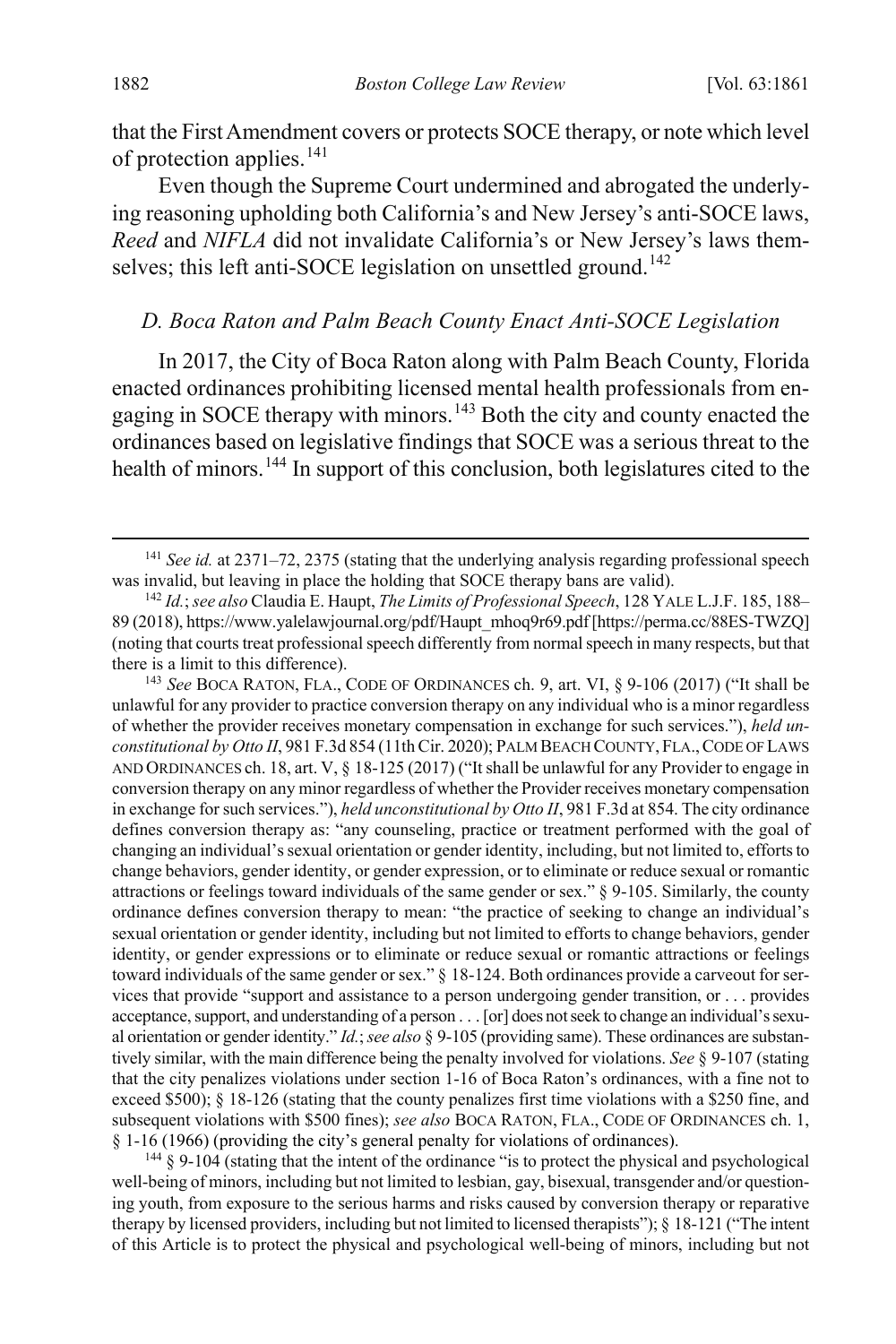that the First Amendment covers or protects SOCE therapy, or note which level of protection applies.<sup>[141](#page-22-2)</sup>

Even though the Supreme Court undermined and abrogated the underlying reasoning upholding both California's and New Jersey's anti-SOCE laws, *Reed* and *NIFLA* did not invalidate California's or New Jersey's laws them-selves; this left anti-SOCE legislation on unsettled ground.<sup>[142](#page-22-3)</sup>

#### <span id="page-22-1"></span><span id="page-22-0"></span>*D. Boca Raton and Palm Beach County Enact Anti-SOCE Legislation*

In 2017, the City of Boca Raton along with Palm Beach County, Florida enacted ordinances prohibiting licensed mental health professionals from en-gaging in SOCE therapy with minors.<sup>[143](#page-22-4)</sup> Both the city and county enacted the ordinances based on legislative findings that SOCE was a serious threat to the health of minors.<sup>[144](#page-22-5)</sup> In support of this conclusion, both legislatures cited to the

<span id="page-22-4"></span><sup>143</sup> *See* BOCA RATON, FLA., CODE OF ORDINANCES ch. 9, art. VI, § 9-106 (2017) ("It shall be unlawful for any provider to practice conversion therapy on any individual who is a minor regardless of whether the provider receives monetary compensation in exchange for such services."), *held unconstitutional by Otto II*, 981 F.3d 854 (11th Cir. 2020); PALM BEACH COUNTY, FLA.,CODE OF LAWS AND ORDINANCES ch. 18, art. V, § 18-125 (2017) ("It shall be unlawful for any Provider to engage in conversion therapy on any minor regardless of whether the Provider receives monetary compensation in exchange for such services."), *held unconstitutional by Otto II*, 981 F.3d at 854. The city ordinance defines conversion therapy as: "any counseling, practice or treatment performed with the goal of changing an individual's sexual orientation or gender identity, including, but not limited to, efforts to change behaviors, gender identity, or gender expression, or to eliminate or reduce sexual or romantic attractions or feelings toward individuals of the same gender or sex." § 9-105. Similarly, the county ordinance defines conversion therapy to mean: "the practice of seeking to change an individual's sexual orientation or gender identity, including but not limited to efforts to change behaviors, gender identity, or gender expressions or to eliminate or reduce sexual or romantic attractions or feelings toward individuals of the same gender or sex." § 18-124. Both ordinances provide a carveout for services that provide "support and assistance to a person undergoing gender transition, or . . . provides acceptance, support, and understanding of a person . . . [or] does not seek to change an individual's sexual orientation or gender identity." *Id.*; *see also* § 9-105 (providing same). These ordinances are substantively similar, with the main difference being the penalty involved for violations. *See* § 9-107 (stating that the city penalizes violations under section 1-16 of Boca Raton's ordinances, with a fine not to exceed \$500); § 18-126 (stating that the county penalizes first time violations with a \$250 fine, and subsequent violations with \$500 fines); *see also* BOCA RATON, FLA., CODE OF ORDINANCES ch. 1, § 1-16 (1966) (providing the city's general penalty for violations of ordinances).

<span id="page-22-5"></span> $144 \text{ }$  § 9-104 (stating that the intent of the ordinance "is to protect the physical and psychological well-being of minors, including but not limited to lesbian, gay, bisexual, transgender and/or questioning youth, from exposure to the serious harms and risks caused by conversion therapy or reparative therapy by licensed providers, including but not limited to licensed therapists"); § 18-121 ("The intent of this Article is to protect the physical and psychological well-being of minors, including but not

<span id="page-22-2"></span> <sup>141</sup> *See id.* at 2371–72, 2375 (stating that the underlying analysis regarding professional speech was invalid, but leaving in place the holding that SOCE therapy bans are valid).

<span id="page-22-3"></span><sup>142</sup> *Id.*;*see also* Claudia E. Haupt, *The Limits of Professional Speech*, 128 YALE L.J.F. 185, 188– 89 (2018), https://www.yalelawjournal.org/pdf/Haupt\_mhoq9r69.pdf [https://perma.cc/88ES-TWZQ] (noting that courts treat professional speech differently from normal speech in many respects, but that there is a limit to this difference).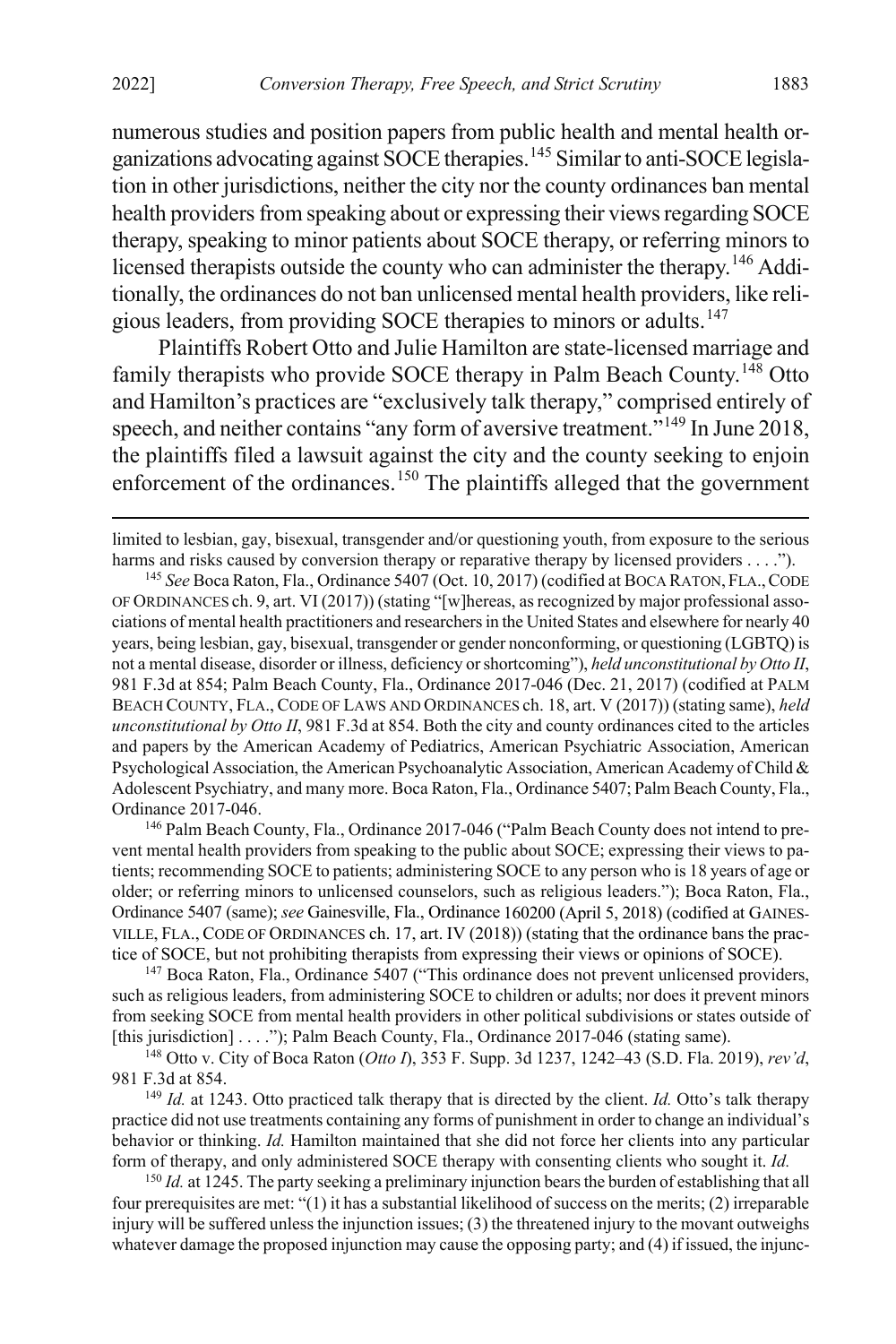numerous studies and position papers from public health and mental health organizations advocating against SOCE therapies.[145](#page-23-0) Similar to anti-SOCE legislation in other jurisdictions, neither the city nor the county ordinances ban mental health providers from speaking about or expressing their views regarding SOCE therapy, speaking to minor patients about SOCE therapy, or referring minors to licensed therapists outside the county who can administer the therapy.[146](#page-23-1) Additionally, the ordinances do not ban unlicensed mental health providers, like reli-gious leaders, from providing SOCE therapies to minors or adults.<sup>[147](#page-23-2)</sup>

Plaintiffs Robert Otto and Julie Hamilton are state-licensed marriage and family therapists who provide SOCE therapy in Palm Beach County.<sup>[148](#page-23-3)</sup> Otto and Hamilton's practices are "exclusively talk therapy," comprised entirely of speech, and neither contains "any form of aversive treatment."<sup>[149](#page-23-4)</sup> In June 2018, the plaintiffs filed a lawsuit against the city and the county seeking to enjoin enforcement of the ordinances.<sup>[150](#page-23-5)</sup> The plaintiffs alleged that the government

<span id="page-23-0"></span><sup>145</sup> *See* Boca Raton, Fla., Ordinance 5407 (Oct. 10, 2017) (codified at BOCA RATON, FLA.,CODE OF ORDINANCES ch. 9, art. VI (2017)) (stating "[w]hereas, as recognized by major professional associations of mental health practitioners and researchers in the United States and elsewhere for nearly 40 years, being lesbian, gay, bisexual, transgender or gender nonconforming, or questioning (LGBTQ) is not a mental disease, disorder or illness, deficiency or shortcoming"), *held unconstitutional by Otto II*, 981 F.3d at 854; Palm Beach County, Fla., Ordinance 2017-046 (Dec. 21, 2017) (codified at PALM BEACH COUNTY, FLA., CODE OF LAWS AND ORDINANCES ch. 18, art. V (2017)) (stating same), *held unconstitutional by Otto II*, 981 F.3d at 854. Both the city and county ordinances cited to the articles and papers by the American Academy of Pediatrics, American Psychiatric Association, American Psychological Association, the American Psychoanalytic Association, American Academy of Child & Adolescent Psychiatry, and many more. Boca Raton, Fla., Ordinance 5407; Palm Beach County, Fla., Ordinance 2017-046.

<span id="page-23-1"></span><sup>146</sup> Palm Beach County, Fla., Ordinance 2017-046 ("Palm Beach County does not intend to prevent mental health providers from speaking to the public about SOCE; expressing their views to patients; recommending SOCE to patients; administering SOCE to any person who is 18 years of age or older; or referring minors to unlicensed counselors, such as religious leaders."); Boca Raton, Fla., Ordinance 5407 (same); *see* Gainesville, Fla., Ordinance 160200 (April 5, 2018) (codified at GAINES-VILLE, FLA., CODE OF ORDINANCES ch. 17, art. IV (2018)) (stating that the ordinance bans the practice of SOCE, but not prohibiting therapists from expressing their views or opinions of SOCE).

<span id="page-23-2"></span><sup>147</sup> Boca Raton, Fla., Ordinance 5407 ("This ordinance does not prevent unlicensed providers, such as religious leaders, from administering SOCE to children or adults; nor does it prevent minors from seeking SOCE from mental health providers in other political subdivisions or states outside of [this jurisdiction] . . . ."); Palm Beach County, Fla., Ordinance 2017-046 (stating same).

<span id="page-23-3"></span><sup>148</sup> Otto v. City of Boca Raton (*Otto I*), 353 F. Supp. 3d 1237, 1242–43 (S.D. Fla. 2019), *rev'd*, 981 F.3d at 854.

<span id="page-23-4"></span><sup>149</sup> *Id.* at 1243. Otto practiced talk therapy that is directed by the client. *Id.* Otto's talk therapy practice did not use treatments containing any forms of punishment in order to change an individual's behavior or thinking. *Id.* Hamilton maintained that she did not force her clients into any particular form of therapy, and only administered SOCE therapy with consenting clients who sought it. *Id.*

<span id="page-23-5"></span><sup>150</sup> *Id.* at 1245. The party seeking a preliminary injunction bears the burden of establishing that all four prerequisites are met: "(1) it has a substantial likelihood of success on the merits; (2) irreparable injury will be suffered unless the injunction issues; (3) the threatened injury to the movant outweighs whatever damage the proposed injunction may cause the opposing party; and (4) if issued, the injunc-

limited to lesbian, gay, bisexual, transgender and/or questioning youth, from exposure to the serious harms and risks caused by conversion therapy or reparative therapy by licensed providers . . . .").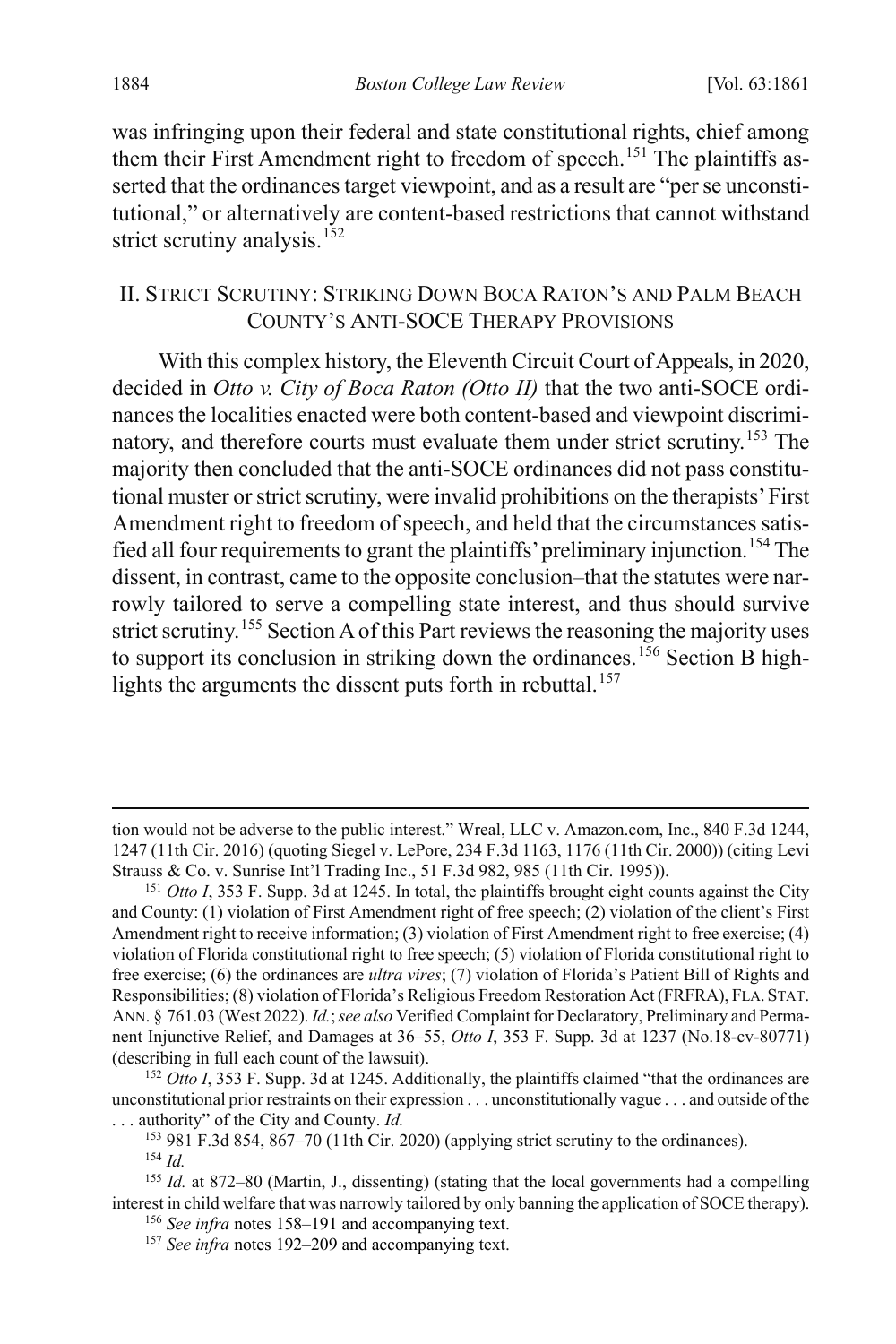<span id="page-24-9"></span>was infringing upon their federal and state constitutional rights, chief among them their First Amendment right to freedom of speech.<sup>[151](#page-24-2)</sup> The plaintiffs asserted that the ordinances target viewpoint, and as a result are "per se unconstitutional," or alternatively are content-based restrictions that cannot withstand strict scrutiny analysis.<sup>[152](#page-24-3)</sup>

### <span id="page-24-0"></span>II. STRICT SCRUTINY: STRIKING DOWN BOCA RATON'S AND PALM BEACH COUNTY'S ANTI-SOCE THERAPY PROVISIONS

<span id="page-24-1"></span>With this complex history, the Eleventh Circuit Court of Appeals, in 2020, decided in *Otto v. City of Boca Raton (Otto II)* that the two anti-SOCE ordinances the localities enacted were both content-based and viewpoint discrimi-natory, and therefore courts must evaluate them under strict scrutiny.<sup>[153](#page-24-4)</sup> The majority then concluded that the anti-SOCE ordinances did not pass constitutional muster or strict scrutiny, were invalid prohibitions on the therapists' First Amendment right to freedom of speech, and held that the circumstances satisfied all four requirements to grant the plaintiffs' preliminary injunction.[154](#page-24-5) The dissent, in contrast, came to the opposite conclusion–that the statutes were narrowly tailored to serve a compelling state interest, and thus should survive strict scrutiny.<sup>[155](#page-24-6)</sup> Section A of this Part reviews the reasoning the majority uses to support its conclusion in striking down the ordinances.<sup>[156](#page-24-7)</sup> Section B high-lights the arguments the dissent puts forth in rebuttal.<sup>[157](#page-24-8)</sup>

tion would not be adverse to the public interest." Wreal, LLC v. Amazon.com, Inc., 840 F.3d 1244, 1247 (11th Cir. 2016) (quoting Siegel v. LePore, 234 F.3d 1163, 1176 (11th Cir. 2000)) (citing Levi Strauss & Co. v. Sunrise Int'l Trading Inc., 51 F.3d 982, 985 (11th Cir. 1995)).

<span id="page-24-2"></span><sup>151</sup> *Otto I*, 353 F. Supp. 3d at 1245. In total, the plaintiffs brought eight counts against the City and County: (1) violation of First Amendment right of free speech; (2) violation of the client's First Amendment right to receive information; (3) violation of First Amendment right to free exercise; (4) violation of Florida constitutional right to free speech; (5) violation of Florida constitutional right to free exercise; (6) the ordinances are *ultra vires*; (7) violation of Florida's Patient Bill of Rights and Responsibilities; (8) violation of Florida's Religious Freedom Restoration Act (FRFRA), FLA. STAT. ANN. § 761.03 (West 2022). *Id.*; *see also* Verified Complaint for Declaratory, Preliminary and Permanent Injunctive Relief, and Damages at 36–55, *Otto I*, 353 F. Supp. 3d at 1237 (No.18-cv-80771) (describing in full each count of the lawsuit).

<span id="page-24-3"></span><sup>&</sup>lt;sup>152</sup> *Otto I*, 353 F. Supp. 3d at 1245. Additionally, the plaintiffs claimed "that the ordinances are unconstitutional prior restraints on their expression . . . unconstitutionally vague . . . and outside of the . . . authority" of the City and County. *Id.*

 $153$  981 F.3d 854, 867–70 (11th Cir. 2020) (applying strict scrutiny to the ordinances). <sup>154</sup> *Id.*

<span id="page-24-8"></span><span id="page-24-7"></span><span id="page-24-6"></span><span id="page-24-5"></span><span id="page-24-4"></span><sup>155</sup> *Id.* at 872–80 (Martin, J., dissenting) (stating that the local governments had a compelling interest in child welfare that was narrowly tailored by only banning the application of SOCE therapy).

<sup>156</sup> *See infra* notes [158–](#page-25-0)[191](#page-29-0) and accompanying text.

<sup>&</sup>lt;sup>157</sup> See infra notes 192-[209](#page-32-0) and accompanying text.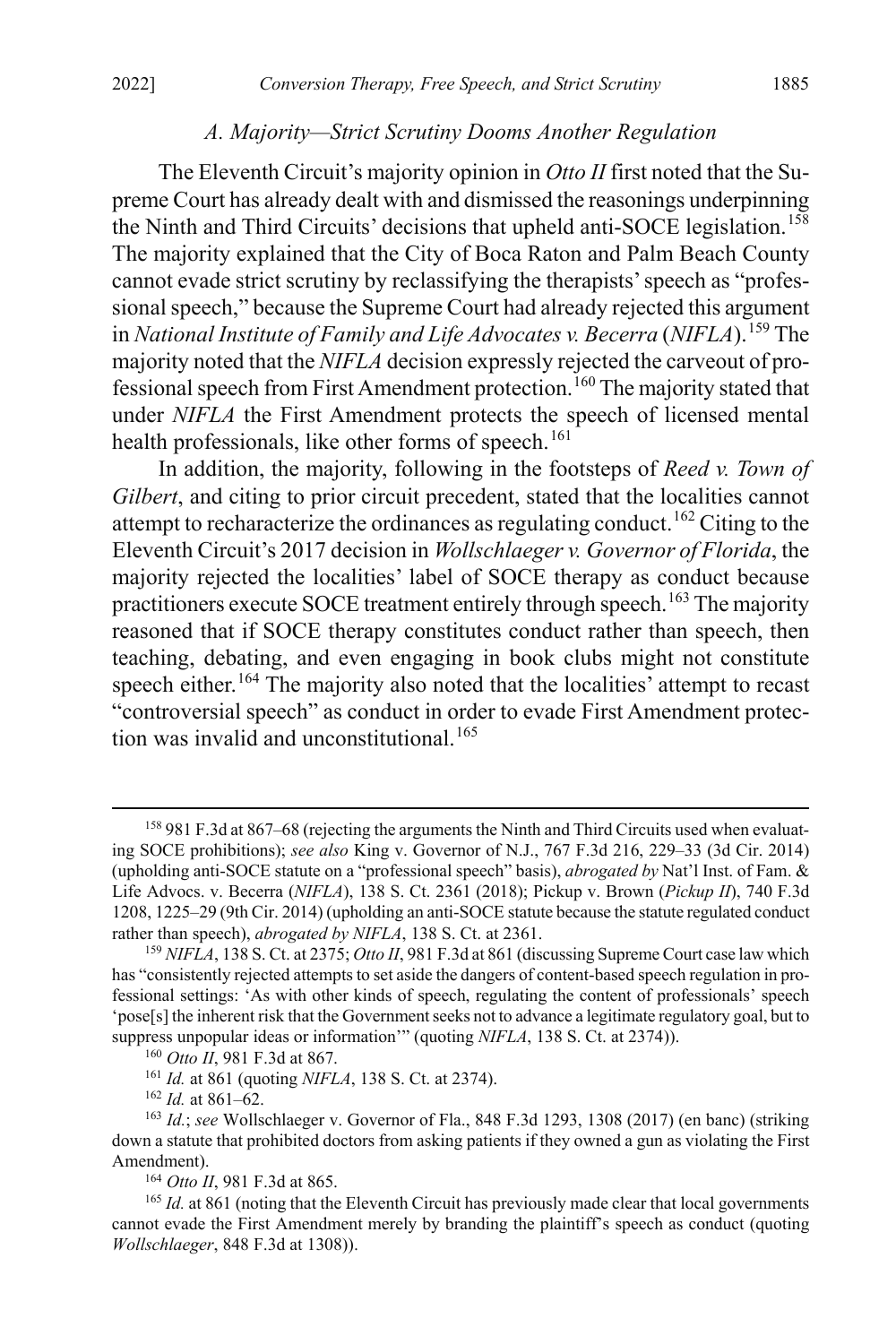#### <span id="page-25-0"></span>*A. Majority—Strict Scrutiny Dooms Another Regulation*

The Eleventh Circuit's majority opinion in *Otto II* first noted that the Supreme Court has already dealt with and dismissed the reasonings underpinning the Ninth and Third Circuits' decisions that upheld anti-SOCE legislation.<sup>[158](#page-25-1)</sup> The majority explained that the City of Boca Raton and Palm Beach County cannot evade strict scrutiny by reclassifying the therapists' speech as "professional speech," because the Supreme Court had already rejected this argument in *National Institute of Family and Life Advocates v. Becerra* (*NIFLA*).[159](#page-25-2) The majority noted that the *NIFLA* decision expressly rejected the carveout of pro-fessional speech from First Amendment protection.<sup>[160](#page-25-3)</sup> The majority stated that under *NIFLA* the First Amendment protects the speech of licensed mental health professionals, like other forms of speech.<sup>[161](#page-25-4)</sup>

In addition, the majority, following in the footsteps of *Reed v. Town of Gilbert*, and citing to prior circuit precedent, stated that the localities cannot attempt to recharacterize the ordinances as regulating conduct.<sup>[162](#page-25-5)</sup> Citing to the Eleventh Circuit's 2017 decision in *Wollschlaeger v. Governor of Florida*, the majority rejected the localities' label of SOCE therapy as conduct because practitioners execute SOCE treatment entirely through speech.<sup>[163](#page-25-6)</sup> The majority reasoned that if SOCE therapy constitutes conduct rather than speech, then teaching, debating, and even engaging in book clubs might not constitute speech either.<sup>[164](#page-25-7)</sup> The majority also noted that the localities' attempt to recast "controversial speech" as conduct in order to evade First Amendment protec-tion was invalid and unconstitutional.<sup>[165](#page-25-8)</sup>

<sup>162</sup> *Id.* at 861–62.

<span id="page-25-1"></span> <sup>158</sup> 981 F.3d at 867–68 (rejecting the arguments the Ninth and Third Circuits used when evaluating SOCE prohibitions); *see also* King v. Governor of N.J., 767 F.3d 216, 229–33 (3d Cir. 2014) (upholding anti-SOCE statute on a "professional speech" basis), *abrogated by* Nat'l Inst. of Fam. & Life Advocs. v. Becerra (*NIFLA*), 138 S. Ct. 2361 (2018); Pickup v. Brown (*Pickup II*), 740 F.3d 1208, 1225–29 (9th Cir. 2014) (upholding an anti-SOCE statute because the statute regulated conduct rather than speech), *abrogated by NIFLA*, 138 S. Ct. at 2361.

<span id="page-25-2"></span><sup>159</sup> *NIFLA*, 138 S. Ct. at 2375; *Otto II*, 981 F.3d at 861 (discussing Supreme Court case law which has "consistently rejected attempts to set aside the dangers of content-based speech regulation in professional settings: 'As with other kinds of speech, regulating the content of professionals' speech 'pose[s] the inherent risk that the Government seeks not to advance a legitimate regulatory goal, but to suppress unpopular ideas or information'" (quoting *NIFLA*, 138 S. Ct. at 2374)).

<sup>160</sup> *Otto II*, 981 F.3d at 867.

<sup>161</sup> *Id.* at 861 (quoting *NIFLA*, 138 S. Ct. at 2374).

<span id="page-25-6"></span><span id="page-25-5"></span><span id="page-25-4"></span><span id="page-25-3"></span><sup>163</sup> *Id.*; *see* Wollschlaeger v. Governor of Fla., 848 F.3d 1293, 1308 (2017) (en banc) (striking down a statute that prohibited doctors from asking patients if they owned a gun as violating the First Amendment).

<sup>164</sup> *Otto II*, 981 F.3d at 865.

<span id="page-25-8"></span><span id="page-25-7"></span><sup>&</sup>lt;sup>165</sup> *Id.* at 861 (noting that the Eleventh Circuit has previously made clear that local governments cannot evade the First Amendment merely by branding the plaintiff's speech as conduct (quoting *Wollschlaeger*, 848 F.3d at 1308)).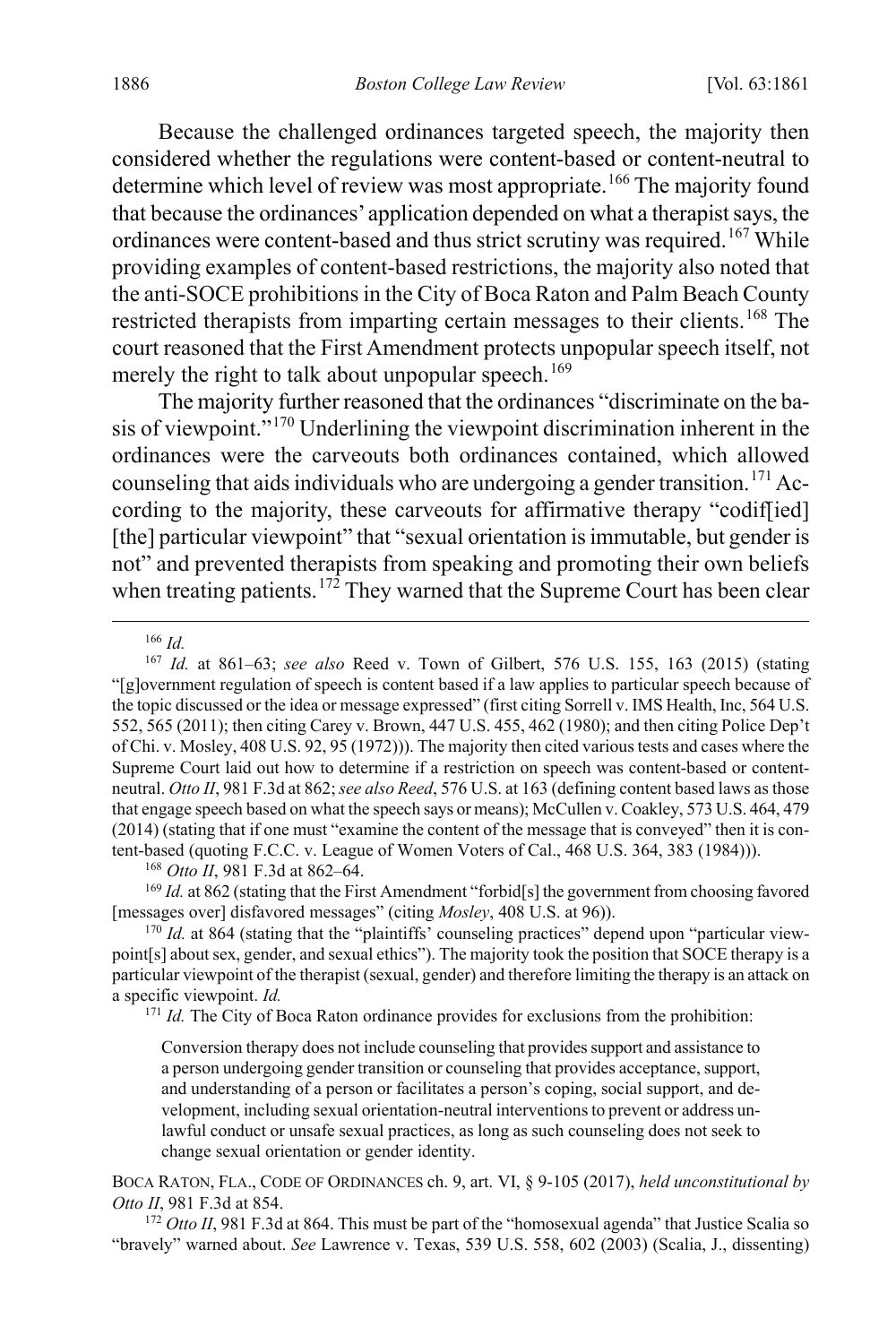Because the challenged ordinances targeted speech, the majority then considered whether the regulations were content-based or content-neutral to determine which level of review was most appropriate.<sup>[166](#page-26-0)</sup> The majority found that because the ordinances' application depended on what a therapist says, the ordinances were content-based and thus strict scrutiny was required.<sup>[167](#page-26-1)</sup> While providing examples of content-based restrictions, the majority also noted that the anti-SOCE prohibitions in the City of Boca Raton and Palm Beach County restricted therapists from imparting certain messages to their clients.<sup>[168](#page-26-2)</sup> The court reasoned that the First Amendment protects unpopular speech itself, not merely the right to talk about unpopular speech.<sup>[169](#page-26-3)</sup>

The majority further reasoned that the ordinances "discriminate on the basis of viewpoint."[170](#page-26-4) Underlining the viewpoint discrimination inherent in the ordinances were the carveouts both ordinances contained, which allowed counseling that aids individuals who are undergoing a gender transition.<sup>[171](#page-26-5)</sup> According to the majority, these carveouts for affirmative therapy "codif[ied] [the] particular viewpoint" that "sexual orientation is immutable, but gender is not" and prevented therapists from speaking and promoting their own beliefs when treating patients.<sup>[172](#page-26-6)</sup> They warned that the Supreme Court has been clear

166 *Id.*

<span id="page-26-1"></span><span id="page-26-0"></span><sup>167</sup> *Id.* at 861–63; *see also* Reed v. Town of Gilbert, 576 U.S. 155, 163 (2015) (stating "[g]overnment regulation of speech is content based if a law applies to particular speech because of the topic discussed or the idea or message expressed" (first citing Sorrell v. IMS Health, Inc, 564 U.S. 552, 565 (2011); then citing Carey v. Brown, 447 U.S. 455, 462 (1980); and then citing Police Dep't of Chi. v. Mosley, 408 U.S. 92, 95 (1972))). The majority then cited various tests and cases where the Supreme Court laid out how to determine if a restriction on speech was content-based or contentneutral. *Otto II*, 981 F.3d at 862; *see also Reed*, 576 U.S. at 163 (defining content based laws as those that engage speech based on what the speech says or means); McCullen v. Coakley, 573 U.S. 464, 479 (2014) (stating that if one must "examine the content of the message that is conveyed" then it is content-based (quoting F.C.C. v. League of Women Voters of Cal., 468 U.S. 364, 383 (1984))).

<sup>168</sup> *Otto II*, 981 F.3d at 862–64.

<span id="page-26-3"></span><span id="page-26-2"></span><sup>169</sup> *Id.* at 862 (stating that the First Amendment "forbid[s] the government from choosing favored [messages over] disfavored messages" (citing *Mosley*, 408 U.S. at 96)).

<span id="page-26-5"></span><span id="page-26-4"></span><sup>170</sup> *Id.* at 864 (stating that the "plaintiffs' counseling practices" depend upon "particular viewpoint[s] about sex, gender, and sexual ethics"). The majority took the position that SOCE therapy is a particular viewpoint of the therapist (sexual, gender) and therefore limiting the therapy is an attack on a specific viewpoint. *Id.*

<sup>171</sup> *Id.* The City of Boca Raton ordinance provides for exclusions from the prohibition:

Conversion therapy does not include counseling that provides support and assistance to a person undergoing gender transition or counseling that provides acceptance, support, and understanding of a person or facilitates a person's coping, social support, and development, including sexual orientation-neutral interventions to prevent or address unlawful conduct or unsafe sexual practices, as long as such counseling does not seek to change sexual orientation or gender identity.

BOCA RATON, FLA., CODE OF ORDINANCES ch. 9, art. VI, § 9-105 (2017), *held unconstitutional by Otto II*, 981 F.3d at 854.

<span id="page-26-6"></span><sup>172</sup> *Otto II*, 981 F.3d at 864. This must be part of the "homosexual agenda" that Justice Scalia so "bravely" warned about. *See* Lawrence v. Texas, 539 U.S. 558, 602 (2003) (Scalia, J., dissenting)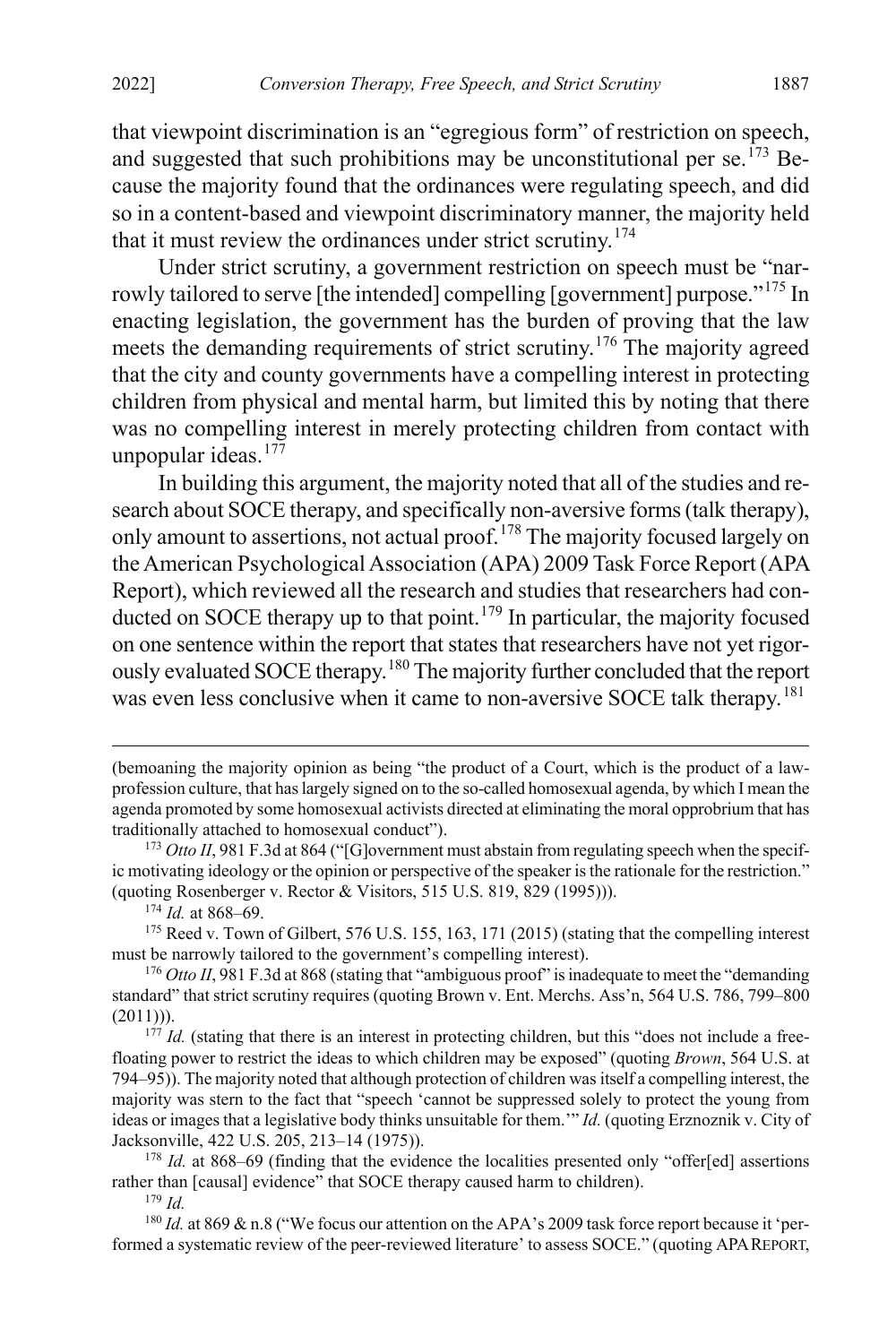that viewpoint discrimination is an "egregious form" of restriction on speech, and suggested that such prohibitions may be unconstitutional per se.<sup> $173$ </sup> Because the majority found that the ordinances were regulating speech, and did so in a content-based and viewpoint discriminatory manner, the majority held that it must review the ordinances under strict scrutiny.<sup>[174](#page-27-1)</sup>

Under strict scrutiny, a government restriction on speech must be "nar-rowly tailored to serve [the intended] compelling [government] purpose."<sup>[175](#page-27-2)</sup> In enacting legislation, the government has the burden of proving that the law meets the demanding requirements of strict scrutiny.[176](#page-27-3) The majority agreed that the city and county governments have a compelling interest in protecting children from physical and mental harm, but limited this by noting that there was no compelling interest in merely protecting children from contact with unpopular ideas.<sup>[177](#page-27-4)</sup>

In building this argument, the majority noted that all of the studies and research about SOCE therapy, and specifically non-aversive forms (talk therapy), only amount to assertions, not actual proof.<sup>[178](#page-27-5)</sup> The majority focused largely on the American Psychological Association (APA) 2009 Task Force Report (APA Report), which reviewed all the research and studies that researchers had con-ducted on SOCE therapy up to that point.<sup>[179](#page-27-6)</sup> In particular, the majority focused on one sentence within the report that states that researchers have not yet rigorously evaluated SOCE therapy.[180](#page-27-7) The majority further concluded that the report was even less conclusive when it came to non-aversive SOCE talk therapy.<sup>[181](#page-27-8)</sup>

<sup>174</sup> *Id.* at 868–69.

<span id="page-27-7"></span><span id="page-27-6"></span><sup>180</sup> *Id.* at 869 & n.8 ("We focus our attention on the APA's 2009 task force report because it 'performed a systematic review of the peer-reviewed literature' to assess SOCE." (quoting APAREPORT,

<span id="page-27-8"></span> <sup>(</sup>bemoaning the majority opinion as being "the product of a Court, which is the product of a lawprofession culture, that has largely signed on to the so-called homosexual agenda, by which I mean the agenda promoted by some homosexual activists directed at eliminating the moral opprobrium that has traditionally attached to homosexual conduct").

<span id="page-27-0"></span><sup>&</sup>lt;sup>173</sup> *Otto II*, 981 F.3d at 864 ("[G]overnment must abstain from regulating speech when the specific motivating ideology or the opinion or perspective of the speaker is the rationale for the restriction." (quoting Rosenberger v. Rector & Visitors, 515 U.S. 819, 829 (1995))).

<span id="page-27-2"></span><span id="page-27-1"></span><sup>&</sup>lt;sup>175</sup> Reed v. Town of Gilbert, 576 U.S. 155, 163, 171 (2015) (stating that the compelling interest must be narrowly tailored to the government's compelling interest).

<span id="page-27-3"></span><sup>&</sup>lt;sup>176</sup> *Otto II*, 981 F.3d at 868 (stating that "ambiguous proof" is inadequate to meet the "demanding" standard" that strict scrutiny requires (quoting Brown v. Ent. Merchs. Ass'n, 564 U.S. 786, 799–800  $(2011))$ ).

<span id="page-27-4"></span><sup>&</sup>lt;sup>177</sup> *Id.* (stating that there is an interest in protecting children, but this "does not include a freefloating power to restrict the ideas to which children may be exposed" (quoting *Brown*, 564 U.S. at 794–95)). The majority noted that although protection of children was itself a compelling interest, the majority was stern to the fact that "speech 'cannot be suppressed solely to protect the young from ideas or images that a legislative body thinks unsuitable for them.'" *Id.* (quoting Erznoznik v. City of Jacksonville, 422 U.S. 205, 213–14 (1975)).

<span id="page-27-5"></span><sup>&</sup>lt;sup>178</sup> *Id.* at 868–69 (finding that the evidence the localities presented only "offer[ed] assertions rather than [causal] evidence" that SOCE therapy caused harm to children).

<sup>179</sup> *Id.*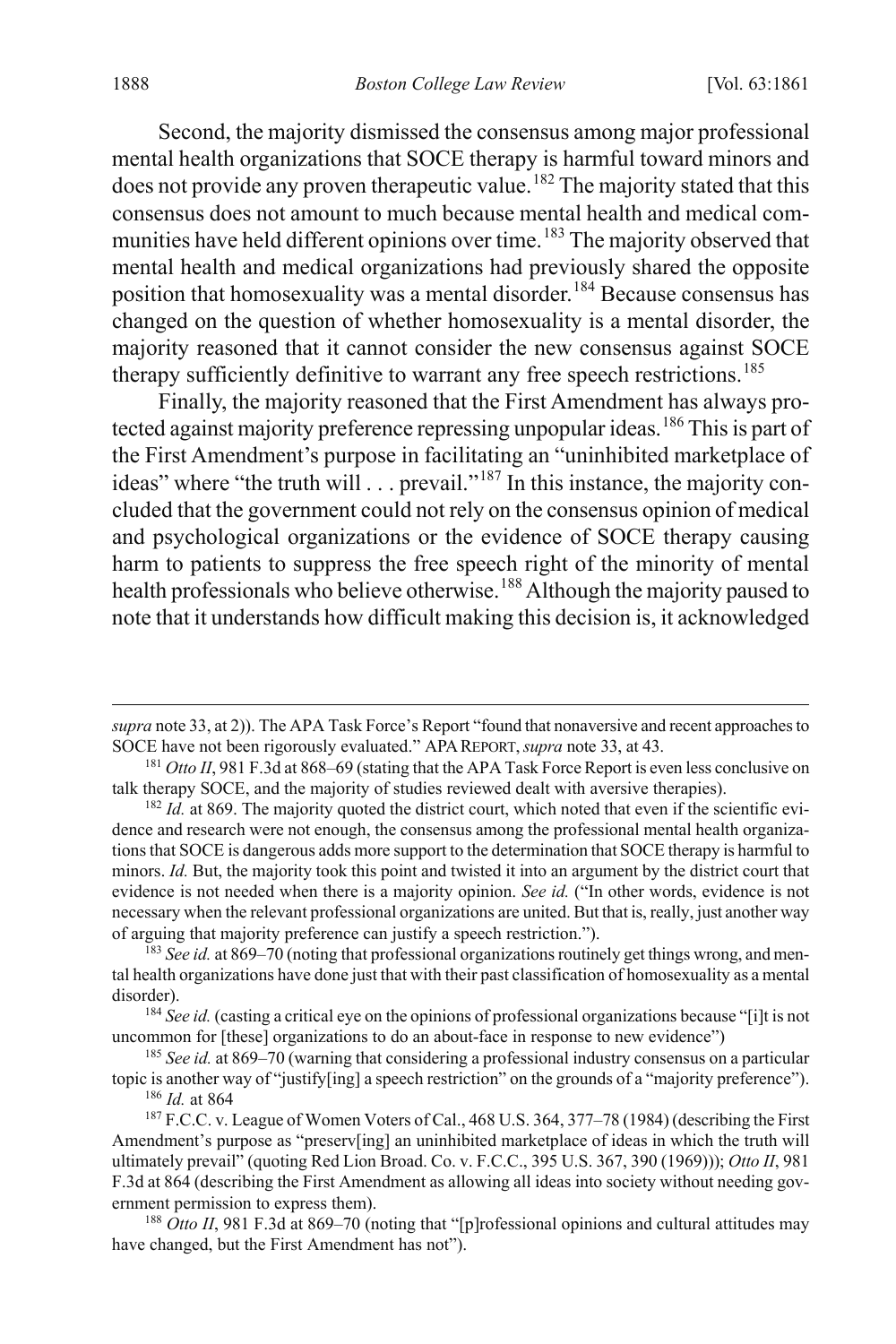Second, the majority dismissed the consensus among major professional mental health organizations that SOCE therapy is harmful toward minors and does not provide any proven therapeutic value.<sup>[182](#page-28-0)</sup> The majority stated that this consensus does not amount to much because mental health and medical com-munities have held different opinions over time.<sup>[183](#page-28-1)</sup> The majority observed that mental health and medical organizations had previously shared the opposite position that homosexuality was a mental disorder.<sup>[184](#page-28-2)</sup> Because consensus has changed on the question of whether homosexuality is a mental disorder, the majority reasoned that it cannot consider the new consensus against SOCE therapy sufficiently definitive to warrant any free speech restrictions.<sup>[185](#page-28-3)</sup>

Finally, the majority reasoned that the First Amendment has always pro-tected against majority preference repressing unpopular ideas.<sup>[186](#page-28-4)</sup> This is part of the First Amendment's purpose in facilitating an "uninhibited marketplace of ideas" where "the truth will . . . prevail."<sup>[187](#page-28-5)</sup> In this instance, the majority concluded that the government could not rely on the consensus opinion of medical and psychological organizations or the evidence of SOCE therapy causing harm to patients to suppress the free speech right of the minority of mental health professionals who believe otherwise.<sup>[188](#page-28-6)</sup> Although the majority paused to note that it understands how difficult making this decision is, it acknowledged

 $\overline{a}$ 

*supra* not[e 33,](#page-6-0) at 2)). The APA Task Force's Report "found that nonaversive and recent approaches to SOCE have not been rigorously evaluated." APAREPORT,*supra* not[e 33,](#page-6-0) at 43.

<sup>181</sup> *Otto II*, 981 F.3d at 868–69 (stating that the APA Task Force Report is even less conclusive on talk therapy SOCE, and the majority of studies reviewed dealt with aversive therapies).

<span id="page-28-0"></span><sup>&</sup>lt;sup>182</sup> *Id.* at 869. The majority quoted the district court, which noted that even if the scientific evidence and research were not enough, the consensus among the professional mental health organizations that SOCE is dangerous adds more support to the determination that SOCE therapy is harmful to minors. *Id.* But, the majority took this point and twisted it into an argument by the district court that evidence is not needed when there is a majority opinion. *See id.* ("In other words, evidence is not necessary when the relevant professional organizations are united. But that is, really, just another way of arguing that majority preference can justify a speech restriction.").

<span id="page-28-1"></span><sup>183</sup> *See id.* at 869–70 (noting that professional organizations routinely get things wrong, and mental health organizations have done just that with their past classification of homosexuality as a mental disorder).

<span id="page-28-2"></span><sup>&</sup>lt;sup>184</sup> See id. (casting a critical eye on the opinions of professional organizations because "[i]t is not uncommon for [these] organizations to do an about-face in response to new evidence")

<span id="page-28-3"></span><sup>185</sup> *See id.* at 869–70 (warning that considering a professional industry consensus on a particular topic is another way of "justify[ing] a speech restriction" on the grounds of a "majority preference").

<sup>186</sup> *Id.* at 864

<span id="page-28-5"></span><span id="page-28-4"></span><sup>&</sup>lt;sup>187</sup> F.C.C. v. League of Women Voters of Cal., 468 U.S. 364, 377–78 (1984) (describing the First Amendment's purpose as "preserv[ing] an uninhibited marketplace of ideas in which the truth will ultimately prevail" (quoting Red Lion Broad. Co. v. F.C.C., 395 U.S. 367, 390 (1969))); *Otto II*, 981 F.3d at 864 (describing the First Amendment as allowing all ideas into society without needing government permission to express them).

<span id="page-28-6"></span><sup>&</sup>lt;sup>188</sup> *Otto II*, 981 F.3d at 869–70 (noting that "[p]rofessional opinions and cultural attitudes may have changed, but the First Amendment has not").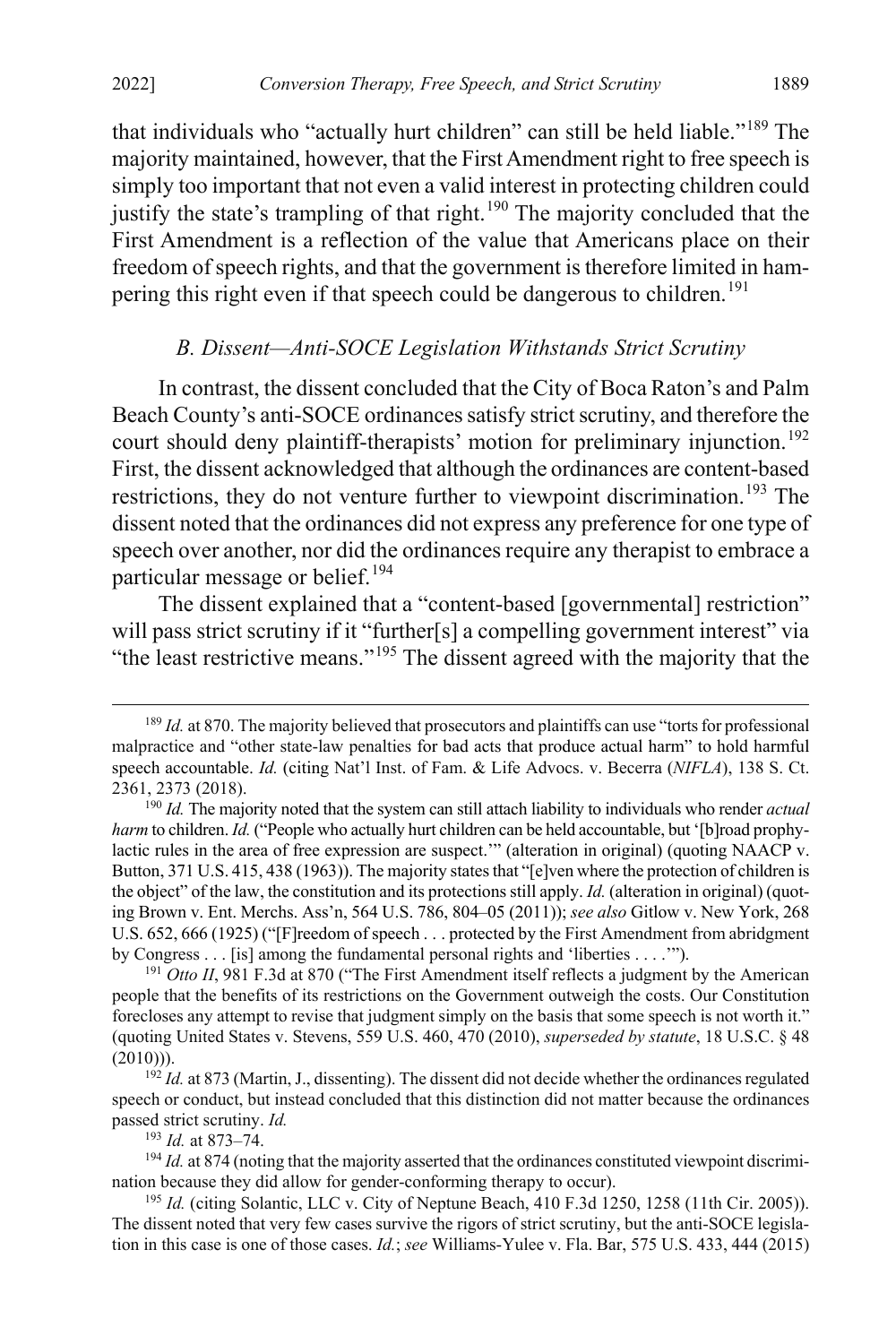that individuals who "actually hurt children" can still be held liable."[189](#page-29-2) The majority maintained, however, that the First Amendment right to free speech is simply too important that not even a valid interest in protecting children could justify the state's trampling of that right.<sup>[190](#page-29-3)</sup> The majority concluded that the First Amendment is a reflection of the value that Americans place on their freedom of speech rights, and that the government is therefore limited in ham-pering this right even if that speech could be dangerous to children.<sup>[191](#page-29-4)</sup>

#### <span id="page-29-1"></span><span id="page-29-0"></span>*B. Dissent—Anti-SOCE Legislation Withstands Strict Scrutiny*

In contrast, the dissent concluded that the City of Boca Raton's and Palm Beach County's anti-SOCE ordinances satisfy strict scrutiny, and therefore the court should deny plaintiff-therapists' motion for preliminary injunction.<sup>[192](#page-29-5)</sup> First, the dissent acknowledged that although the ordinances are content-based restrictions, they do not venture further to viewpoint discrimination.<sup>[193](#page-29-6)</sup> The dissent noted that the ordinances did not express any preference for one type of speech over another, nor did the ordinances require any therapist to embrace a particular message or belief.<sup>[194](#page-29-7)</sup>

The dissent explained that a "content-based [governmental] restriction" will pass strict scrutiny if it "further[s] a compelling government interest" via "the least restrictive means."<sup>[195](#page-29-8)</sup> The dissent agreed with the majority that the

<sup>193</sup> *Id.* at 873–74.

<span id="page-29-2"></span><sup>&</sup>lt;sup>189</sup> *Id.* at 870. The majority believed that prosecutors and plaintiffs can use "torts for professional malpractice and "other state-law penalties for bad acts that produce actual harm" to hold harmful speech accountable. *Id.* (citing Nat'l Inst. of Fam. & Life Advocs. v. Becerra (*NIFLA*), 138 S. Ct. 2361, 2373 (2018).

<span id="page-29-3"></span><sup>190</sup> *Id.* The majority noted that the system can still attach liability to individuals who render *actual harm* to children. *Id.* ("People who actually hurt children can be held accountable, but '[b]road prophylactic rules in the area of free expression are suspect.'" (alteration in original) (quoting NAACP v. Button, 371 U.S. 415, 438 (1963)). The majority states that "[e]ven where the protection of children is the object" of the law, the constitution and its protections still apply. *Id.* (alteration in original) (quoting Brown v. Ent. Merchs. Ass'n, 564 U.S. 786, 804–05 (2011)); *see also* Gitlow v. New York, 268 U.S. 652, 666 (1925) ("[F]reedom of speech . . . protected by the First Amendment from abridgment by Congress . . . [is] among the fundamental personal rights and 'liberties . . . .'").

<span id="page-29-4"></span><sup>&</sup>lt;sup>191</sup> *Otto II*, 981 F.3d at 870 ("The First Amendment itself reflects a judgment by the American people that the benefits of its restrictions on the Government outweigh the costs. Our Constitution forecloses any attempt to revise that judgment simply on the basis that some speech is not worth it." (quoting United States v. Stevens, 559 U.S. 460, 470 (2010), *superseded by statute*, 18 U.S.C. § 48  $(2010)$ ).

<span id="page-29-5"></span><sup>192</sup> *Id.* at 873 (Martin, J., dissenting). The dissent did not decide whether the ordinances regulated speech or conduct, but instead concluded that this distinction did not matter because the ordinances passed strict scrutiny. *Id.* 

<span id="page-29-7"></span><span id="page-29-6"></span><sup>&</sup>lt;sup>194</sup> *Id.* at 874 (noting that the majority asserted that the ordinances constituted viewpoint discrimination because they did allow for gender-conforming therapy to occur).

<span id="page-29-8"></span><sup>&</sup>lt;sup>195</sup> *Id.* (citing Solantic, LLC v. City of Neptune Beach, 410 F.3d 1250, 1258 (11th Cir. 2005)). The dissent noted that very few cases survive the rigors of strict scrutiny, but the anti-SOCE legislation in this case is one of those cases. *Id.*; *see* Williams-Yulee v. Fla. Bar, 575 U.S. 433, 444 (2015)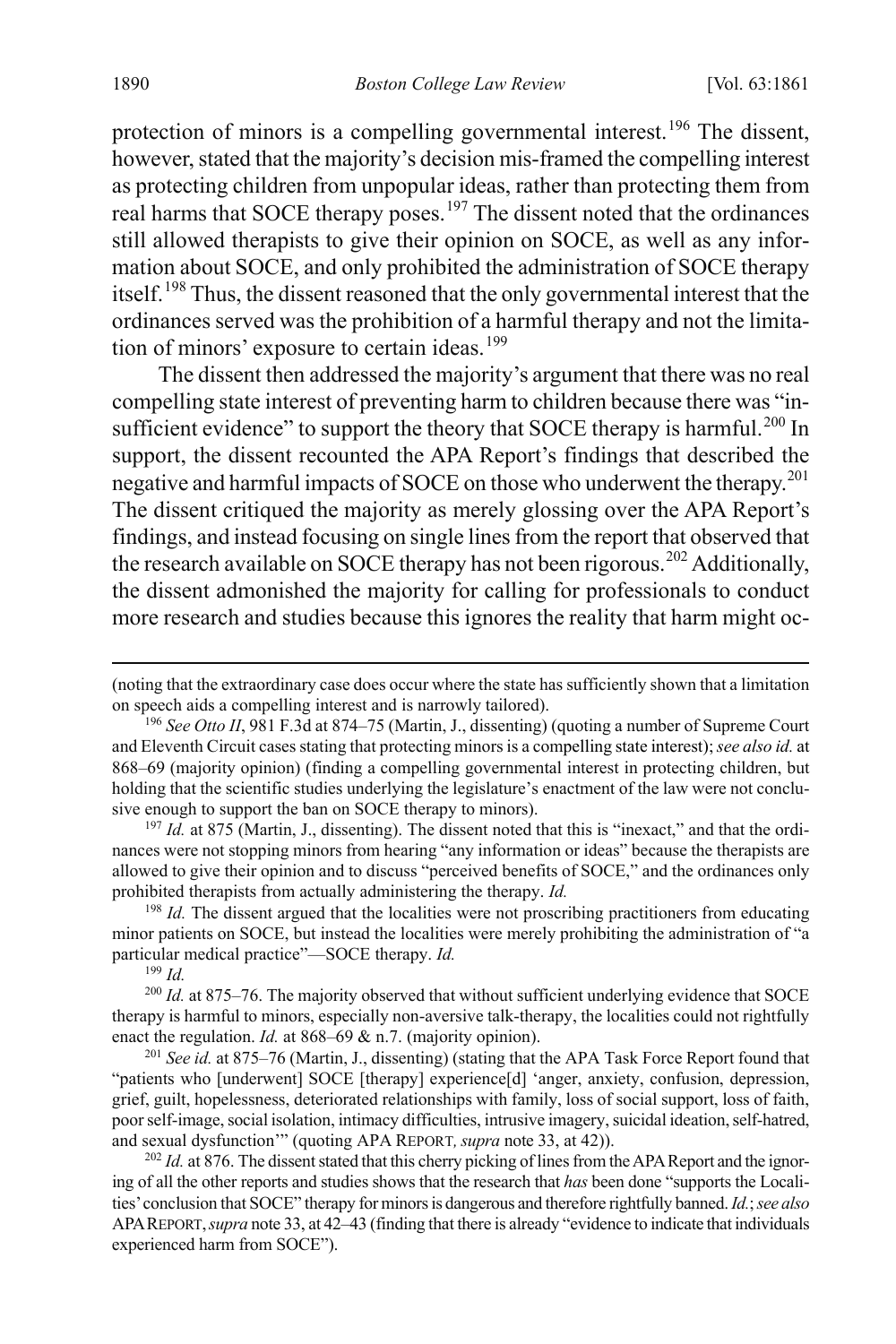protection of minors is a compelling governmental interest.<sup>[196](#page-30-0)</sup> The dissent, however, stated that the majority's decision mis-framed the compelling interest as protecting children from unpopular ideas, rather than protecting them from real harms that SOCE therapy poses.<sup>[197](#page-30-1)</sup> The dissent noted that the ordinances still allowed therapists to give their opinion on SOCE, as well as any information about SOCE, and only prohibited the administration of SOCE therapy itself.[198](#page-30-2) Thus, the dissent reasoned that the only governmental interest that the ordinances served was the prohibition of a harmful therapy and not the limita-tion of minors' exposure to certain ideas.<sup>[199](#page-30-3)</sup>

The dissent then addressed the majority's argument that there was no real compelling state interest of preventing harm to children because there was "in-sufficient evidence" to support the theory that SOCE therapy is harmful.<sup>[200](#page-30-4)</sup> In support, the dissent recounted the APA Report's findings that described the negative and harmful impacts of SOCE on those who underwent the therapy.<sup>[201](#page-30-5)</sup> The dissent critiqued the majority as merely glossing over the APA Report's findings, and instead focusing on single lines from the report that observed that the research available on SOCE therapy has not been rigorous.<sup>[202](#page-30-6)</sup> Additionally, the dissent admonished the majority for calling for professionals to conduct more research and studies because this ignores the reality that harm might oc-

<span id="page-30-1"></span><sup>197</sup> *Id.* at 875 (Martin, J., dissenting). The dissent noted that this is "inexact," and that the ordinances were not stopping minors from hearing "any information or ideas" because the therapists are allowed to give their opinion and to discuss "perceived benefits of SOCE," and the ordinances only prohibited therapists from actually administering the therapy. *Id.*

<span id="page-30-2"></span><sup>198</sup> *Id.* The dissent argued that the localities were not proscribing practitioners from educating minor patients on SOCE, but instead the localities were merely prohibiting the administration of "a particular medical practice"—SOCE therapy. *Id.*

<sup>199</sup> *Id.*

<span id="page-30-4"></span><span id="page-30-3"></span><sup>200</sup> *Id.* at 875–76. The majority observed that without sufficient underlying evidence that SOCE therapy is harmful to minors, especially non-aversive talk-therapy, the localities could not rightfully enact the regulation. *Id.* at 868–69 & n.7. (majority opinion).

<span id="page-30-5"></span><sup>201</sup> *See id.* at 875–76 (Martin, J., dissenting) (stating that the APA Task Force Report found that "patients who [underwent] SOCE [therapy] experience[d] 'anger, anxiety, confusion, depression, grief, guilt, hopelessness, deteriorated relationships with family, loss of social support, loss of faith, poor self-image, social isolation, intimacy difficulties, intrusive imagery, suicidal ideation, self-hatred, and sexual dysfunction'" (quoting APA REPORT, *supra* not[e 33,](#page-6-0) at 42)).

<span id="page-30-6"></span><sup>202</sup> *Id.* at 876. The dissent stated that this cherry picking of lines from the APA Report and the ignoring of all the other reports and studies shows that the research that *has* been done "supports the Localities' conclusion that SOCE" therapy for minors is dangerous and therefore rightfully banned. *Id.*; *see also* APAREPORT,*supra* not[e 33,](#page-6-0) at 42–43 (finding that there is already "evidence to indicate that individuals experienced harm from SOCE").

 <sup>(</sup>noting that the extraordinary case does occur where the state has sufficiently shown that a limitation on speech aids a compelling interest and is narrowly tailored).

<span id="page-30-0"></span><sup>196</sup> *See Otto II*, 981 F.3d at 874–75 (Martin, J., dissenting) (quoting a number of Supreme Court and Eleventh Circuit cases stating that protecting minors is a compelling state interest); *see also id.* at 868–69 (majority opinion) (finding a compelling governmental interest in protecting children, but holding that the scientific studies underlying the legislature's enactment of the law were not conclusive enough to support the ban on SOCE therapy to minors).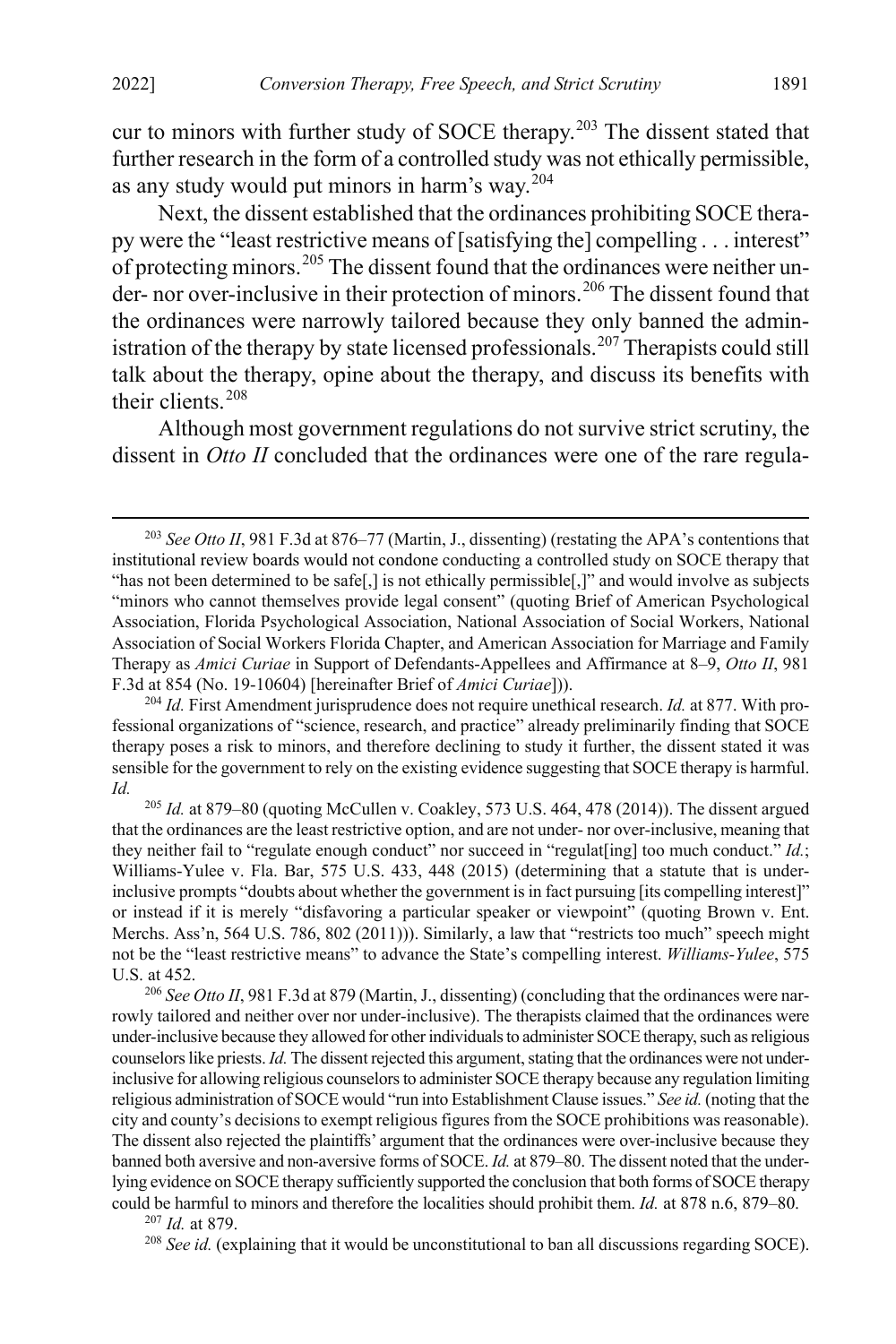<span id="page-31-6"></span>cur to minors with further study of SOCE therapy. $203$  The dissent stated that further research in the form of a controlled study was not ethically permissible, as any study would put minors in harm's way.[204](#page-31-1)

Next, the dissent established that the ordinances prohibiting SOCE therapy were the "least restrictive means of [satisfying the] compelling . . . interest" of protecting minors.<sup>[205](#page-31-2)</sup> The dissent found that the ordinances were neither un-der- nor over-inclusive in their protection of minors.<sup>[206](#page-31-3)</sup> The dissent found that the ordinances were narrowly tailored because they only banned the admin-istration of the therapy by state licensed professionals.<sup>[207](#page-31-4)</sup> Therapists could still talk about the therapy, opine about the therapy, and discuss its benefits with their clients.[208](#page-31-5)

Although most government regulations do not survive strict scrutiny, the dissent in *Otto II* concluded that the ordinances were one of the rare regula-

<span id="page-31-5"></span><sup>208</sup> See id. (explaining that it would be unconstitutional to ban all discussions regarding SOCE).

<span id="page-31-0"></span><sup>&</sup>lt;sup>203</sup> See Otto II, 981 F.3d at 876–77 (Martin, J., dissenting) (restating the APA's contentions that institutional review boards would not condone conducting a controlled study on SOCE therapy that "has not been determined to be safe[,] is not ethically permissible[,]" and would involve as subjects "minors who cannot themselves provide legal consent" (quoting Brief of American Psychological Association, Florida Psychological Association, National Association of Social Workers, National Association of Social Workers Florida Chapter, and American Association for Marriage and Family Therapy as *Amici Curiae* in Support of Defendants-Appellees and Affirmance at 8–9, *Otto II*, 981 F.3d at 854 (No. 19-10604) [hereinafter Brief of *Amici Curiae*])).

<span id="page-31-1"></span><sup>204</sup> *Id.* First Amendment jurisprudence does not require unethical research. *Id.* at 877. With professional organizations of "science, research, and practice" already preliminarily finding that SOCE therapy poses a risk to minors, and therefore declining to study it further, the dissent stated it was sensible for the government to rely on the existing evidence suggesting that SOCE therapy is harmful. *Id.*

<span id="page-31-2"></span> $^{205}$  *Id.* at 879–80 (quoting McCullen v. Coakley, 573 U.S. 464, 478 (2014)). The dissent argued that the ordinances are the least restrictive option, and are not under- nor over-inclusive, meaning that they neither fail to "regulate enough conduct" nor succeed in "regulat[ing] too much conduct." *Id.*; Williams-Yulee v. Fla. Bar, 575 U.S. 433, 448 (2015) (determining that a statute that is underinclusive prompts "doubts about whether the government is in fact pursuing [its compelling interest]" or instead if it is merely "disfavoring a particular speaker or viewpoint" (quoting Brown v. Ent. Merchs. Ass'n, 564 U.S. 786, 802 (2011))). Similarly, a law that "restricts too much" speech might not be the "least restrictive means" to advance the State's compelling interest. *Williams-Yulee*, 575 U.S. at 452.

<span id="page-31-3"></span><sup>&</sup>lt;sup>206</sup> See Otto II, 981 F.3d at 879 (Martin, J., dissenting) (concluding that the ordinances were narrowly tailored and neither over nor under-inclusive). The therapists claimed that the ordinances were under-inclusive because they allowed for other individuals to administer SOCE therapy, such as religious counselors like priests. *Id.* The dissent rejected this argument, stating that the ordinances were not underinclusive for allowing religious counselors to administer SOCE therapy because any regulation limiting religious administration of SOCE would "run into Establishment Clause issues." *See id.* (noting that the city and county's decisions to exempt religious figures from the SOCE prohibitions was reasonable). The dissent also rejected the plaintiffs' argument that the ordinances were over-inclusive because they banned both aversive and non-aversive forms of SOCE. *Id.* at 879–80. The dissent noted that the underlying evidence on SOCE therapy sufficiently supported the conclusion that both forms of SOCE therapy could be harmful to minors and therefore the localities should prohibit them. *Id.* at 878 n.6, 879–80.

<span id="page-31-4"></span><sup>207</sup> *Id.* at 879.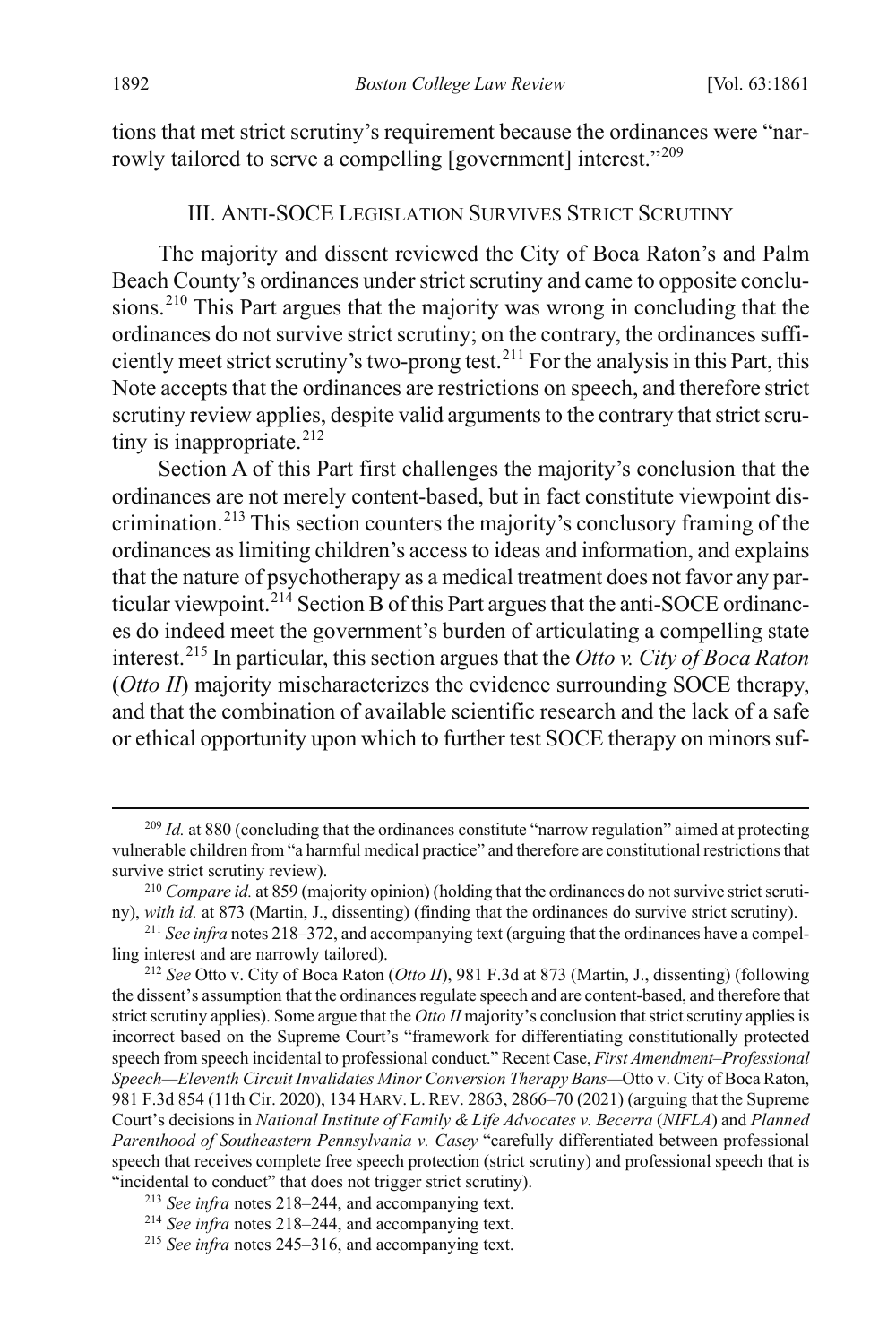tions that met strict scrutiny's requirement because the ordinances were "nar-rowly tailored to serve a compelling [government] interest."<sup>[209](#page-32-2)</sup>

#### <span id="page-32-0"></span>III. ANTI-SOCE LEGISLATION SURVIVES STRICT SCRUTINY

<span id="page-32-1"></span>The majority and dissent reviewed the City of Boca Raton's and Palm Beach County's ordinances under strict scrutiny and came to opposite conclu-sions.<sup>[210](#page-32-3)</sup> This Part argues that the majority was wrong in concluding that the ordinances do not survive strict scrutiny; on the contrary, the ordinances sufficiently meet strict scrutiny's two-prong test.[211](#page-32-4) For the analysis in this Part, this Note accepts that the ordinances are restrictions on speech, and therefore strict scrutiny review applies, despite valid arguments to the contrary that strict scrutiny is inappropriate. $212$ 

Section A of this Part first challenges the majority's conclusion that the ordinances are not merely content-based, but in fact constitute viewpoint discrimination.[213](#page-32-6) This section counters the majority's conclusory framing of the ordinances as limiting children's access to ideas and information, and explains that the nature of psychotherapy as a medical treatment does not favor any particular viewpoint. $^{214}$  $^{214}$  $^{214}$  Section B of this Part argues that the anti-SOCE ordinances do indeed meet the government's burden of articulating a compelling state interest.[215](#page-32-8) In particular, this section argues that the *Otto v. City of Boca Raton*  (*Otto II*) majority mischaracterizes the evidence surrounding SOCE therapy, and that the combination of available scientific research and the lack of a safe or ethical opportunity upon which to further test SOCE therapy on minors suf-

<span id="page-32-2"></span><sup>&</sup>lt;sup>209</sup> *Id.* at 880 (concluding that the ordinances constitute "narrow regulation" aimed at protecting vulnerable children from "a harmful medical practice" and therefore are constitutional restrictions that survive strict scrutiny review).

<span id="page-32-3"></span><sup>210</sup> *Compare id.* at 859 (majority opinion) (holding that the ordinances do not survive strict scrutiny), *with id.* at 873 (Martin, J., dissenting) (finding that the ordinances do survive strict scrutiny).

<span id="page-32-4"></span><sup>211</sup> *See infra* note[s 218–](#page-33-0)[372,](#page-51-0) and accompanying text (arguing that the ordinances have a compelling interest and are narrowly tailored).

<span id="page-32-5"></span><sup>212</sup> *See* Otto v. City of Boca Raton (*Otto II*), 981 F.3d at 873 (Martin, J., dissenting) (following the dissent's assumption that the ordinances regulate speech and are content-based, and therefore that strict scrutiny applies). Some argue that the *Otto II* majority's conclusion that strict scrutiny applies is incorrect based on the Supreme Court's "framework for differentiating constitutionally protected speech from speech incidental to professional conduct." Recent Case, *First Amendment–Professional Speech—Eleventh Circuit Invalidates Minor Conversion Therapy Bans—*Otto v. City of Boca Raton, 981 F.3d 854 (11th Cir. 2020), 134 HARV. L. REV. 2863, 2866–70 (2021) (arguing that the Supreme Court's decisions in *National Institute of Family & Life Advocates v. Becerra* (*NIFLA*) and *Planned Parenthood of Southeastern Pennsylvania v. Casey* "carefully differentiated between professional speech that receives complete free speech protection (strict scrutiny) and professional speech that is "incidental to conduct" that does not trigger strict scrutiny).

<span id="page-32-6"></span><sup>213</sup> *See infra* notes [218–](#page-33-0)[244,](#page-35-0) and accompanying text.

<span id="page-32-7"></span><sup>214</sup> *See infra* notes [218–](#page-33-0)[244,](#page-35-0) and accompanying text.

<span id="page-32-8"></span><sup>215</sup> *See infra* notes [245–](#page-36-0)[316,](#page-44-0) and accompanying text.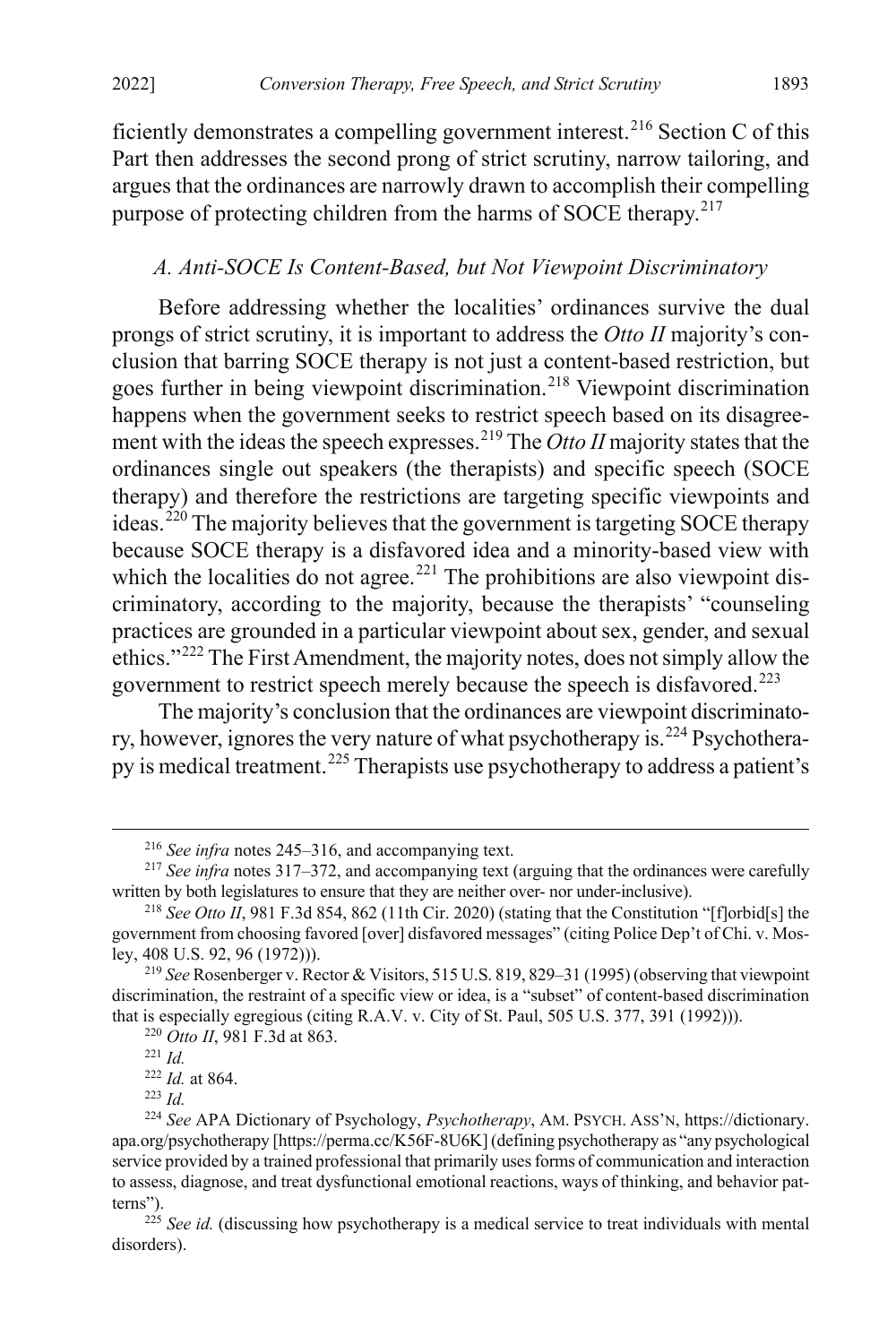ficiently demonstrates a compelling government interest.<sup>[216](#page-33-1)</sup> Section C of this Part then addresses the second prong of strict scrutiny, narrow tailoring, and argues that the ordinances are narrowly drawn to accomplish their compelling purpose of protecting children from the harms of SOCE therapy.<sup>[217](#page-33-2)</sup>

#### <span id="page-33-0"></span>*A. Anti-SOCE Is Content-Based, but Not Viewpoint Discriminatory*

Before addressing whether the localities' ordinances survive the dual prongs of strict scrutiny, it is important to address the *Otto II* majority's conclusion that barring SOCE therapy is not just a content-based restriction, but goes further in being viewpoint discrimination.<sup>[218](#page-33-3)</sup> Viewpoint discrimination happens when the government seeks to restrict speech based on its disagreement with the ideas the speech expresses.[219](#page-33-4) The *Otto II* majority states that the ordinances single out speakers (the therapists) and specific speech (SOCE therapy) and therefore the restrictions are targeting specific viewpoints and  $i$ deas.<sup>[220](#page-33-5)</sup> The majority believes that the government is targeting SOCE therapy because SOCE therapy is a disfavored idea and a minority-based view with which the localities do not agree.<sup>[221](#page-33-6)</sup> The prohibitions are also viewpoint discriminatory, according to the majority, because the therapists' "counseling practices are grounded in a particular viewpoint about sex, gender, and sexual ethics."[222](#page-33-7) The First Amendment, the majority notes, does not simply allow the government to restrict speech merely because the speech is disfavored.[223](#page-33-8)

The majority's conclusion that the ordinances are viewpoint discriminato-ry, however, ignores the very nature of what psychotherapy is.<sup>[224](#page-33-9)</sup> Psychotherapy is medical treatment.[225](#page-33-10) Therapists use psychotherapy to address a patient's

 <sup>216</sup> *See infra* notes [245–](#page-36-0)[316,](#page-44-0) and accompanying text.

<span id="page-33-2"></span><span id="page-33-1"></span><sup>217</sup> *See infra* note[s 317](#page-44-1)[–372,](#page-51-0) and accompanying text (arguing that the ordinances were carefully written by both legislatures to ensure that they are neither over- nor under-inclusive).

<span id="page-33-3"></span><sup>&</sup>lt;sup>218</sup> See Otto II, 981 F.3d 854, 862 (11th Cir. 2020) (stating that the Constitution "[f]orbid[s] the government from choosing favored [over] disfavored messages" (citing Police Dep't of Chi. v. Mosley, 408 U.S. 92, 96 (1972))).

<span id="page-33-5"></span><span id="page-33-4"></span><sup>219</sup> *See* Rosenberger v. Rector & Visitors, 515 U.S. 819, 829–31 (1995) (observing that viewpoint discrimination, the restraint of a specific view or idea, is a "subset" of content-based discrimination that is especially egregious (citing R.A.V. v. City of St. Paul, 505 U.S. 377, 391 (1992))).

<sup>220</sup> *Otto II*, 981 F.3d at 863.

<sup>221</sup> *Id.*

<sup>222</sup> *Id.* at 864.

<sup>223</sup> *Id.*

<span id="page-33-9"></span><span id="page-33-8"></span><span id="page-33-7"></span><span id="page-33-6"></span><sup>224</sup> *See* APA Dictionary of Psychology, *Psychotherapy*, AM. PSYCH. ASS'N, https://dictionary. apa.org/psychotherapy [https://perma.cc/K56F-8U6K] (defining psychotherapy as "any psychological service provided by a trained professional that primarily uses forms of communication and interaction to assess, diagnose, and treat dysfunctional emotional reactions, ways of thinking, and behavior patterns").

<span id="page-33-10"></span><sup>&</sup>lt;sup>225</sup> See id. (discussing how psychotherapy is a medical service to treat individuals with mental disorders).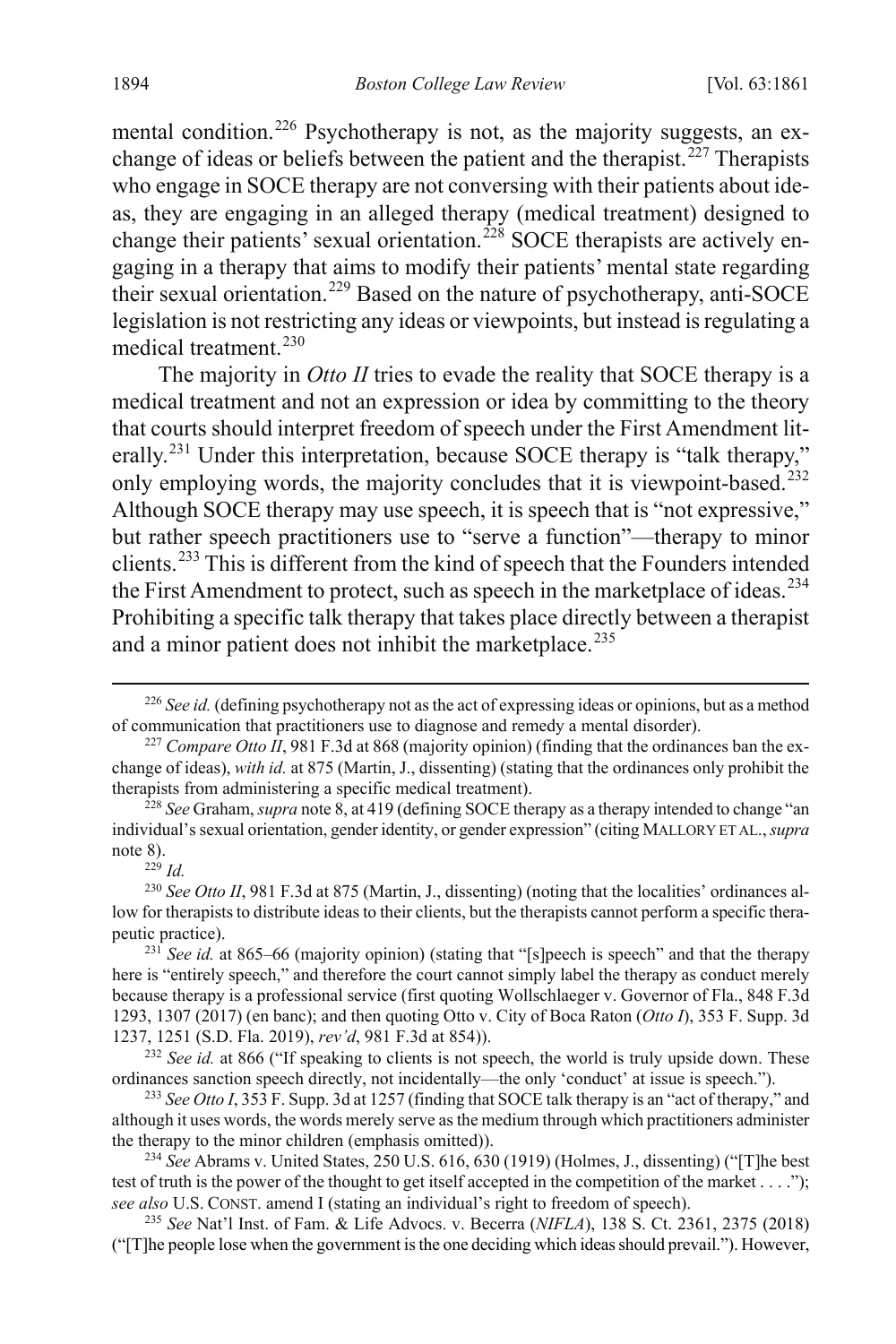mental condition.<sup>[226](#page-34-0)</sup> Psychotherapy is not, as the majority suggests, an ex-change of ideas or beliefs between the patient and the therapist.<sup>[227](#page-34-1)</sup> Therapists who engage in SOCE therapy are not conversing with their patients about ideas, they are engaging in an alleged therapy (medical treatment) designed to change their patients' sexual orientation.<sup>[228](#page-34-2)</sup> SOCE therapists are actively engaging in a therapy that aims to modify their patients' mental state regarding their sexual orientation.[229](#page-34-3) Based on the nature of psychotherapy, anti-SOCE legislation is not restricting any ideas or viewpoints, but instead is regulating a medical treatment.<sup>[230](#page-34-4)</sup>

The majority in *Otto II* tries to evade the reality that SOCE therapy is a medical treatment and not an expression or idea by committing to the theory that courts should interpret freedom of speech under the First Amendment literally.[231](#page-34-5) Under this interpretation, because SOCE therapy is "talk therapy," only employing words, the majority concludes that it is viewpoint-based.<sup>[232](#page-34-6)</sup> Although SOCE therapy may use speech, it is speech that is "not expressive," but rather speech practitioners use to "serve a function"—therapy to minor clients.[233](#page-34-7) This is different from the kind of speech that the Founders intended the First Amendment to protect, such as speech in the marketplace of ideas.<sup>[234](#page-34-8)</sup> Prohibiting a specific talk therapy that takes place directly between a therapist and a minor patient does not inhibit the marketplace.<sup>[235](#page-34-9)</sup>

<sup>229</sup> *Id.*

<span id="page-34-9"></span><sup>235</sup> *See* Nat'l Inst. of Fam. & Life Advocs. v. Becerra (*NIFLA*), 138 S. Ct. 2361, 2375 (2018) ("[T]he people lose when the government is the one deciding which ideas should prevail."). However,

<span id="page-34-0"></span><sup>&</sup>lt;sup>226</sup> See id. (defining psychotherapy not as the act of expressing ideas or opinions, but as a method of communication that practitioners use to diagnose and remedy a mental disorder).

<span id="page-34-1"></span><sup>&</sup>lt;sup>227</sup> *Compare Otto II*, 981 F.3d at 868 (majority opinion) (finding that the ordinances ban the exchange of ideas), *with id.* at 875 (Martin, J., dissenting) (stating that the ordinances only prohibit the therapists from administering a specific medical treatment).

<span id="page-34-2"></span><sup>228</sup> *See* Graham, *supra* not[e 8,](#page-2-7) at 419 (defining SOCE therapy as a therapy intended to change "an individual's sexual orientation, gender identity, or gender expression" (citing MALLORY ET AL., *supra* note [8\)](#page-2-7).

<span id="page-34-4"></span><span id="page-34-3"></span><sup>&</sup>lt;sup>230</sup> See Otto II, 981 F.3d at 875 (Martin, J., dissenting) (noting that the localities' ordinances allow for therapists to distribute ideas to their clients, but the therapists cannot perform a specific therapeutic practice).

<span id="page-34-5"></span><sup>&</sup>lt;sup>231</sup> See id. at 865–66 (majority opinion) (stating that "[s]peech is speech" and that the therapy here is "entirely speech," and therefore the court cannot simply label the therapy as conduct merely because therapy is a professional service (first quoting Wollschlaeger v. Governor of Fla., 848 F.3d 1293, 1307 (2017) (en banc); and then quoting Otto v. City of Boca Raton (*Otto I*), 353 F. Supp. 3d 1237, 1251 (S.D. Fla. 2019), *rev'd*, 981 F.3d at 854)).

<span id="page-34-6"></span><sup>&</sup>lt;sup>232</sup> See id. at 866 ("If speaking to clients is not speech, the world is truly upside down. These ordinances sanction speech directly, not incidentally—the only 'conduct' at issue is speech.").

<span id="page-34-7"></span><sup>233</sup> *See Otto I*, 353 F. Supp. 3d at 1257 (finding that SOCE talk therapy is an "act of therapy," and although it uses words, the words merely serve as the medium through which practitioners administer the therapy to the minor children (emphasis omitted)).

<span id="page-34-8"></span><sup>234</sup> *See* Abrams v. United States, 250 U.S. 616, 630 (1919) (Holmes, J., dissenting) ("[T]he best test of truth is the power of the thought to get itself accepted in the competition of the market . . . ."); *see also* U.S. CONST. amend I (stating an individual's right to freedom of speech).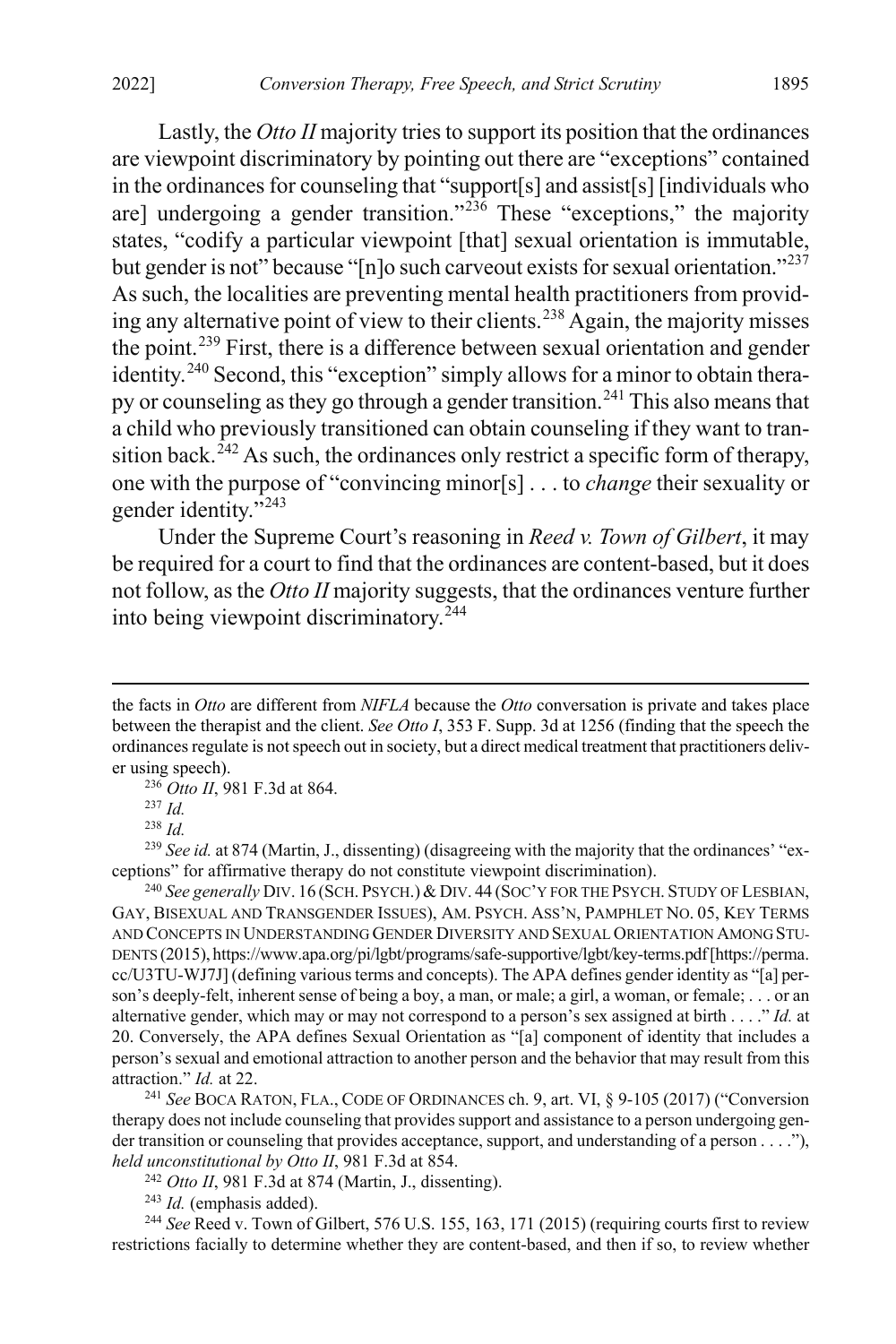Lastly, the *Otto II* majority tries to support its position that the ordinances are viewpoint discriminatory by pointing out there are "exceptions" contained in the ordinances for counseling that "support[s] and assist[s] [individuals who are] undergoing a gender transition." $^{236}$  $^{236}$  $^{236}$  These "exceptions," the majority states, "codify a particular viewpoint [that] sexual orientation is immutable, but gender is not" because "[n]o such carveout exists for sexual orientation."<sup>[237](#page-35-2)</sup> As such, the localities are preventing mental health practitioners from provid-ing any alternative point of view to their clients.<sup>[238](#page-35-3)</sup> Again, the majority misses the point.[239](#page-35-4) First, there is a difference between sexual orientation and gender identity.<sup>[240](#page-35-5)</sup> Second, this "exception" simply allows for a minor to obtain therapy or counseling as they go through a gender transition.[241](#page-35-6) This also means that a child who previously transitioned can obtain counseling if they want to tran-sition back.<sup>[242](#page-35-7)</sup> As such, the ordinances only restrict a specific form of therapy, one with the purpose of "convincing minor[s] . . . to *change* their sexuality or gender identity."<sup>[243](#page-35-8)</sup>

<span id="page-35-0"></span>Under the Supreme Court's reasoning in *Reed v. Town of Gilbert*, it may be required for a court to find that the ordinances are content-based, but it does not follow, as the *Otto II* majority suggests, that the ordinances venture further into being viewpoint discriminatory.[244](#page-35-9)

<sup>236</sup> *Otto II*, 981 F.3d at 864.

<sup>238</sup> *Id.*

<span id="page-35-4"></span><span id="page-35-3"></span><span id="page-35-2"></span><span id="page-35-1"></span><sup>239</sup> *See id.* at 874 (Martin, J., dissenting) (disagreeing with the majority that the ordinances' "exceptions" for affirmative therapy do not constitute viewpoint discrimination).

<span id="page-35-5"></span><sup>240</sup> *See generally* DIV. 16 (SCH. PSYCH.)&DIV. 44 (SOC'Y FOR THE PSYCH. STUDY OF LESBIAN, GAY, BISEXUAL AND TRANSGENDER ISSUES), AM. PSYCH. ASS'N, PAMPHLET NO. 05, KEY TERMS AND CONCEPTS IN UNDERSTANDING GENDER DIVERSITY AND SEXUAL ORIENTATION AMONG STU-DENTS (2015), https://www.apa.org/pi/lgbt/programs/safe-supportive/lgbt/key-terms.pdf[https://perma. cc/U3TU-WJ7J] (defining various terms and concepts). The APA defines gender identity as "[a] person's deeply-felt, inherent sense of being a boy, a man, or male; a girl, a woman, or female; . . . or an alternative gender, which may or may not correspond to a person's sex assigned at birth . . . ." *Id.* at 20. Conversely, the APA defines Sexual Orientation as "[a] component of identity that includes a person's sexual and emotional attraction to another person and the behavior that may result from this attraction." *Id.* at 22.

<span id="page-35-6"></span><sup>241</sup> *See* BOCA RATON, FLA., CODE OF ORDINANCES ch. 9, art. VI, § 9-105 (2017) ("Conversion therapy does not include counseling that provides support and assistance to a person undergoing gender transition or counseling that provides acceptance, support, and understanding of a person . . . ."), *held unconstitutional by Otto II*, 981 F.3d at 854.

<sup>242</sup> *Otto II*, 981 F.3d at 874 (Martin, J., dissenting).

<sup>243</sup> *Id.* (emphasis added).

<span id="page-35-9"></span><span id="page-35-8"></span><span id="page-35-7"></span><sup>244</sup> See Reed v. Town of Gilbert, 576 U.S. 155, 163, 171 (2015) (requiring courts first to review restrictions facially to determine whether they are content-based, and then if so, to review whether

the facts in *Otto* are different from *NIFLA* because the *Otto* conversation is private and takes place between the therapist and the client. *See Otto I*, 353 F. Supp. 3d at 1256 (finding that the speech the ordinances regulate is not speech out in society, but a direct medical treatment that practitioners deliver using speech).

<sup>237</sup> *Id.*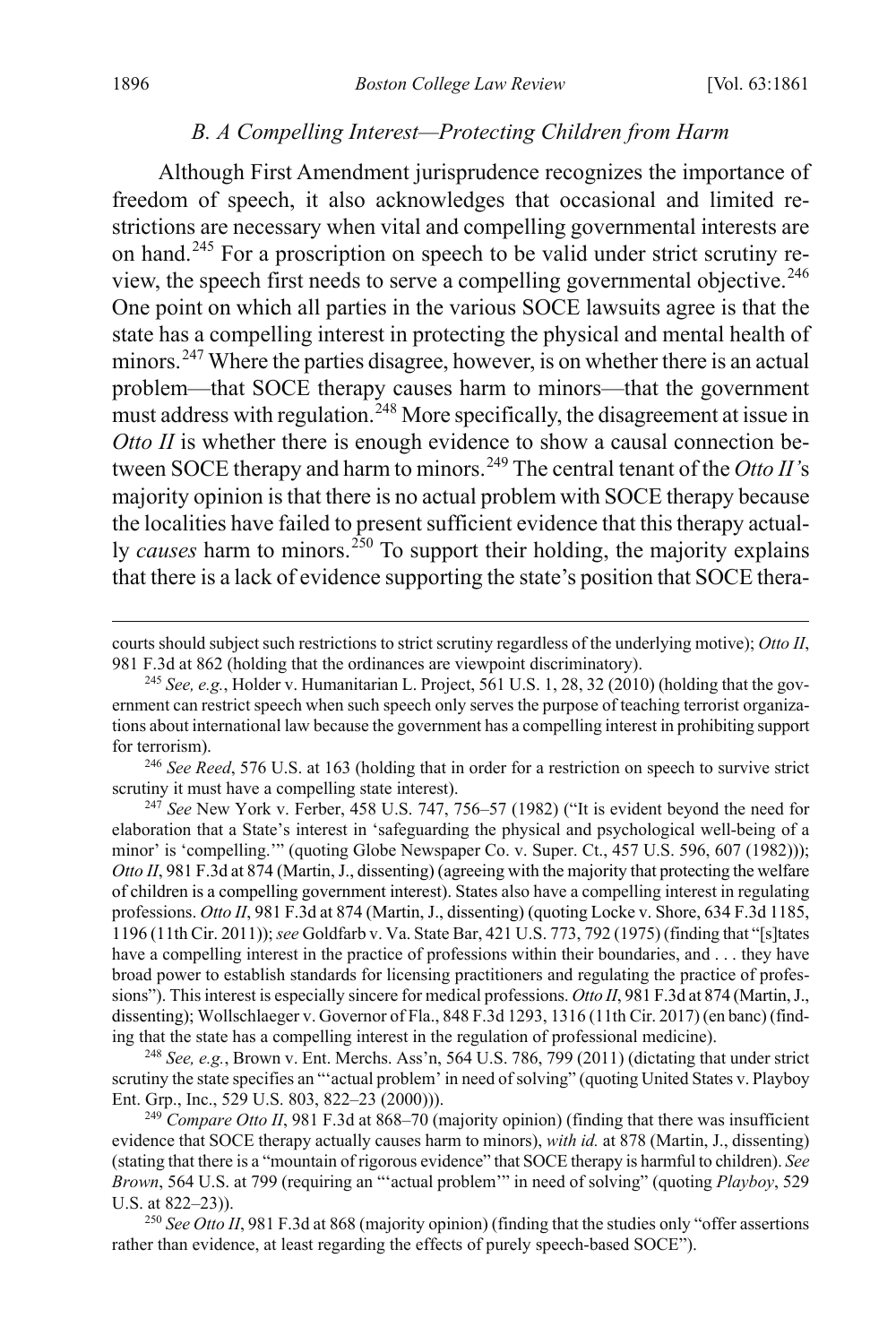#### *B. A Compelling Interest—Protecting Children from Harm*

<span id="page-36-0"></span>Although First Amendment jurisprudence recognizes the importance of freedom of speech, it also acknowledges that occasional and limited restrictions are necessary when vital and compelling governmental interests are on hand.[245](#page-36-1) For a proscription on speech to be valid under strict scrutiny review, the speech first needs to serve a compelling governmental objective.[246](#page-36-2) One point on which all parties in the various SOCE lawsuits agree is that the state has a compelling interest in protecting the physical and mental health of minors.<sup>[247](#page-36-3)</sup> Where the parties disagree, however, is on whether there is an actual problem—that SOCE therapy causes harm to minors—that the government must address with regulation.<sup>[248](#page-36-4)</sup> More specifically, the disagreement at issue in *Otto II* is whether there is enough evidence to show a causal connection be-tween SOCE therapy and harm to minors.<sup>[249](#page-36-5)</sup> The central tenant of the *Otto II's* majority opinion is that there is no actual problem with SOCE therapy because the localities have failed to present sufficient evidence that this therapy actually *causes* harm to minors.<sup>[250](#page-36-6)</sup> To support their holding, the majority explains that there is a lack of evidence supporting the state's position that SOCE thera-

<span id="page-36-2"></span><sup>246</sup> *See Reed*, 576 U.S. at 163 (holding that in order for a restriction on speech to survive strict scrutiny it must have a compelling state interest).

<span id="page-36-3"></span><sup>247</sup> *See* New York v. Ferber, 458 U.S. 747, 756–57 (1982) ("It is evident beyond the need for elaboration that a State's interest in 'safeguarding the physical and psychological well-being of a minor' is 'compelling.'" (quoting Globe Newspaper Co. v. Super. Ct., 457 U.S. 596, 607 (1982))); *Otto II*, 981 F.3d at 874 (Martin, J., dissenting) (agreeing with the majority that protecting the welfare of children is a compelling government interest). States also have a compelling interest in regulating professions. *Otto II*, 981 F.3d at 874 (Martin, J., dissenting) (quoting Locke v. Shore, 634 F.3d 1185, 1196 (11th Cir. 2011)); *see* Goldfarb v. Va. State Bar, 421 U.S. 773, 792 (1975) (finding that "[s]tates have a compelling interest in the practice of professions within their boundaries, and . . . they have broad power to establish standards for licensing practitioners and regulating the practice of professions"). This interest is especially sincere for medical professions. *Otto II*, 981 F.3d at 874 (Martin, J., dissenting); Wollschlaeger v. Governor of Fla., 848 F.3d 1293, 1316 (11th Cir. 2017) (en banc) (finding that the state has a compelling interest in the regulation of professional medicine).

<span id="page-36-4"></span><sup>248</sup> *See, e.g.*, Brown v. Ent. Merchs. Ass'n, 564 U.S. 786, 799 (2011) (dictating that under strict scrutiny the state specifies an "'actual problem' in need of solving" (quoting United States v. Playboy Ent. Grp., Inc., 529 U.S. 803, 822–23 (2000))).

<span id="page-36-5"></span><sup>249</sup> *Compare Otto II*, 981 F.3d at 868–70 (majority opinion) (finding that there was insufficient evidence that SOCE therapy actually causes harm to minors), *with id.* at 878 (Martin, J., dissenting) (stating that there is a "mountain of rigorous evidence" that SOCE therapy is harmful to children). *See Brown*, 564 U.S. at 799 (requiring an "'actual problem'" in need of solving" (quoting *Playboy*, 529 U.S. at 822–23)).

<span id="page-36-6"></span><sup>250</sup> See Otto II, 981 F.3d at 868 (majority opinion) (finding that the studies only "offer assertions rather than evidence, at least regarding the effects of purely speech-based SOCE").

courts should subject such restrictions to strict scrutiny regardless of the underlying motive); *Otto II*, 981 F.3d at 862 (holding that the ordinances are viewpoint discriminatory).

<span id="page-36-1"></span><sup>245</sup> *See, e.g.*, Holder v. Humanitarian L. Project, 561 U.S. 1, 28, 32 (2010) (holding that the government can restrict speech when such speech only serves the purpose of teaching terrorist organizations about international law because the government has a compelling interest in prohibiting support for terrorism).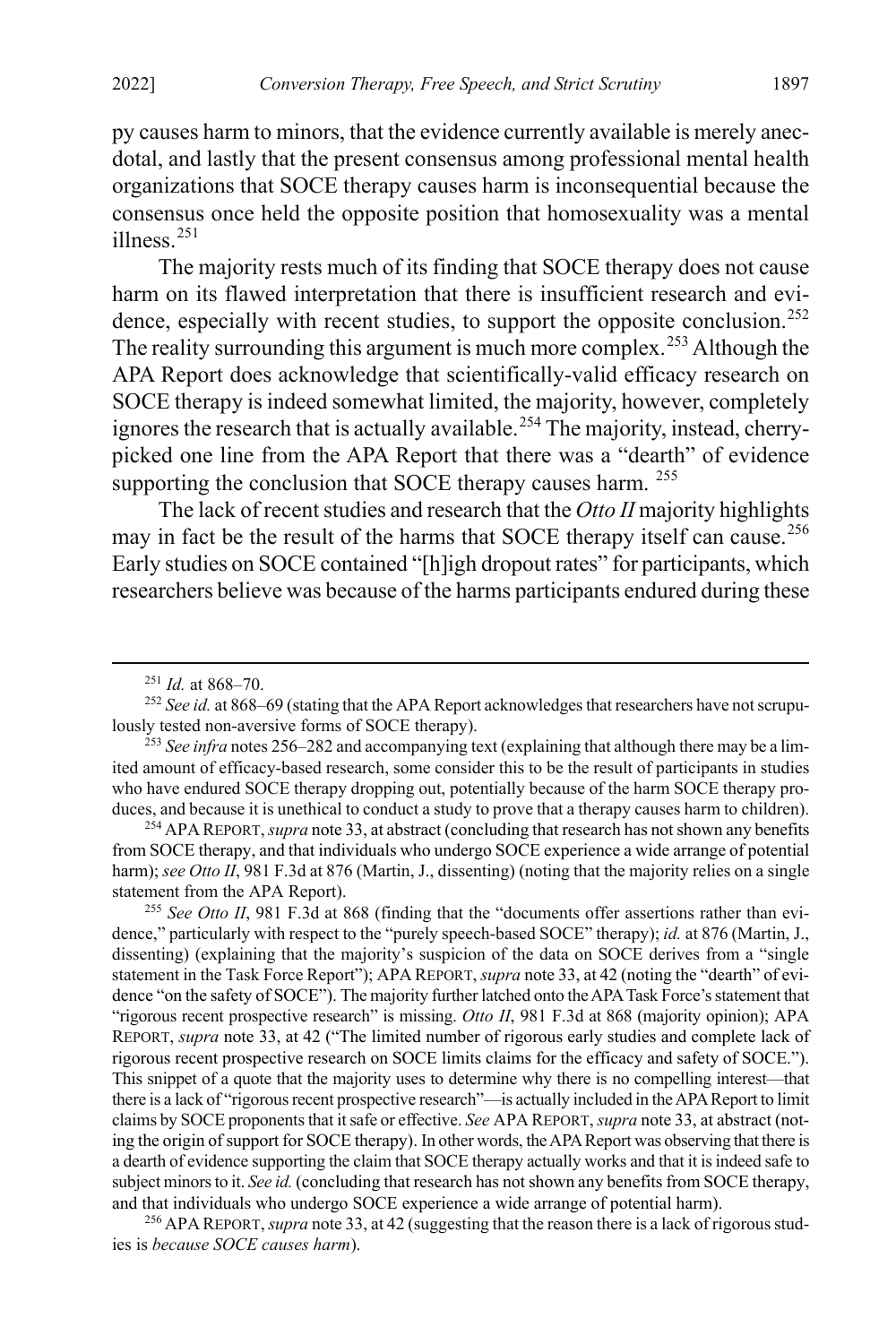py causes harm to minors, that the evidence currently available is merely anecdotal, and lastly that the present consensus among professional mental health organizations that SOCE therapy causes harm is inconsequential because the consensus once held the opposite position that homosexuality was a mental illness.<sup>[251](#page-37-1)</sup>

The majority rests much of its finding that SOCE therapy does not cause harm on its flawed interpretation that there is insufficient research and evi-dence, especially with recent studies, to support the opposite conclusion.<sup>[252](#page-37-2)</sup> The reality surrounding this argument is much more complex.<sup>[253](#page-37-3)</sup> Although the APA Report does acknowledge that scientifically-valid efficacy research on SOCE therapy is indeed somewhat limited, the majority, however, completely ignores the research that is actually available.<sup>[254](#page-37-4)</sup> The majority, instead, cherrypicked one line from the APA Report that there was a "dearth" of evidence supporting the conclusion that SOCE therapy causes harm. <sup>[255](#page-37-5)</sup>

The lack of recent studies and research that the *Otto II* majority highlights may in fact be the result of the harms that SOCE therapy itself can cause.<sup>[256](#page-37-6)</sup> Early studies on SOCE contained "[h]igh dropout rates" for participants, which researchers believe was because of the harms participants endured during these

<span id="page-37-4"></span><sup>254</sup> APA REPORT, *supra* not[e 33,](#page-6-0) at abstract (concluding that research has not shown any benefits from SOCE therapy, and that individuals who undergo SOCE experience a wide arrange of potential harm); *see Otto II*, 981 F.3d at 876 (Martin, J., dissenting) (noting that the majority relies on a single statement from the APA Report).

<span id="page-37-5"></span><sup>255</sup> *See Otto II*, 981 F.3d at 868 (finding that the "documents offer assertions rather than evidence," particularly with respect to the "purely speech-based SOCE" therapy); *id.* at 876 (Martin, J., dissenting) (explaining that the majority's suspicion of the data on SOCE derives from a "single statement in the Task Force Report"); APA REPORT, *supra* not[e 33,](#page-6-0) at 42 (noting the "dearth" of evidence "on the safety of SOCE"). The majority further latched onto the APA Task Force's statement that "rigorous recent prospective research" is missing. *Otto II*, 981 F.3d at 868 (majority opinion); APA REPORT, *supra* note [33,](#page-6-0) at 42 ("The limited number of rigorous early studies and complete lack of rigorous recent prospective research on SOCE limits claims for the efficacy and safety of SOCE."). This snippet of a quote that the majority uses to determine why there is no compelling interest—that there is a lack of "rigorous recent prospective research"—is actually included in the APA Report to limit claims by SOCE proponents that it safe or effective. *See* APA REPORT, *supra* not[e 33,](#page-6-0) at abstract (noting the origin of support for SOCE therapy). In other words, the APA Report was observing that there is a dearth of evidence supporting the claim that SOCE therapy actually works and that it is indeed safe to subject minors to it. *See id.* (concluding that research has not shown any benefits from SOCE therapy, and that individuals who undergo SOCE experience a wide arrange of potential harm).

<span id="page-37-6"></span><sup>256</sup> APA REPORT,*supra* not[e 33,](#page-6-0) at 42 (suggesting that the reason there is a lack of rigorous studies is *because SOCE causes harm*).

<span id="page-37-0"></span> <sup>251</sup> *Id.* at 868–70.

<span id="page-37-2"></span><span id="page-37-1"></span><sup>&</sup>lt;sup>252</sup> See id. at 868–69 (stating that the APA Report acknowledges that researchers have not scrupulously tested non-aversive forms of SOCE therapy).

<span id="page-37-3"></span><sup>253</sup> *See infra* note[s 256](#page-37-0)[–282](#page-40-0) and accompanying text (explaining that although there may be a limited amount of efficacy-based research, some consider this to be the result of participants in studies who have endured SOCE therapy dropping out, potentially because of the harm SOCE therapy produces, and because it is unethical to conduct a study to prove that a therapy causes harm to children).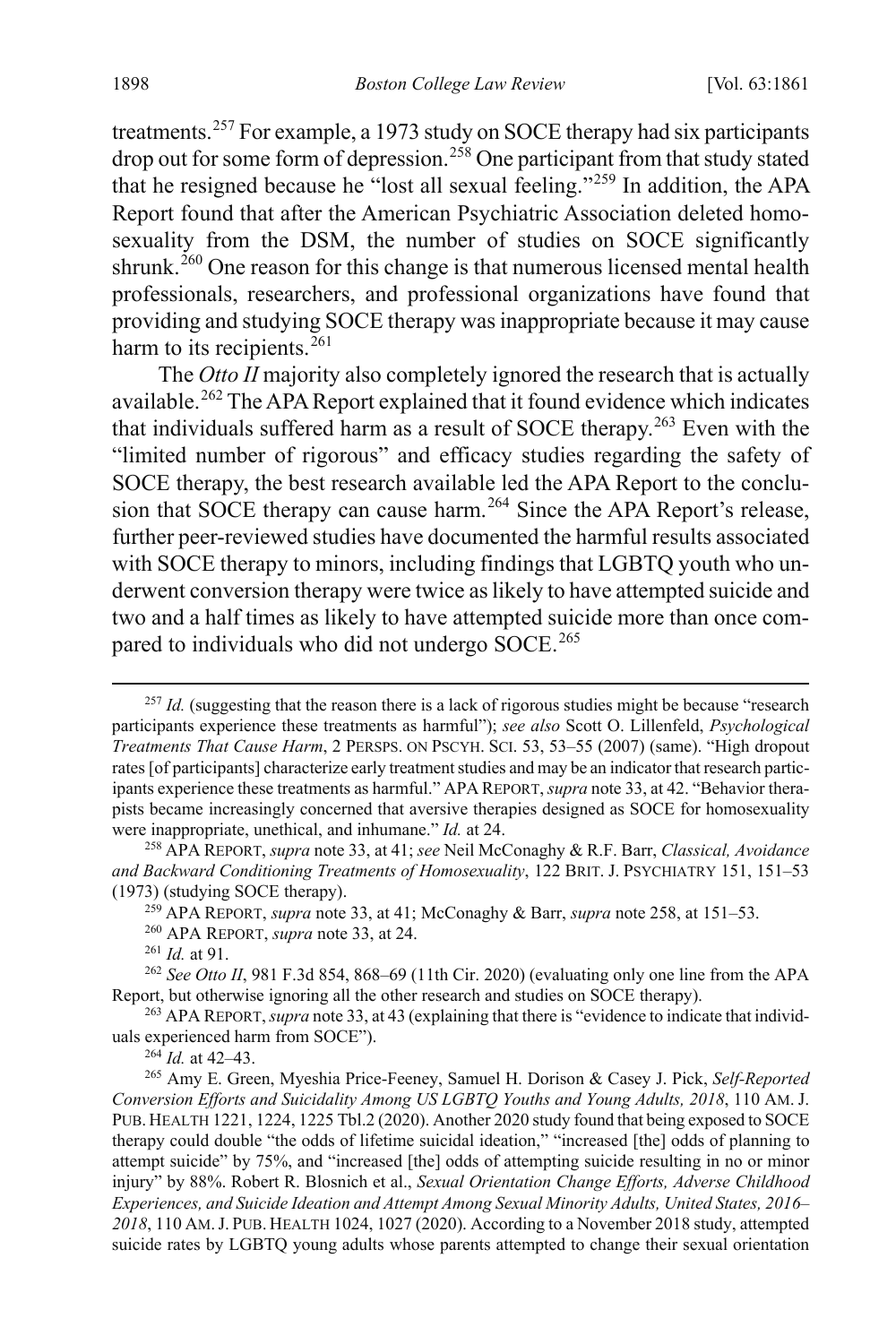<span id="page-38-0"></span>treatments.<sup>[257](#page-38-1)</sup> For example, a 1973 study on SOCE therapy had six participants drop out for some form of depression.<sup>[258](#page-38-2)</sup> One participant from that study stated that he resigned because he "lost all sexual feeling."[259](#page-38-3) In addition, the APA Report found that after the American Psychiatric Association deleted homosexuality from the DSM, the number of studies on SOCE significantly shrunk.<sup>[260](#page-38-4)</sup> One reason for this change is that numerous licensed mental health professionals, researchers, and professional organizations have found that providing and studying SOCE therapy was inappropriate because it may cause harm to its recipients.  $^{261}$  $^{261}$  $^{261}$ 

<span id="page-38-10"></span>The *Otto II* majority also completely ignored the research that is actually available.<sup>[262](#page-38-6)</sup> The APA Report explained that it found evidence which indicates that individuals suffered harm as a result of SOCE therapy.<sup>[263](#page-38-7)</sup> Even with the "limited number of rigorous" and efficacy studies regarding the safety of SOCE therapy, the best research available led the APA Report to the conclu-sion that SOCE therapy can cause harm.<sup>[264](#page-38-8)</sup> Since the APA Report's release, further peer-reviewed studies have documented the harmful results associated with SOCE therapy to minors, including findings that LGBTQ youth who underwent conversion therapy were twice as likely to have attempted suicide and two and a half times as likely to have attempted suicide more than once com-pared to individuals who did not undergo SOCE.<sup>[265](#page-38-9)</sup>

<sup>261</sup> *Id.* at 91.

<span id="page-38-1"></span><sup>&</sup>lt;sup>257</sup> *Id.* (suggesting that the reason there is a lack of rigorous studies might be because "research" participants experience these treatments as harmful"); *see also* Scott O. Lillenfeld, *Psychological Treatments That Cause Harm*, 2 PERSPS. ON PSCYH. SCI. 53, 53–55 (2007) (same). "High dropout rates [of participants] characterize early treatment studies and may be an indicator that research participants experience these treatments as harmful." APA REPORT, *supra* not[e 33,](#page-6-0) at 42. "Behavior therapists became increasingly concerned that aversive therapies designed as SOCE for homosexuality were inappropriate, unethical, and inhumane." *Id.* at 24.

<span id="page-38-3"></span><span id="page-38-2"></span><sup>258</sup> APA REPORT, *supra* not[e 33,](#page-6-0) at 41; *see* Neil McConaghy & R.F. Barr, *Classical, Avoidance and Backward Conditioning Treatments of Homosexuality*, 122 BRIT. J. PSYCHIATRY 151, 151–53 (1973) (studying SOCE therapy).

<sup>259</sup> APA REPORT, *supra* note [33,](#page-6-0) at 41; McConaghy & Barr, *supra* not[e 258,](#page-38-0) at 151–53.

<sup>260</sup> APA REPORT, *supra* not[e 33,](#page-6-0) at 24.

<span id="page-38-6"></span><span id="page-38-5"></span><span id="page-38-4"></span><sup>262</sup> *See Otto II*, 981 F.3d 854, 868–69 (11th Cir. 2020) (evaluating only one line from the APA Report, but otherwise ignoring all the other research and studies on SOCE therapy).

<span id="page-38-7"></span><sup>263</sup> APA REPORT, *supra* not[e 33,](#page-6-0) at 43 (explaining that there is "evidence to indicate that individuals experienced harm from SOCE").

<sup>264</sup> *Id.* at 42–43.

<span id="page-38-9"></span><span id="page-38-8"></span><sup>265</sup> Amy E. Green, Myeshia Price-Feeney, Samuel H. Dorison & Casey J. Pick, *Self-Reported Conversion Efforts and Suicidality Among US LGBTQ Youths and Young Adults, 2018*, 110 AM. J. PUB. HEALTH 1221, 1224, 1225 Tbl.2 (2020). Another 2020 study found that being exposed to SOCE therapy could double "the odds of lifetime suicidal ideation," "increased [the] odds of planning to attempt suicide" by 75%, and "increased [the] odds of attempting suicide resulting in no or minor injury" by 88%. Robert R. Blosnich et al., *Sexual Orientation Change Efforts, Adverse Childhood Experiences, and Suicide Ideation and Attempt Among Sexual Minority Adults, United States, 2016– 2018*, 110 AM.J. PUB. HEALTH 1024, 1027 (2020). According to a November 2018 study, attempted suicide rates by LGBTQ young adults whose parents attempted to change their sexual orientation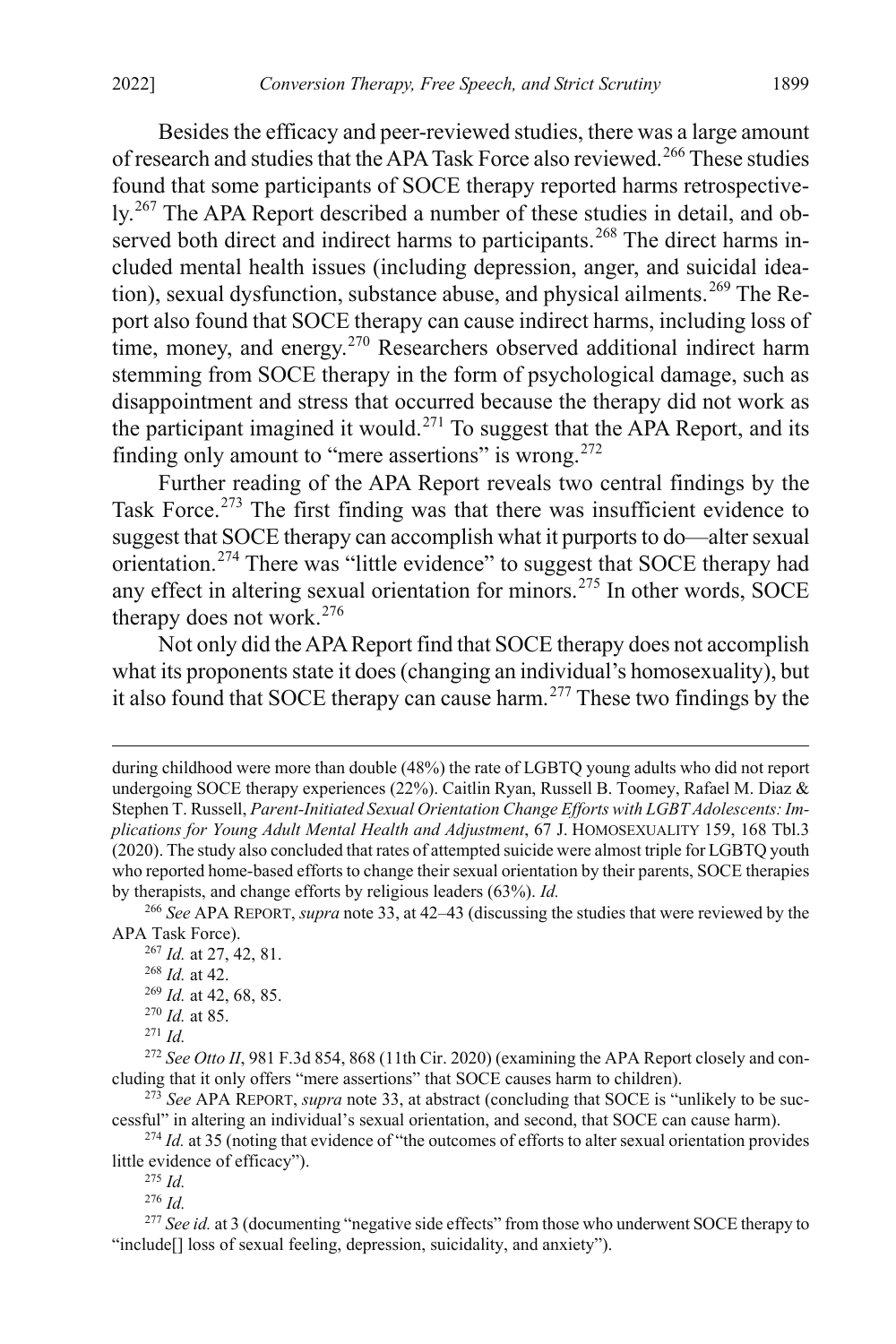Besides the efficacy and peer-reviewed studies, there was a large amount of research and studies that the APA Task Force also reviewed.<sup>[266](#page-39-0)</sup> These studies found that some participants of SOCE therapy reported harms retrospectively.[267](#page-39-1) The APA Report described a number of these studies in detail, and ob-served both direct and indirect harms to participants.<sup>[268](#page-39-2)</sup> The direct harms included mental health issues (including depression, anger, and suicidal idea-tion), sexual dysfunction, substance abuse, and physical ailments.<sup>[269](#page-39-3)</sup> The Report also found that SOCE therapy can cause indirect harms, including loss of time, money, and energy.<sup>[270](#page-39-4)</sup> Researchers observed additional indirect harm stemming from SOCE therapy in the form of psychological damage, such as disappointment and stress that occurred because the therapy did not work as the participant imagined it would.<sup>[271](#page-39-5)</sup> To suggest that the APA Report, and its finding only amount to "mere assertions" is wrong. $272$ 

<span id="page-39-12"></span>Further reading of the APA Report reveals two central findings by the Task Force.<sup>[273](#page-39-7)</sup> The first finding was that there was insufficient evidence to suggest that SOCE therapy can accomplish what it purports to do—alter sexual orientation.[274](#page-39-8) There was "little evidence" to suggest that SOCE therapy had any effect in altering sexual orientation for minors.<sup>[275](#page-39-9)</sup> In other words, SOCE therapy does not work.[276](#page-39-10)

Not only did the APA Report find that SOCE therapy does not accomplish what its proponents state it does (changing an individual's homosexuality), but it also found that SOCE therapy can cause harm.<sup>[277](#page-39-11)</sup> These two findings by the

<span id="page-39-2"></span><span id="page-39-1"></span><span id="page-39-0"></span><sup>266</sup> *See* APA REPORT, *supra* not[e 33,](#page-6-0) at 42–43 (discussing the studies that were reviewed by the APA Task Force).

- <sup>269</sup> *Id.* at 42, 68, 85.
- <sup>270</sup> *Id.* at 85.
- <sup>271</sup> *Id.*

<span id="page-39-6"></span><span id="page-39-5"></span><span id="page-39-4"></span><span id="page-39-3"></span><sup>272</sup> *See Otto II*, 981 F.3d 854, 868 (11th Cir. 2020) (examining the APA Report closely and concluding that it only offers "mere assertions" that SOCE causes harm to children).

<span id="page-39-7"></span><sup>273</sup> *See* APA REPORT, *supra* note [33,](#page-6-0) at abstract (concluding that SOCE is "unlikely to be successful" in altering an individual's sexual orientation, and second, that SOCE can cause harm).

<span id="page-39-9"></span><span id="page-39-8"></span><sup>274</sup> *Id.* at 35 (noting that evidence of "the outcomes of efforts to alter sexual orientation provides little evidence of efficacy").

<sup>275</sup> *Id.*

<sup>276</sup> *Id.*

<span id="page-39-11"></span><span id="page-39-10"></span><sup>277</sup> See *id.* at 3 (documenting "negative side effects" from those who underwent SOCE therapy to "include<sup>[]</sup> loss of sexual feeling, depression, suicidality, and anxiety").

during childhood were more than double (48%) the rate of LGBTQ young adults who did not report undergoing SOCE therapy experiences (22%). Caitlin Ryan, Russell B. Toomey, Rafael M. Diaz & Stephen T. Russell, *Parent-Initiated Sexual Orientation Change Efforts with LGBT Adolescents: Implications for Young Adult Mental Health and Adjustment*, 67 J. HOMOSEXUALITY 159, 168 Tbl.3 (2020). The study also concluded that rates of attempted suicide were almost triple for LGBTQ youth who reported home-based efforts to change their sexual orientation by their parents, SOCE therapies by therapists, and change efforts by religious leaders (63%). *Id.*

<sup>267</sup> *Id.* at 27, 42, 81.

<sup>268</sup> *Id.* at 42.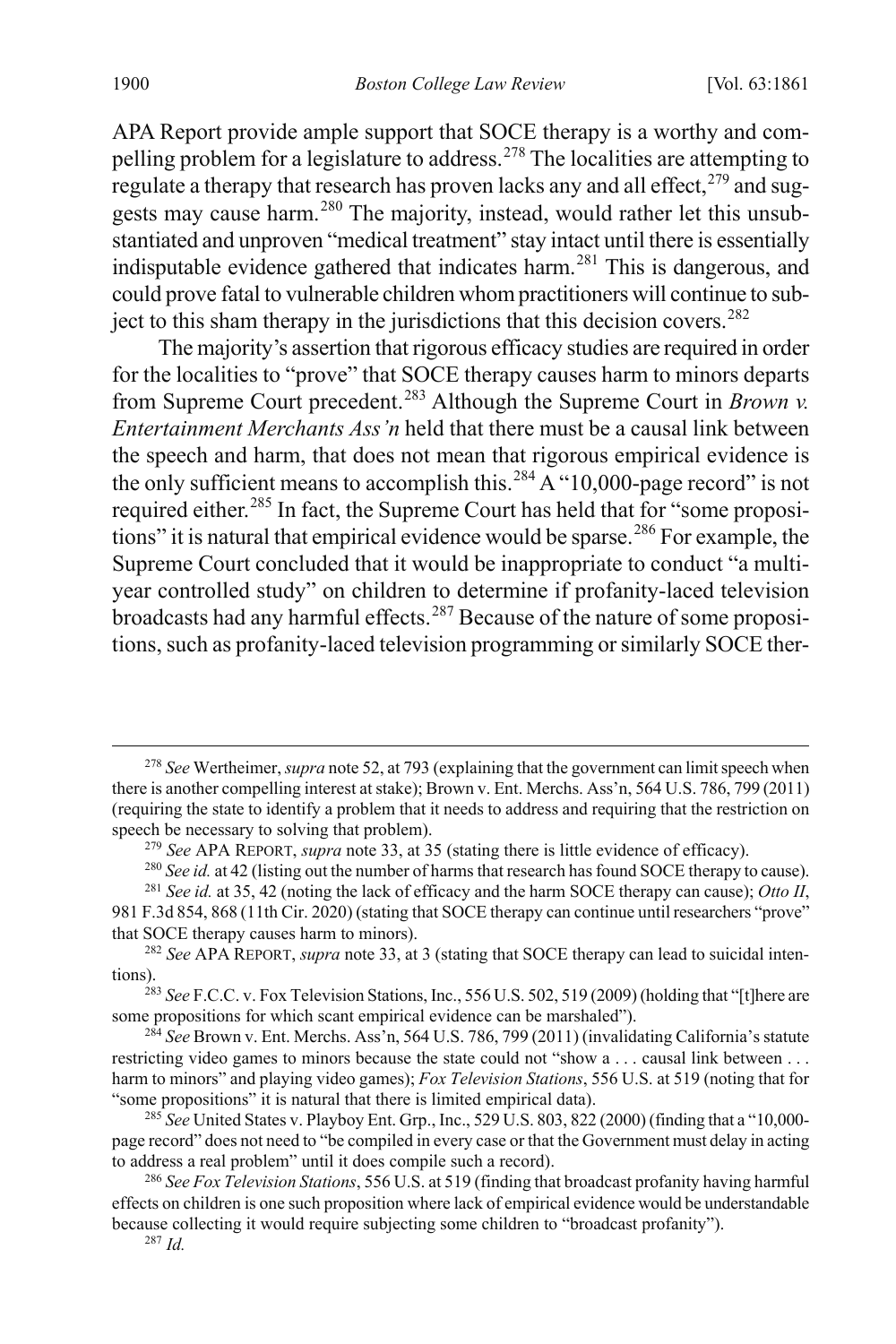APA Report provide ample support that SOCE therapy is a worthy and compelling problem for a legislature to address.[278](#page-40-1) The localities are attempting to regulate a therapy that research has proven lacks any and all effect,  $279$  and sug-gests may cause harm.<sup>[280](#page-40-3)</sup> The majority, instead, would rather let this unsubstantiated and unproven "medical treatment" stay intact until there is essentially indisputable evidence gathered that indicates harm.<sup>[281](#page-40-4)</sup> This is dangerous, and could prove fatal to vulnerable children whom practitioners will continue to sub-ject to this sham therapy in the jurisdictions that this decision covers.<sup>[282](#page-40-5)</sup>

<span id="page-40-0"></span>The majority's assertion that rigorous efficacy studies are required in order for the localities to "prove" that SOCE therapy causes harm to minors departs from Supreme Court precedent.[283](#page-40-6) Although the Supreme Court in *Brown v. Entertainment Merchants Ass'n* held that there must be a causal link between the speech and harm, that does not mean that rigorous empirical evidence is the only sufficient means to accomplish this.<sup>[284](#page-40-7)</sup> A "10,000-page record" is not required either.<sup>[285](#page-40-8)</sup> In fact, the Supreme Court has held that for "some proposi-tions" it is natural that empirical evidence would be sparse.<sup>[286](#page-40-9)</sup> For example, the Supreme Court concluded that it would be inappropriate to conduct "a multiyear controlled study" on children to determine if profanity-laced television broadcasts had any harmful effects.<sup>[287](#page-40-10)</sup> Because of the nature of some propositions, such as profanity-laced television programming or similarly SOCE ther-

<span id="page-40-1"></span> <sup>278</sup> *See* Wertheimer, *supra* not[e 52,](#page-10-6) at 793 (explaining that the government can limit speech when there is another compelling interest at stake); Brown v. Ent. Merchs. Ass'n, 564 U.S. 786, 799 (2011) (requiring the state to identify a problem that it needs to address and requiring that the restriction on speech be necessary to solving that problem).

<sup>279</sup> *See* APA REPORT, *supra* not[e 33,](#page-6-0) at 35 (stating there is little evidence of efficacy).

<sup>&</sup>lt;sup>280</sup> *See id.* at 42 (listing out the number of harms that research has found SOCE therapy to cause).

<sup>281</sup> *See id.* at 35, 42 (noting the lack of efficacy and the harm SOCE therapy can cause); *Otto II*,

<span id="page-40-4"></span><span id="page-40-3"></span><span id="page-40-2"></span><sup>981</sup> F.3d 854, 868 (11th Cir. 2020) (stating that SOCE therapy can continue until researchers "prove" that SOCE therapy causes harm to minors).

<span id="page-40-5"></span><sup>282</sup> *See* APA REPORT, *supra* not[e 33,](#page-6-0) at 3 (stating that SOCE therapy can lead to suicidal intentions).

<span id="page-40-6"></span><sup>283</sup> *See* F.C.C. v. Fox Television Stations, Inc., 556 U.S. 502, 519 (2009) (holding that "[t]here are some propositions for which scant empirical evidence can be marshaled").

<span id="page-40-7"></span><sup>284</sup> *See* Brown v. Ent. Merchs. Ass'n, 564 U.S. 786, 799 (2011) (invalidating California's statute restricting video games to minors because the state could not "show a . . . causal link between . . . harm to minors" and playing video games); *Fox Television Stations*, 556 U.S. at 519 (noting that for "some propositions" it is natural that there is limited empirical data).

<span id="page-40-8"></span><sup>285</sup> *See* United States v. Playboy Ent. Grp., Inc., 529 U.S. 803, 822 (2000) (finding that a "10,000 page record" does not need to "be compiled in every case or that the Government must delay in acting to address a real problem" until it does compile such a record).

<span id="page-40-10"></span><span id="page-40-9"></span><sup>286</sup> *See Fox Television Stations*, 556 U.S. at 519 (finding that broadcast profanity having harmful effects on children is one such proposition where lack of empirical evidence would be understandable because collecting it would require subjecting some children to "broadcast profanity").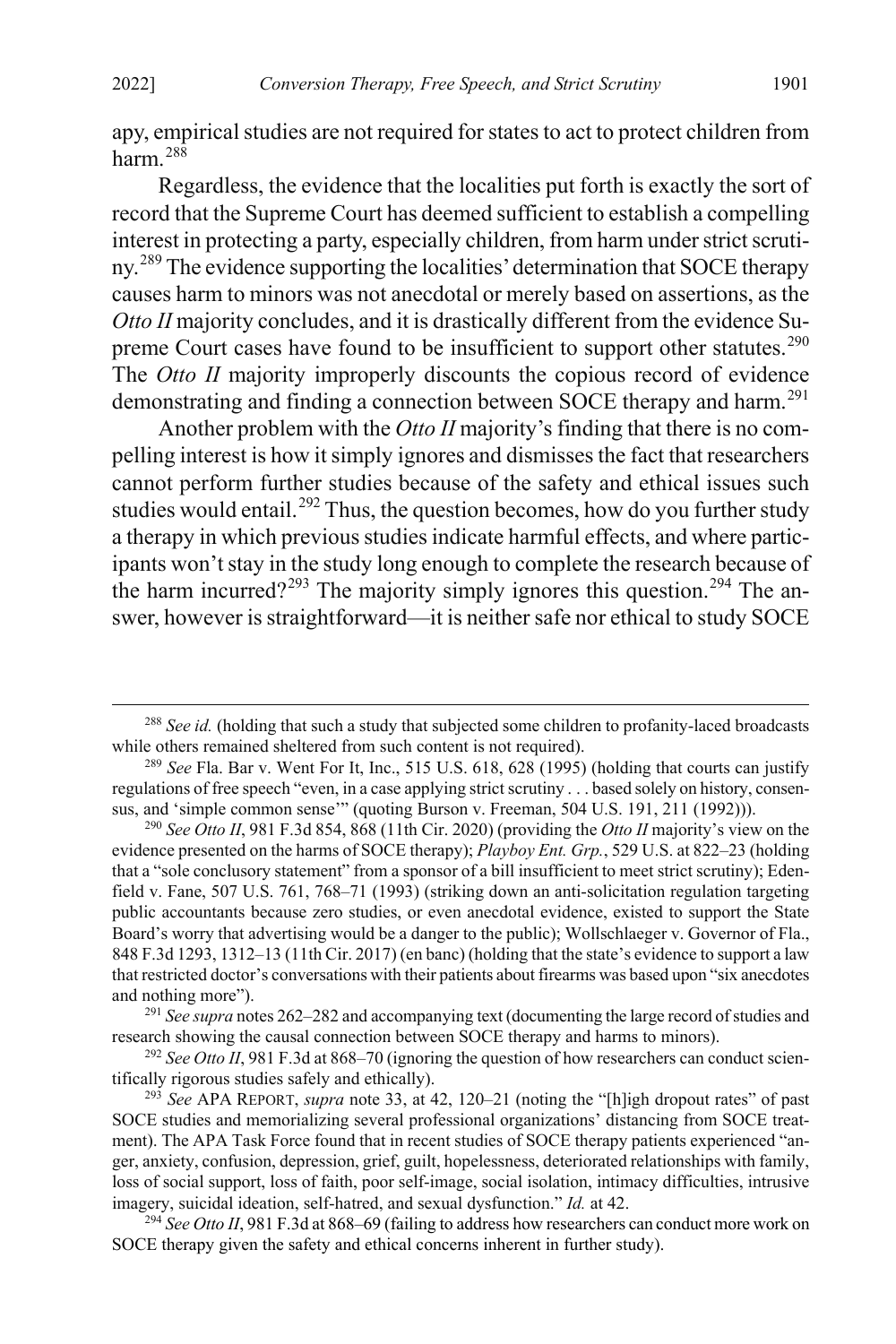apy, empirical studies are not required for states to act to protect children from harm. $28\overline{8}$ 

Regardless, the evidence that the localities put forth is exactly the sort of record that the Supreme Court has deemed sufficient to establish a compelling interest in protecting a party, especially children, from harm under strict scrutiny.[289](#page-41-1) The evidence supporting the localities' determination that SOCE therapy causes harm to minors was not anecdotal or merely based on assertions, as the *Otto II* majority concludes, and it is drastically different from the evidence Su-preme Court cases have found to be insufficient to support other statutes.<sup>[290](#page-41-2)</sup> The *Otto II* majority improperly discounts the copious record of evidence demonstrating and finding a connection between SOCE therapy and harm.<sup>[291](#page-41-3)</sup>

<span id="page-41-7"></span>Another problem with the *Otto II* majority's finding that there is no compelling interest is how it simply ignores and dismisses the fact that researchers cannot perform further studies because of the safety and ethical issues such studies would entail.<sup>[292](#page-41-4)</sup> Thus, the question becomes, how do you further study a therapy in which previous studies indicate harmful effects, and where participants won't stay in the study long enough to complete the research because of the harm incurred?<sup>[293](#page-41-5)</sup> The majority simply ignores this question.<sup>[294](#page-41-6)</sup> The answer, however is straightforward—it is neither safe nor ethical to study SOCE

<span id="page-41-0"></span> <sup>288</sup> *See id.* (holding that such a study that subjected some children to profanity-laced broadcasts while others remained sheltered from such content is not required).

<span id="page-41-1"></span><sup>289</sup> *See* Fla. Bar v. Went For It, Inc., 515 U.S. 618, 628 (1995) (holding that courts can justify regulations of free speech "even, in a case applying strict scrutiny . . . based solely on history, consensus, and 'simple common sense'" (quoting Burson v. Freeman, 504 U.S. 191, 211 (1992))).

<span id="page-41-2"></span><sup>290</sup> *See Otto II*, 981 F.3d 854, 868 (11th Cir. 2020) (providing the *Otto II* majority's view on the evidence presented on the harms of SOCE therapy); *Playboy Ent. Grp.*, 529 U.S. at 822–23 (holding that a "sole conclusory statement" from a sponsor of a bill insufficient to meet strict scrutiny); Edenfield v. Fane, 507 U.S. 761, 768–71 (1993) (striking down an anti-solicitation regulation targeting public accountants because zero studies, or even anecdotal evidence, existed to support the State Board's worry that advertising would be a danger to the public); Wollschlaeger v. Governor of Fla., 848 F.3d 1293, 1312–13 (11th Cir. 2017) (en banc) (holding that the state's evidence to support a law that restricted doctor's conversations with their patients about firearms was based upon "six anecdotes and nothing more").

<span id="page-41-3"></span><sup>291</sup> *See supra* note[s 262](#page-38-10)[–282](#page-40-0) and accompanying text (documenting the large record of studies and research showing the causal connection between SOCE therapy and harms to minors).

<span id="page-41-4"></span><sup>&</sup>lt;sup>292</sup> See Otto II, 981 F.3d at 868–70 (ignoring the question of how researchers can conduct scientifically rigorous studies safely and ethically).

<span id="page-41-5"></span><sup>293</sup> *See* APA REPORT, *supra* not[e 33,](#page-6-0) at 42, 120–21 (noting the "[h]igh dropout rates" of past SOCE studies and memorializing several professional organizations' distancing from SOCE treatment). The APA Task Force found that in recent studies of SOCE therapy patients experienced "anger, anxiety, confusion, depression, grief, guilt, hopelessness, deteriorated relationships with family, loss of social support, loss of faith, poor self-image, social isolation, intimacy difficulties, intrusive imagery, suicidal ideation, self-hatred, and sexual dysfunction." *Id.* at 42.

<span id="page-41-6"></span><sup>&</sup>lt;sup>294</sup> See Otto II, 981 F.3d at 868–69 (failing to address how researchers can conduct more work on SOCE therapy given the safety and ethical concerns inherent in further study).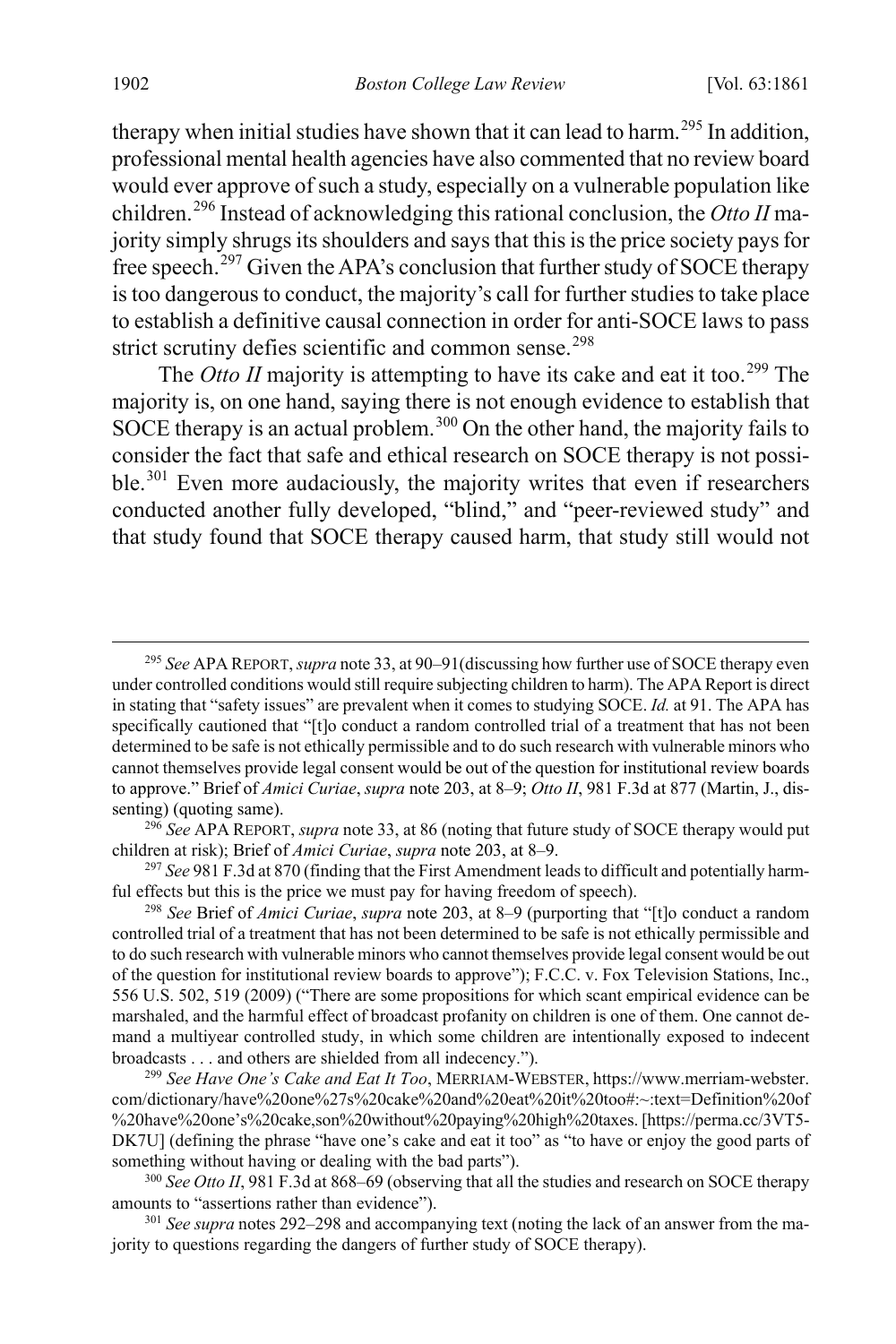therapy when initial studies have shown that it can lead to harm.<sup>[295](#page-42-1)</sup> In addition, professional mental health agencies have also commented that no review board would ever approve of such a study, especially on a vulnerable population like children.[296](#page-42-2) Instead of acknowledging this rational conclusion, the *Otto II* majority simply shrugs its shoulders and says that this is the price society pays for free speech.<sup>[297](#page-42-3)</sup> Given the APA's conclusion that further study of SOCE therapy is too dangerous to conduct, the majority's call for further studies to take place to establish a definitive causal connection in order for anti-SOCE laws to pass strict scrutiny defies scientific and common sense.<sup>[298](#page-42-4)</sup>

<span id="page-42-0"></span>The *Otto II* majority is attempting to have its cake and eat it too.<sup>[299](#page-42-5)</sup> The majority is, on one hand, saying there is not enough evidence to establish that SOCE therapy is an actual problem.<sup>[300](#page-42-6)</sup> On the other hand, the majority fails to consider the fact that safe and ethical research on SOCE therapy is not possi-ble.<sup>[301](#page-42-7)</sup> Even more audaciously, the majority writes that even if researchers conducted another fully developed, "blind," and "peer-reviewed study" and that study found that SOCE therapy caused harm, that study still would not

<span id="page-42-2"></span><sup>296</sup> *See* APA REPORT, *supra* not[e 33,](#page-6-0) at 86 (noting that future study of SOCE therapy would put children at risk); Brief of *Amici Curiae*, *supra* not[e 203,](#page-31-6) at 8–9.

<span id="page-42-3"></span><sup>297</sup> *See* 981 F.3d at 870 (finding that the First Amendment leads to difficult and potentially harmful effects but this is the price we must pay for having freedom of speech).

<span id="page-42-4"></span><sup>298</sup> *See* Brief of *Amici Curiae*, *supra* note [203,](#page-31-6) at 8–9 (purporting that "[t]o conduct a random controlled trial of a treatment that has not been determined to be safe is not ethically permissible and to do such research with vulnerable minors who cannot themselves provide legal consent would be out of the question for institutional review boards to approve"); F.C.C. v. Fox Television Stations, Inc., 556 U.S. 502, 519 (2009) ("There are some propositions for which scant empirical evidence can be marshaled, and the harmful effect of broadcast profanity on children is one of them. One cannot demand a multiyear controlled study, in which some children are intentionally exposed to indecent broadcasts . . . and others are shielded from all indecency.").

<span id="page-42-5"></span><sup>299</sup> *See Have One's Cake and Eat It Too*, MERRIAM-WEBSTER, https://www.merriam-webster. com/dictionary/have%20one%27s%20cake%20and%20eat%20it%20too#:~:text=Definition%20of %20have%20one's%20cake,son%20without%20paying%20high%20taxes. [https://perma.cc/3VT5- DK7U] (defining the phrase "have one's cake and eat it too" as "to have or enjoy the good parts of something without having or dealing with the bad parts").

<span id="page-42-6"></span><sup>300</sup> *See Otto II*, 981 F.3d at 868–69 (observing that all the studies and research on SOCE therapy amounts to "assertions rather than evidence").

<span id="page-42-7"></span><sup>301</sup> *See supra* notes [292–](#page-41-7)[298](#page-42-0) and accompanying text (noting the lack of an answer from the majority to questions regarding the dangers of further study of SOCE therapy).

<span id="page-42-1"></span> <sup>295</sup> *See* APA REPORT,*supra* not[e 33,](#page-6-0) at 90–91(discussing how further use of SOCE therapy even under controlled conditions would still require subjecting children to harm). The APA Report is direct in stating that "safety issues" are prevalent when it comes to studying SOCE. *Id.* at 91. The APA has specifically cautioned that "[t]o conduct a random controlled trial of a treatment that has not been determined to be safe is not ethically permissible and to do such research with vulnerable minors who cannot themselves provide legal consent would be out of the question for institutional review boards to approve." Brief of *Amici Curiae*, *supra* note [203,](#page-31-6) at 8–9; *Otto II*, 981 F.3d at 877 (Martin, J., dissenting) (quoting same).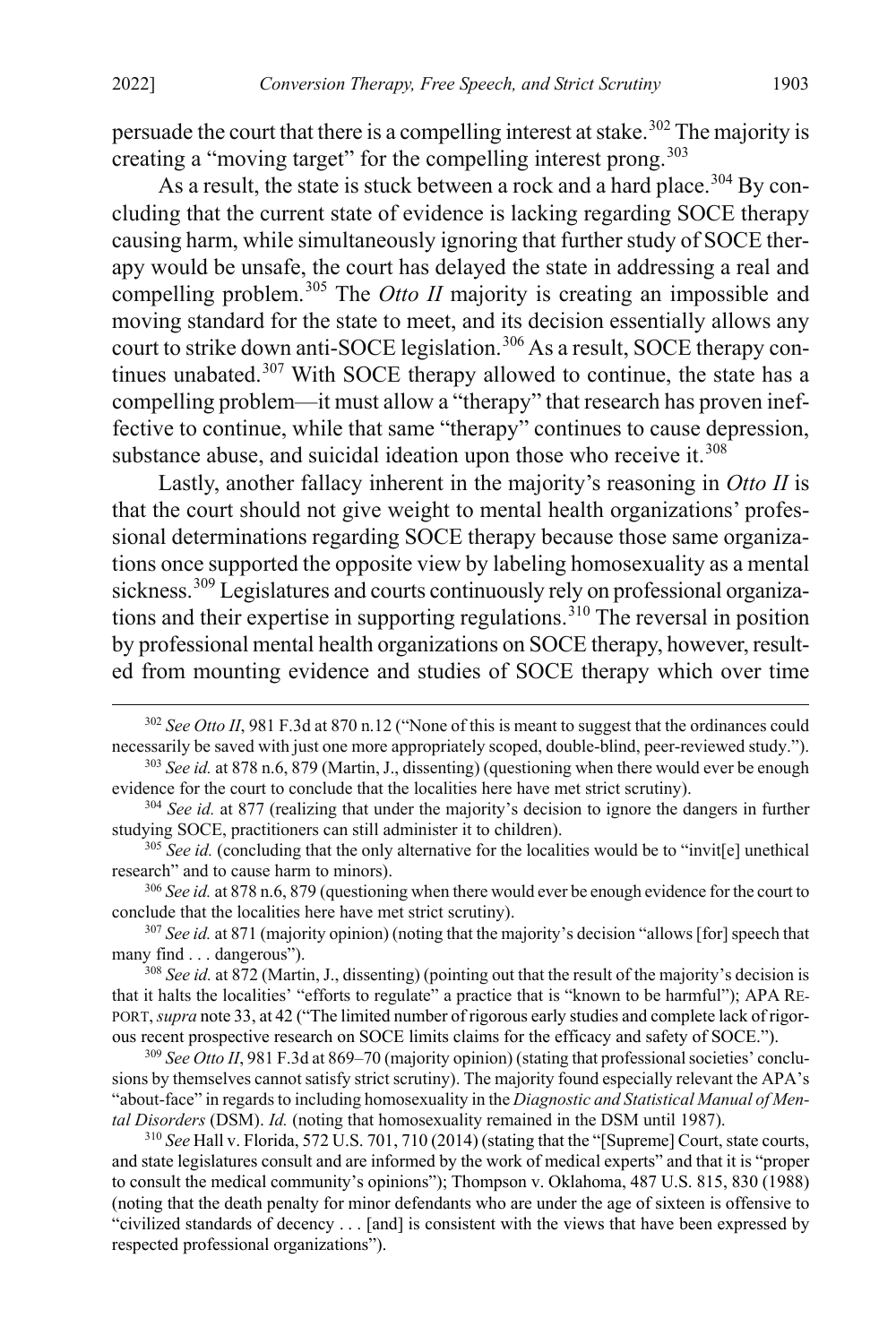persuade the court that there is a compelling interest at stake.<sup>[302](#page-43-0)</sup> The majority is creating a "moving target" for the compelling interest prong.<sup>[303](#page-43-1)</sup>

As a result, the state is stuck between a rock and a hard place.<sup>[304](#page-43-2)</sup> By concluding that the current state of evidence is lacking regarding SOCE therapy causing harm, while simultaneously ignoring that further study of SOCE therapy would be unsafe, the court has delayed the state in addressing a real and compelling problem.<sup>[305](#page-43-3)</sup> The *Otto II* majority is creating an impossible and moving standard for the state to meet, and its decision essentially allows any court to strike down anti-SOCE legislation.<sup>[306](#page-43-4)</sup> As a result, SOCE therapy con-tinues unabated.<sup>[307](#page-43-5)</sup> With SOCE therapy allowed to continue, the state has a compelling problem—it must allow a "therapy" that research has proven ineffective to continue, while that same "therapy" continues to cause depression, substance abuse, and suicidal ideation upon those who receive it.<sup>[308](#page-43-6)</sup>

<span id="page-43-9"></span>Lastly, another fallacy inherent in the majority's reasoning in *Otto II* is that the court should not give weight to mental health organizations' professional determinations regarding SOCE therapy because those same organizations once supported the opposite view by labeling homosexuality as a mental sickness.<sup>[309](#page-43-7)</sup> Legislatures and courts continuously rely on professional organiza-tions and their expertise in supporting regulations.<sup>[310](#page-43-8)</sup> The reversal in position by professional mental health organizations on SOCE therapy, however, resulted from mounting evidence and studies of SOCE therapy which over time

<span id="page-43-5"></span><sup>307</sup> *See id.* at 871 (majority opinion) (noting that the majority's decision "allows [for] speech that many find . . . dangerous").

<span id="page-43-6"></span><sup>308</sup> *See id.* at 872 (Martin, J., dissenting) (pointing out that the result of the majority's decision is that it halts the localities' "efforts to regulate" a practice that is "known to be harmful"); APA RE-PORT, *supra* not[e 33,](#page-6-0) at 42 ("The limited number of rigorous early studies and complete lack of rigorous recent prospective research on SOCE limits claims for the efficacy and safety of SOCE.").

<span id="page-43-7"></span><sup>309</sup> *See Otto II*, 981 F.3d at 869–70 (majority opinion) (stating that professional societies' conclusions by themselves cannot satisfy strict scrutiny). The majority found especially relevant the APA's "about-face" in regards to including homosexuality in the *Diagnostic and Statistical Manual of Mental Disorders* (DSM). *Id.* (noting that homosexuality remained in the DSM until 1987).

<span id="page-43-8"></span><sup>310</sup> *See* Hall v. Florida, 572 U.S. 701, 710 (2014) (stating that the "[Supreme] Court, state courts, and state legislatures consult and are informed by the work of medical experts" and that it is "proper to consult the medical community's opinions"); Thompson v. Oklahoma, 487 U.S. 815, 830 (1988) (noting that the death penalty for minor defendants who are under the age of sixteen is offensive to "civilized standards of decency . . . [and] is consistent with the views that have been expressed by respected professional organizations").

<span id="page-43-0"></span> <sup>302</sup> *See Otto II*, 981 F.3d at 870 n.12 ("None of this is meant to suggest that the ordinances could necessarily be saved with just one more appropriately scoped, double-blind, peer-reviewed study.").

<span id="page-43-1"></span><sup>303</sup> *See id.* at 878 n.6, 879 (Martin, J., dissenting) (questioning when there would ever be enough evidence for the court to conclude that the localities here have met strict scrutiny).

<span id="page-43-2"></span><sup>&</sup>lt;sup>304</sup> *See id.* at 877 (realizing that under the majority's decision to ignore the dangers in further studying SOCE, practitioners can still administer it to children).

<span id="page-43-3"></span><sup>&</sup>lt;sup>305</sup> *See id.* (concluding that the only alternative for the localities would be to "invit[e] unethical research" and to cause harm to minors).

<span id="page-43-4"></span><sup>306</sup> *See id.* at 878 n.6, 879 (questioning when there would ever be enough evidence for the court to conclude that the localities here have met strict scrutiny).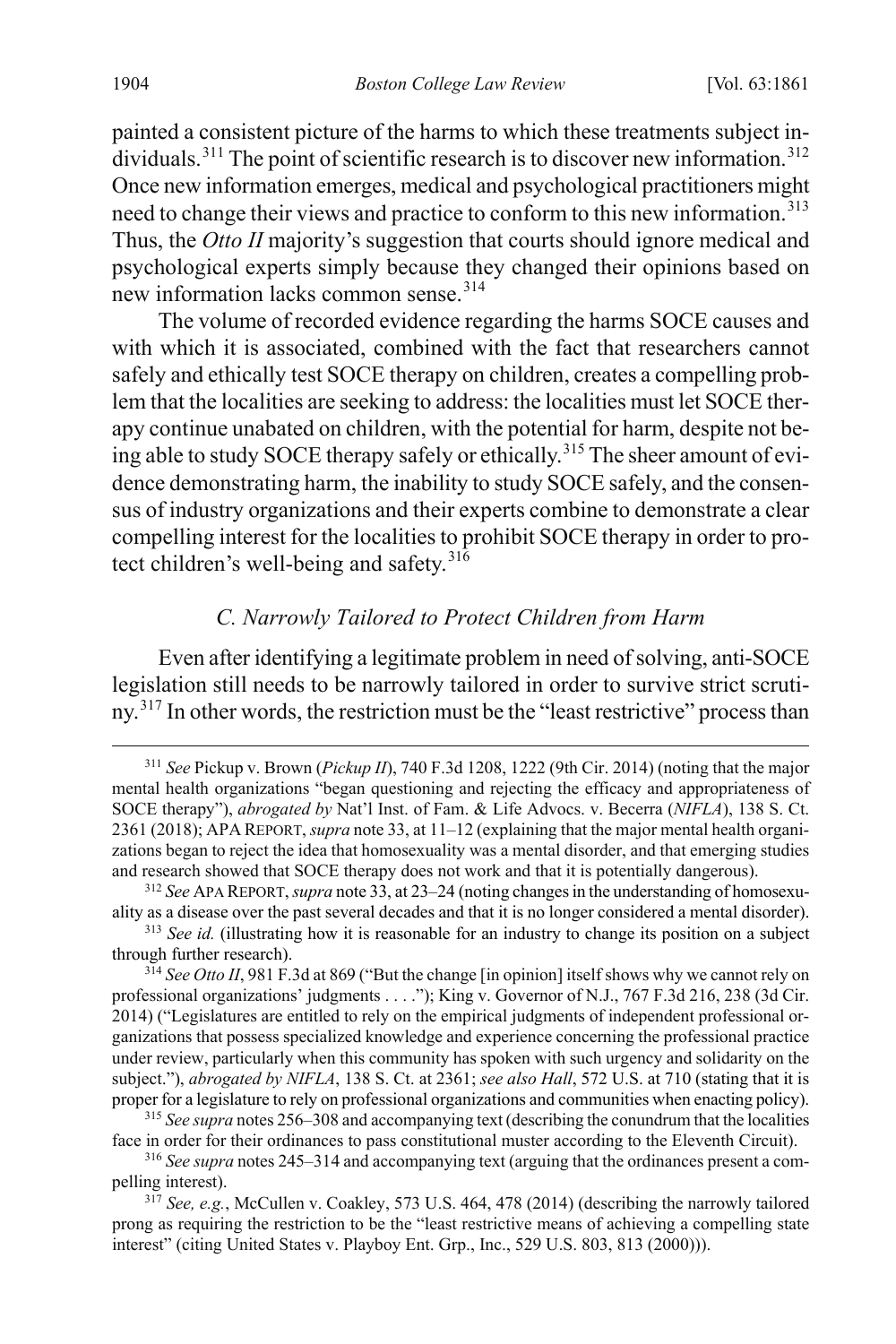painted a consistent picture of the harms to which these treatments subject in-dividuals.<sup>[311](#page-44-3)</sup> The point of scientific research is to discover new information.<sup>[312](#page-44-4)</sup> Once new information emerges, medical and psychological practitioners might need to change their views and practice to conform to this new information.<sup>[313](#page-44-5)</sup> Thus, the *Otto II* majority's suggestion that courts should ignore medical and psychological experts simply because they changed their opinions based on new information lacks common sense.<sup>[314](#page-44-6)</sup>

<span id="page-44-2"></span>The volume of recorded evidence regarding the harms SOCE causes and with which it is associated, combined with the fact that researchers cannot safely and ethically test SOCE therapy on children, creates a compelling problem that the localities are seeking to address: the localities must let SOCE therapy continue unabated on children, with the potential for harm, despite not be-ing able to study SOCE therapy safely or ethically.<sup>[315](#page-44-7)</sup> The sheer amount of evidence demonstrating harm, the inability to study SOCE safely, and the consensus of industry organizations and their experts combine to demonstrate a clear compelling interest for the localities to prohibit SOCE therapy in order to protect children's well-being and safety.  $31\overline{6}$ 

## <span id="page-44-0"></span>*C. Narrowly Tailored to Protect Children from Harm*

<span id="page-44-1"></span>Even after identifying a legitimate problem in need of solving, anti-SOCE legislation still needs to be narrowly tailored in order to survive strict scrutiny.[317](#page-44-9) In other words, the restriction must be the "least restrictive" process than

<span id="page-44-3"></span> <sup>311</sup> *See* Pickup v. Brown (*Pickup II*), 740 F.3d 1208, 1222 (9th Cir. 2014) (noting that the major mental health organizations "began questioning and rejecting the efficacy and appropriateness of SOCE therapy"), *abrogated by* Nat'l Inst. of Fam. & Life Advocs. v. Becerra (*NIFLA*), 138 S. Ct. 2361 (2018); APA REPORT, *supra* not[e 33,](#page-6-0) at 11–12 (explaining that the major mental health organizations began to reject the idea that homosexuality was a mental disorder, and that emerging studies and research showed that SOCE therapy does not work and that it is potentially dangerous).

<span id="page-44-4"></span><sup>312</sup> *See* APA REPORT, *supra* not[e 33,](#page-6-0) at 23–24 (noting changes in the understanding of homosexuality as a disease over the past several decades and that it is no longer considered a mental disorder).

<span id="page-44-5"></span><sup>&</sup>lt;sup>313</sup> See id. (illustrating how it is reasonable for an industry to change its position on a subject through further research).

<span id="page-44-6"></span><sup>&</sup>lt;sup>314</sup> See Otto II, 981 F.3d at 869 ("But the change [in opinion] itself shows why we cannot rely on professional organizations' judgments . . . ."); King v. Governor of N.J., 767 F.3d 216, 238 (3d Cir. 2014) ("Legislatures are entitled to rely on the empirical judgments of independent professional organizations that possess specialized knowledge and experience concerning the professional practice under review, particularly when this community has spoken with such urgency and solidarity on the subject."), *abrogated by NIFLA*, 138 S. Ct. at 2361; *see also Hall*, 572 U.S. at 710 (stating that it is proper for a legislature to rely on professional organizations and communities when enacting policy).

<span id="page-44-7"></span><sup>315</sup> *See supra* note[s 256](#page-37-0)[–308](#page-43-9) and accompanying text (describing the conundrum that the localities face in order for their ordinances to pass constitutional muster according to the Eleventh Circuit).

<span id="page-44-8"></span><sup>316</sup> *See supra* note[s 245](#page-36-0)[–314](#page-44-2) and accompanying text (arguing that the ordinances present a compelling interest).

<span id="page-44-9"></span><sup>&</sup>lt;sup>317</sup> See, e.g., McCullen v. Coakley, 573 U.S. 464, 478 (2014) (describing the narrowly tailored prong as requiring the restriction to be the "least restrictive means of achieving a compelling state interest" (citing United States v. Playboy Ent. Grp., Inc., 529 U.S. 803, 813 (2000))).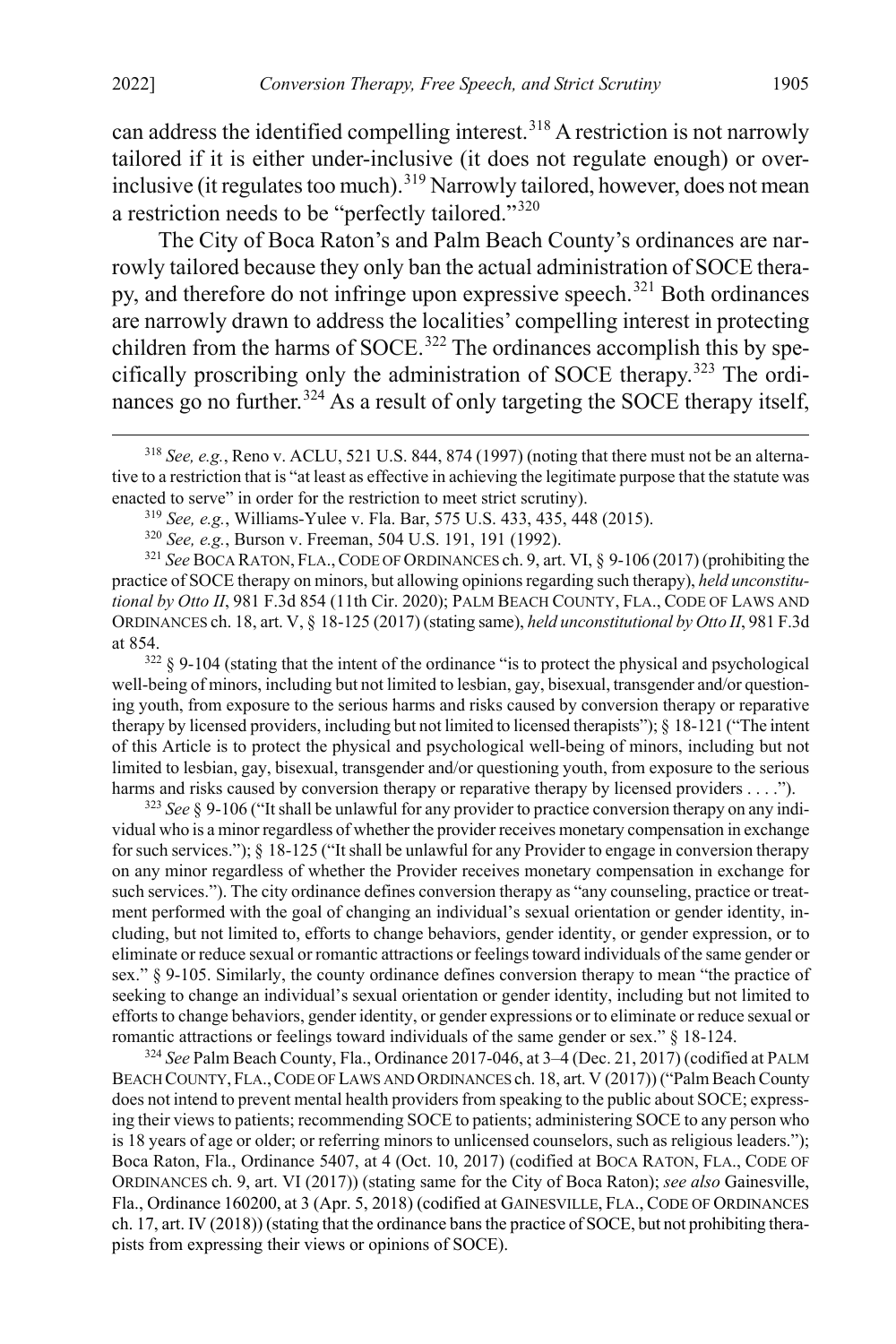can address the identified compelling interest.<sup>[318](#page-45-0)</sup> A restriction is not narrowly tailored if it is either under-inclusive (it does not regulate enough) or over-inclusive (it regulates too much).<sup>[319](#page-45-1)</sup> Narrowly tailored, however, does not mean a restriction needs to be "perfectly tailored."[320](#page-45-2)

The City of Boca Raton's and Palm Beach County's ordinances are narrowly tailored because they only ban the actual administration of SOCE therapy, and therefore do not infringe upon expressive speech.[321](#page-45-3) Both ordinances are narrowly drawn to address the localities' compelling interest in protecting children from the harms of SOCE.<sup>[322](#page-45-4)</sup> The ordinances accomplish this by specifically proscribing only the administration of SOCE therapy.[323](#page-45-5) The ordi-nances go no further.<sup>[324](#page-45-6)</sup> As a result of only targeting the SOCE therapy itself,

<span id="page-45-3"></span><span id="page-45-2"></span><span id="page-45-1"></span><sup>321</sup> *See* BOCA RATON, FLA.,CODE OF ORDINANCES ch. 9, art. VI, § 9-106 (2017) (prohibiting the practice of SOCE therapy on minors, but allowing opinions regarding such therapy), *held unconstitutional by Otto II*, 981 F.3d 854 (11th Cir. 2020); PALM BEACH COUNTY, FLA., CODE OF LAWS AND ORDINANCES ch. 18, art. V, § 18-125 (2017) (stating same), *held unconstitutional by Otto II*, 981 F.3d at 854.

<span id="page-45-4"></span><sup>322</sup> § 9-104 (stating that the intent of the ordinance "is to protect the physical and psychological well-being of minors, including but not limited to lesbian, gay, bisexual, transgender and/or questioning youth, from exposure to the serious harms and risks caused by conversion therapy or reparative therapy by licensed providers, including but not limited to licensed therapists"); § 18-121 ("The intent of this Article is to protect the physical and psychological well-being of minors, including but not limited to lesbian, gay, bisexual, transgender and/or questioning youth, from exposure to the serious harms and risks caused by conversion therapy or reparative therapy by licensed providers . . . .").

<span id="page-45-5"></span><sup>323</sup> *See* § 9-106 ("It shall be unlawful for any provider to practice conversion therapy on any individual who is a minor regardless of whether the provider receives monetary compensation in exchange for such services."); § 18-125 ("It shall be unlawful for any Provider to engage in conversion therapy on any minor regardless of whether the Provider receives monetary compensation in exchange for such services."). The city ordinance defines conversion therapy as "any counseling, practice or treatment performed with the goal of changing an individual's sexual orientation or gender identity, including, but not limited to, efforts to change behaviors, gender identity, or gender expression, or to eliminate or reduce sexual or romantic attractions or feelings toward individuals of the same gender or sex." § 9-105. Similarly, the county ordinance defines conversion therapy to mean "the practice of seeking to change an individual's sexual orientation or gender identity, including but not limited to efforts to change behaviors, gender identity, or gender expressions or to eliminate or reduce sexual or romantic attractions or feelings toward individuals of the same gender or sex." § 18-124.

<span id="page-45-6"></span><sup>324</sup> *See* Palm Beach County, Fla., Ordinance 2017-046, at 3–4 (Dec. 21, 2017) (codified at PALM BEACH COUNTY, FLA.,CODE OF LAWS AND ORDINANCES ch. 18, art. V (2017)) ("Palm Beach County does not intend to prevent mental health providers from speaking to the public about SOCE; expressing their views to patients; recommending SOCE to patients; administering SOCE to any person who is 18 years of age or older; or referring minors to unlicensed counselors, such as religious leaders."); Boca Raton, Fla., Ordinance 5407, at 4 (Oct. 10, 2017) (codified at BOCA RATON, FLA., CODE OF ORDINANCES ch. 9, art. VI (2017)) (stating same for the City of Boca Raton); *see also* Gainesville, Fla., Ordinance 160200, at 3 (Apr. 5, 2018) (codified at GAINESVILLE, FLA., CODE OF ORDINANCES ch. 17, art. IV (2018)) (stating that the ordinance bans the practice of SOCE, but not prohibiting therapists from expressing their views or opinions of SOCE).

<span id="page-45-0"></span> <sup>318</sup> *See, e.g.*, Reno v. ACLU, 521 U.S. 844, 874 (1997) (noting that there must not be an alternative to a restriction that is "at least as effective in achieving the legitimate purpose that the statute was enacted to serve" in order for the restriction to meet strict scrutiny).

<sup>319</sup> *See, e.g.*, Williams-Yulee v. Fla. Bar, 575 U.S. 433, 435, 448 (2015).

<sup>320</sup> *See, e.g.*, Burson v. Freeman, 504 U.S. 191, 191 (1992).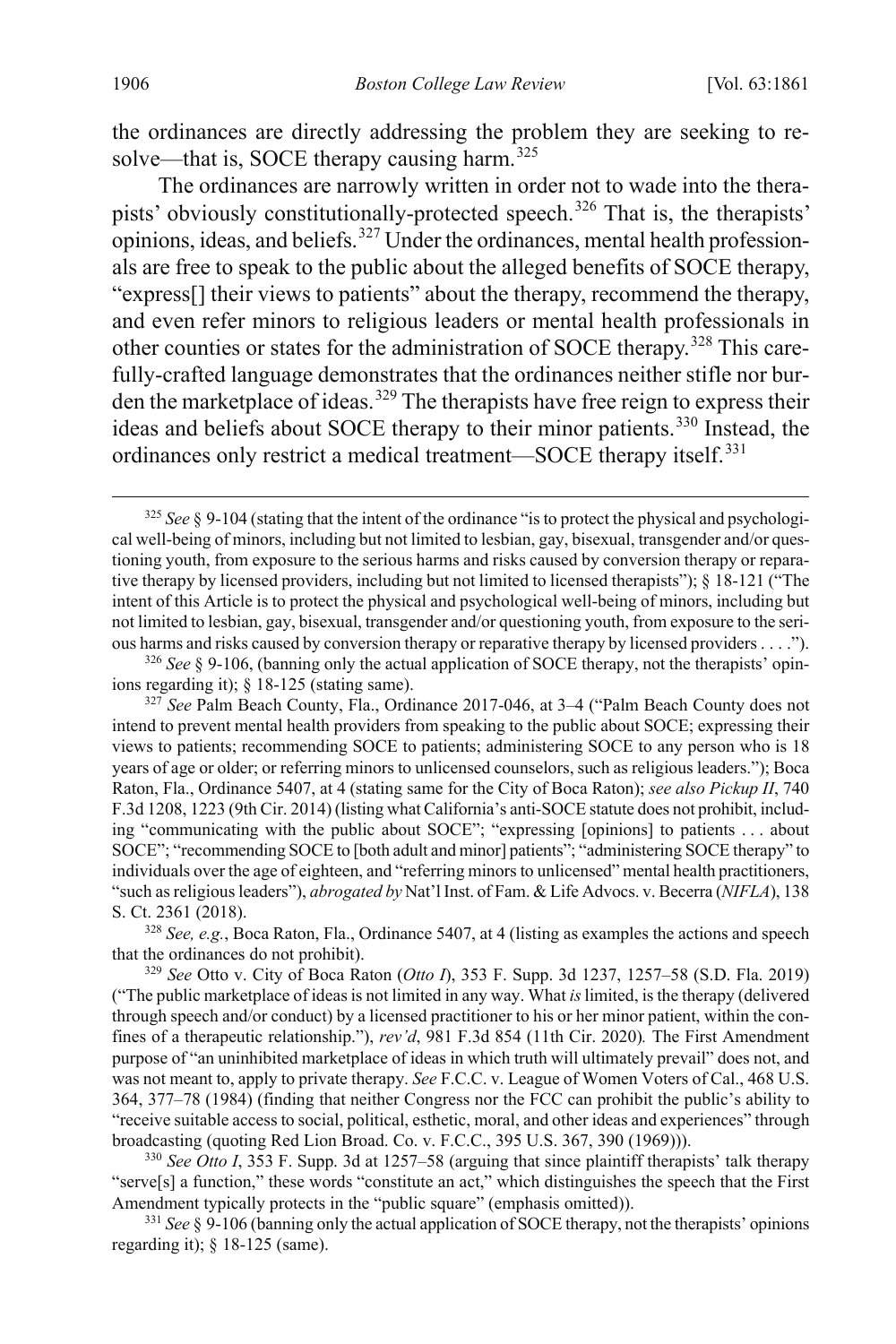the ordinances are directly addressing the problem they are seeking to re-solve—that is, SOCE therapy causing harm.<sup>[325](#page-46-0)</sup>

The ordinances are narrowly written in order not to wade into the thera-pists' obviously constitutionally-protected speech.<sup>[326](#page-46-1)</sup> That is, the therapists' opinions, ideas, and beliefs. $327$  Under the ordinances, mental health professionals are free to speak to the public about the alleged benefits of SOCE therapy, "express[] their views to patients" about the therapy, recommend the therapy, and even refer minors to religious leaders or mental health professionals in other counties or states for the administration of SOCE therapy.<sup>[328](#page-46-3)</sup> This carefully-crafted language demonstrates that the ordinances neither stifle nor burden the marketplace of ideas.[329](#page-46-4) The therapists have free reign to express their ideas and beliefs about SOCE therapy to their minor patients.[330](#page-46-5) Instead, the ordinances only restrict a medical treatment—SOCE therapy itself.<sup>[331](#page-46-6)</sup>

<span id="page-46-3"></span><sup>328</sup> *See, e.g.*, Boca Raton, Fla., Ordinance 5407, at 4 (listing as examples the actions and speech that the ordinances do not prohibit).

<span id="page-46-4"></span><sup>329</sup> *See* Otto v. City of Boca Raton (*Otto I*), 353 F. Supp. 3d 1237, 1257–58 (S.D. Fla. 2019) ("The public marketplace of ideas is not limited in any way. What *is*limited, is the therapy (delivered through speech and/or conduct) by a licensed practitioner to his or her minor patient, within the confines of a therapeutic relationship."), *rev'd*, 981 F.3d 854 (11th Cir. 2020)*.* The First Amendment purpose of "an uninhibited marketplace of ideas in which truth will ultimately prevail" does not, and was not meant to, apply to private therapy. *See* F.C.C. v. League of Women Voters of Cal., 468 U.S. 364, 377–78 (1984) (finding that neither Congress nor the FCC can prohibit the public's ability to "receive suitable access to social, political, esthetic, moral, and other ideas and experiences" through broadcasting (quoting Red Lion Broad. Co. v. F.C.C., 395 U.S. 367, 390 (1969))).

<span id="page-46-5"></span><sup>330</sup> *See Otto I*, 353 F. Supp. 3d at 1257–58 (arguing that since plaintiff therapists' talk therapy "serve[s] a function," these words "constitute an act," which distinguishes the speech that the First Amendment typically protects in the "public square" (emphasis omitted)).

<span id="page-46-6"></span><sup>331</sup> *See* § 9-106 (banning only the actual application of SOCE therapy, not the therapists' opinions regarding it); § 18-125 (same).

<span id="page-46-0"></span> <sup>325</sup> *See* § 9-104 (stating that the intent of the ordinance "is to protect the physical and psychological well-being of minors, including but not limited to lesbian, gay, bisexual, transgender and/or questioning youth, from exposure to the serious harms and risks caused by conversion therapy or reparative therapy by licensed providers, including but not limited to licensed therapists"); § 18-121 ("The intent of this Article is to protect the physical and psychological well-being of minors, including but not limited to lesbian, gay, bisexual, transgender and/or questioning youth, from exposure to the serious harms and risks caused by conversion therapy or reparative therapy by licensed providers . . . .").

<span id="page-46-1"></span><sup>&</sup>lt;sup>326</sup> See § 9-106, (banning only the actual application of SOCE therapy, not the therapists' opinions regarding it); § 18-125 (stating same).

<span id="page-46-2"></span><sup>327</sup> *See* Palm Beach County, Fla., Ordinance 2017-046, at 3–4 ("Palm Beach County does not intend to prevent mental health providers from speaking to the public about SOCE; expressing their views to patients; recommending SOCE to patients; administering SOCE to any person who is 18 years of age or older; or referring minors to unlicensed counselors, such as religious leaders."); Boca Raton, Fla., Ordinance 5407, at 4 (stating same for the City of Boca Raton); *see also Pickup II*, 740 F.3d 1208, 1223 (9th Cir. 2014) (listing what California's anti-SOCE statute does not prohibit, including "communicating with the public about SOCE"; "expressing [opinions] to patients . . . about SOCE"; "recommending SOCE to [both adult and minor] patients"; "administering SOCE therapy" to individuals over the age of eighteen, and "referring minors to unlicensed" mental health practitioners, "such as religious leaders"), *abrogated by* Nat'l Inst. of Fam. & Life Advocs. v. Becerra (*NIFLA*), 138 S. Ct. 2361 (2018).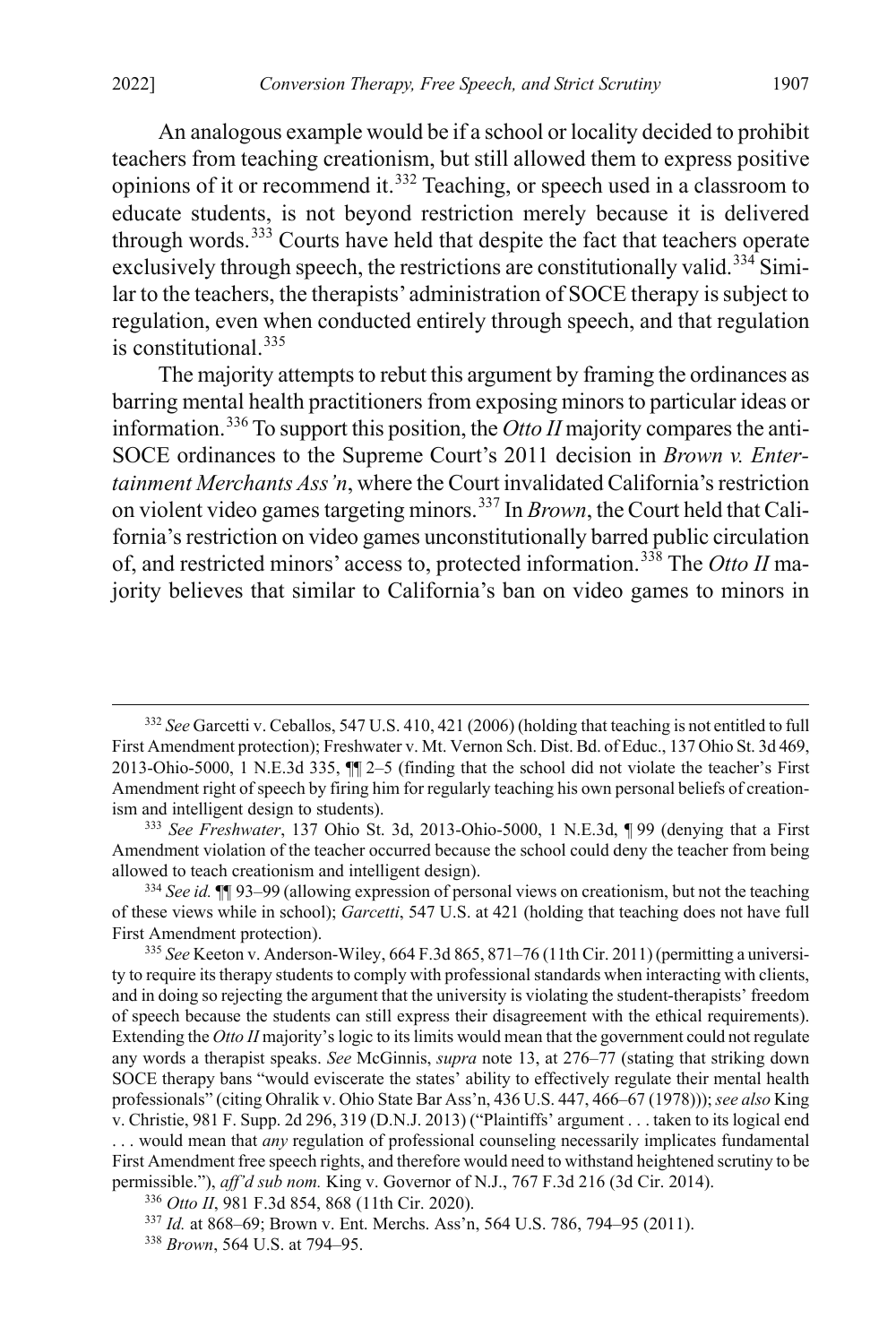An analogous example would be if a school or locality decided to prohibit teachers from teaching creationism, but still allowed them to express positive opinions of it or recommend it.[332](#page-47-0) Teaching, or speech used in a classroom to educate students, is not beyond restriction merely because it is delivered through words.[333](#page-47-1) Courts have held that despite the fact that teachers operate exclusively through speech, the restrictions are constitutionally valid.<sup>[334](#page-47-2)</sup> Similar to the teachers, the therapists' administration of SOCE therapy is subject to regulation, even when conducted entirely through speech, and that regulation is constitutional.<sup>[335](#page-47-3)</sup>

The majority attempts to rebut this argument by framing the ordinances as barring mental health practitioners from exposing minors to particular ideas or information.[336](#page-47-4) To support this position, the *Otto II* majority compares the anti-SOCE ordinances to the Supreme Court's 2011 decision in *Brown v. Entertainment Merchants Ass'n*, where the Court invalidated California's restriction on violent video games targeting minors.[337](#page-47-5) In *Brown*, the Court held that California's restriction on video games unconstitutionally barred public circulation of, and restricted minors' access to, protected information.[338](#page-47-6) The *Otto II* majority believes that similar to California's ban on video games to minors in

<span id="page-47-0"></span> <sup>332</sup> *See* Garcetti v. Ceballos, 547 U.S. 410, 421 (2006) (holding that teaching is not entitled to full First Amendment protection); Freshwater v. Mt. Vernon Sch. Dist. Bd. of Educ., 137 Ohio St. 3d 469, 2013-Ohio-5000, 1 N.E.3d 335, ¶¶ 2–5 (finding that the school did not violate the teacher's First Amendment right of speech by firing him for regularly teaching his own personal beliefs of creationism and intelligent design to students).

<span id="page-47-1"></span><sup>333</sup> *See Freshwater*, 137 Ohio St. 3d, 2013-Ohio-5000, 1 N.E.3d, ¶ 99 (denying that a First Amendment violation of the teacher occurred because the school could deny the teacher from being allowed to teach creationism and intelligent design).

<span id="page-47-2"></span><sup>334</sup> *See id.* ¶¶ 93–99 (allowing expression of personal views on creationism, but not the teaching of these views while in school); *Garcetti*, 547 U.S. at 421 (holding that teaching does not have full First Amendment protection).

<span id="page-47-3"></span><sup>335</sup> *See* Keeton v. Anderson-Wiley, 664 F.3d 865, 871–76 (11th Cir. 2011) (permitting a university to require its therapy students to comply with professional standards when interacting with clients, and in doing so rejecting the argument that the university is violating the student-therapists' freedom of speech because the students can still express their disagreement with the ethical requirements). Extending the *Otto II* majority's logic to its limits would mean that the government could not regulate any words a therapist speaks. *See* McGinnis, *supra* not[e 13,](#page-3-6) at 276–77 (stating that striking down SOCE therapy bans "would eviscerate the states' ability to effectively regulate their mental health professionals" (citing Ohralik v. Ohio State Bar Ass'n, 436 U.S. 447, 466–67 (1978))); *see also* King v. Christie, 981 F. Supp. 2d 296, 319 (D.N.J. 2013) ("Plaintiffs' argument . . . taken to its logical end . . . would mean that *any* regulation of professional counseling necessarily implicates fundamental First Amendment free speech rights, and therefore would need to withstand heightened scrutiny to be permissible."), *aff'd sub nom.* King v. Governor of N.J., 767 F.3d 216 (3d Cir. 2014).

<span id="page-47-4"></span><sup>336</sup> *Otto II*, 981 F.3d 854, 868 (11th Cir. 2020).

<span id="page-47-5"></span><sup>337</sup> *Id.* at 868–69; Brown v. Ent. Merchs. Ass'n, 564 U.S. 786, 794–95 (2011).

<span id="page-47-6"></span><sup>338</sup> *Brown*, 564 U.S. at 794–95.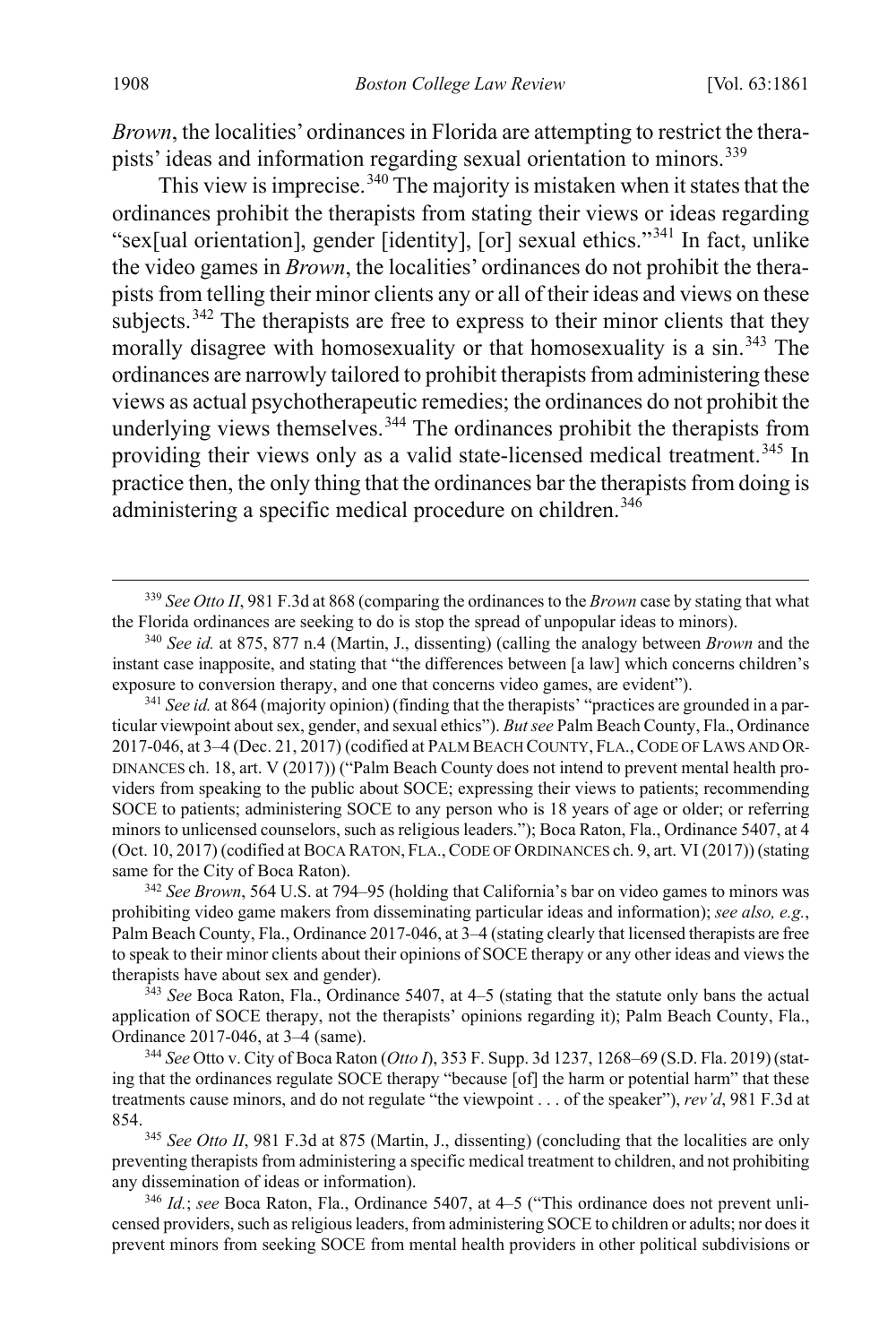*Brown*, the localities' ordinances in Florida are attempting to restrict the thera-pists' ideas and information regarding sexual orientation to minors.<sup>[339](#page-48-0)</sup>

This view is imprecise.  $340$  The majority is mistaken when it states that the ordinances prohibit the therapists from stating their views or ideas regarding "sex[ual orientation], gender [identity], [or] sexual ethics."[341](#page-48-2) In fact, unlike the video games in *Brown*, the localities' ordinances do not prohibit the therapists from telling their minor clients any or all of their ideas and views on these subjects.<sup>[342](#page-48-3)</sup> The therapists are free to express to their minor clients that they morally disagree with homosexuality or that homosexuality is a sin.<sup>[343](#page-48-4)</sup> The ordinances are narrowly tailored to prohibit therapists from administering these views as actual psychotherapeutic remedies; the ordinances do not prohibit the underlying views themselves.  $344$  The ordinances prohibit the therapists from providing their views only as a valid state-licensed medical treatment.<sup>[345](#page-48-6)</sup> In practice then, the only thing that the ordinances bar the therapists from doing is administering a specific medical procedure on children.<sup>[346](#page-48-7)</sup>

<span id="page-48-3"></span><sup>342</sup> *See Brown*, 564 U.S. at 794–95 (holding that California's bar on video games to minors was prohibiting video game makers from disseminating particular ideas and information); *see also, e.g.*, Palm Beach County, Fla., Ordinance 2017-046, at 3–4 (stating clearly that licensed therapists are free to speak to their minor clients about their opinions of SOCE therapy or any other ideas and views the therapists have about sex and gender).

<span id="page-48-4"></span><sup>343</sup> *See* Boca Raton, Fla., Ordinance 5407, at 4–5 (stating that the statute only bans the actual application of SOCE therapy, not the therapists' opinions regarding it); Palm Beach County, Fla., Ordinance 2017-046, at 3–4 (same).

<span id="page-48-5"></span><sup>344</sup> *See* Otto v. City of Boca Raton (*Otto I*), 353 F. Supp. 3d 1237, 1268–69 (S.D. Fla. 2019) (stating that the ordinances regulate SOCE therapy "because [of] the harm or potential harm" that these treatments cause minors, and do not regulate "the viewpoint . . . of the speaker"), *rev'd*, 981 F.3d at 854.

<span id="page-48-6"></span><sup>345</sup> See Otto II, 981 F.3d at 875 (Martin, J., dissenting) (concluding that the localities are only preventing therapists from administering a specific medical treatment to children, and not prohibiting any dissemination of ideas or information).

<span id="page-48-7"></span><sup>346</sup> *Id.*; *see* Boca Raton, Fla., Ordinance 5407, at 4–5 ("This ordinance does not prevent unlicensed providers, such as religious leaders, from administering SOCE to children or adults; nor does it prevent minors from seeking SOCE from mental health providers in other political subdivisions or

<span id="page-48-0"></span> <sup>339</sup> *See Otto II*, 981 F.3d at 868 (comparing the ordinances to the *Brown* case by stating that what the Florida ordinances are seeking to do is stop the spread of unpopular ideas to minors).

<span id="page-48-1"></span><sup>340</sup> *See id.* at 875, 877 n.4 (Martin, J., dissenting) (calling the analogy between *Brown* and the instant case inapposite, and stating that "the differences between [a law] which concerns children's exposure to conversion therapy, and one that concerns video games, are evident").

<span id="page-48-2"></span><sup>&</sup>lt;sup>341</sup> *See id.* at 864 (majority opinion) (finding that the therapists' "practices are grounded in a particular viewpoint about sex, gender, and sexual ethics"). *But see* Palm Beach County, Fla., Ordinance 2017-046, at 3–4 (Dec. 21, 2017) (codified at PALM BEACH COUNTY, FLA.,CODE OF LAWS AND OR-DINANCES ch. 18, art. V (2017)) ("Palm Beach County does not intend to prevent mental health providers from speaking to the public about SOCE; expressing their views to patients; recommending SOCE to patients; administering SOCE to any person who is 18 years of age or older; or referring minors to unlicensed counselors, such as religious leaders."); Boca Raton, Fla., Ordinance 5407, at 4 (Oct. 10, 2017) (codified at BOCA RATON, FLA.,CODE OF ORDINANCES ch. 9, art. VI (2017)) (stating same for the City of Boca Raton).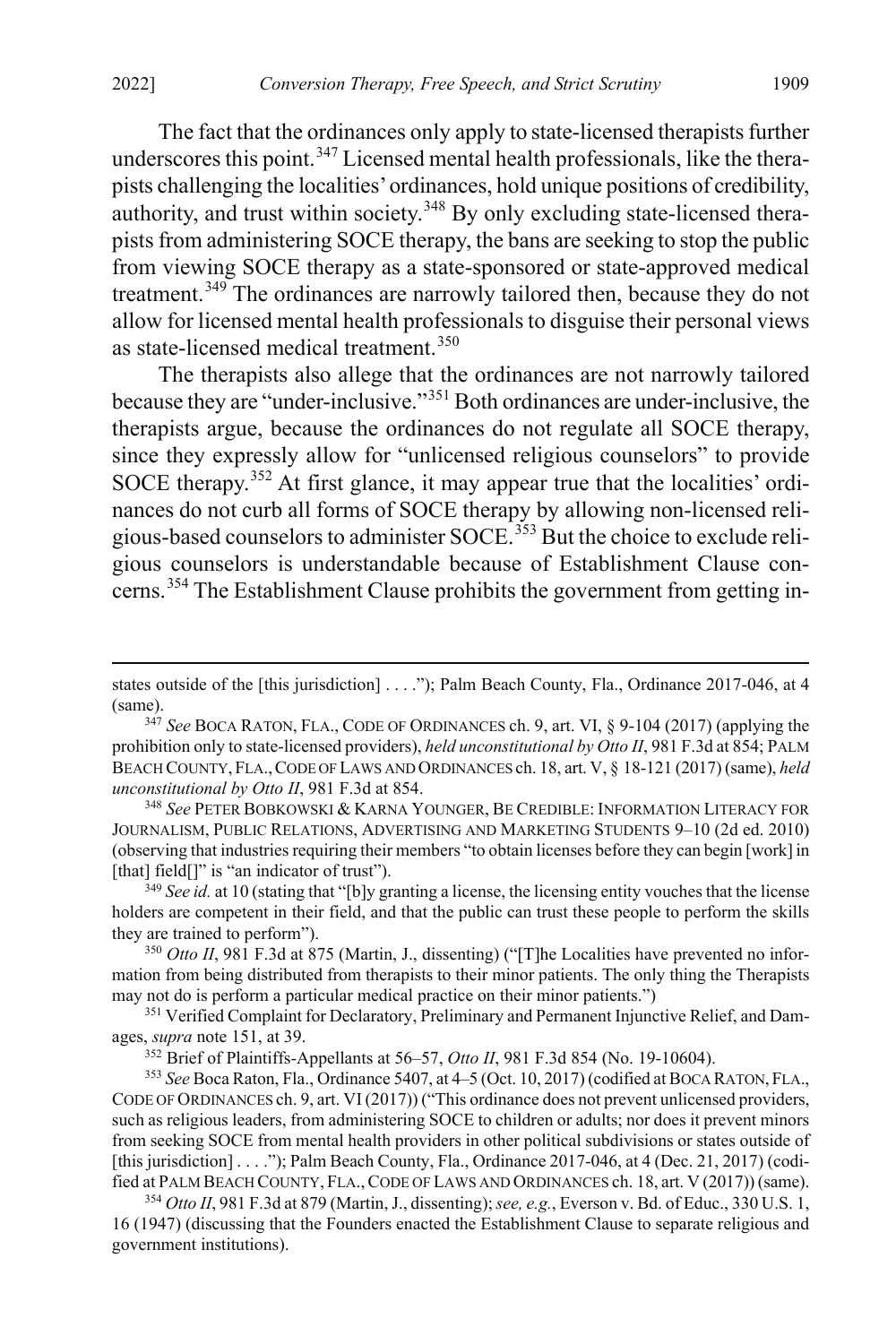The fact that the ordinances only apply to state-licensed therapists further underscores this point.<sup>[347](#page-49-0)</sup> Licensed mental health professionals, like the therapists challenging the localities' ordinances, hold unique positions of credibility, authority, and trust within society.<sup>[348](#page-49-1)</sup> By only excluding state-licensed therapists from administering SOCE therapy, the bans are seeking to stop the public from viewing SOCE therapy as a state-sponsored or state-approved medical treatment.<sup>[349](#page-49-2)</sup> The ordinances are narrowly tailored then, because they do not allow for licensed mental health professionals to disguise their personal views as state-licensed medical treatment.<sup>[350](#page-49-3)</sup>

<span id="page-49-8"></span>The therapists also allege that the ordinances are not narrowly tailored because they are "under-inclusive."[351](#page-49-4) Both ordinances are under-inclusive, the therapists argue, because the ordinances do not regulate all SOCE therapy, since they expressly allow for "unlicensed religious counselors" to provide SOCE therapy.<sup>[352](#page-49-5)</sup> At first glance, it may appear true that the localities' ordinances do not curb all forms of SOCE therapy by allowing non-licensed reli-gious-based counselors to administer SOCE.<sup>[353](#page-49-6)</sup> But the choice to exclude religious counselors is understandable because of Establishment Clause con-cerns.<sup>[354](#page-49-7)</sup> The Establishment Clause prohibits the government from getting in-

<span id="page-49-1"></span><sup>348</sup> *See* PETER BOBKOWSKI & KARNA YOUNGER, BE CREDIBLE: INFORMATION LITERACY FOR JOURNALISM, PUBLIC RELATIONS, ADVERTISING AND MARKETING STUDENTS 9–10 (2d ed. 2010) (observing that industries requiring their members "to obtain licenses before they can begin [work] in [that] field[]" is "an indicator of trust").

<span id="page-49-2"></span><sup>349</sup> *See id.* at 10 (stating that "[b]y granting a license, the licensing entity vouches that the license holders are competent in their field, and that the public can trust these people to perform the skills they are trained to perform").

<span id="page-49-3"></span><sup>350</sup> *Otto II*, 981 F.3d at 875 (Martin, J., dissenting) ("[T]he Localities have prevented no information from being distributed from therapists to their minor patients. The only thing the Therapists may not do is perform a particular medical practice on their minor patients.")

<span id="page-49-4"></span><sup>351</sup> Verified Complaint for Declaratory, Preliminary and Permanent Injunctive Relief, and Damages, *supra* not[e 151,](#page-24-9) at 39.

<sup>352</sup> Brief of Plaintiffs-Appellants at 56–57, *Otto II*, 981 F.3d 854 (No. 19-10604).

<span id="page-49-6"></span><span id="page-49-5"></span><sup>353</sup> *See* Boca Raton, Fla., Ordinance 5407, at 4–5 (Oct. 10, 2017) (codified at BOCA RATON, FLA., CODE OF ORDINANCES ch. 9, art. VI (2017)) ("This ordinance does not prevent unlicensed providers, such as religious leaders, from administering SOCE to children or adults; nor does it prevent minors from seeking SOCE from mental health providers in other political subdivisions or states outside of [this jurisdiction] . . . ."); Palm Beach County, Fla., Ordinance 2017-046, at 4 (Dec. 21, 2017) (codified at PALM BEACH COUNTY, FLA.,CODE OF LAWS AND ORDINANCES ch. 18, art. V (2017)) (same).

<span id="page-49-7"></span><sup>354</sup> *Otto II*, 981 F.3d at 879 (Martin, J., dissenting); *see, e.g.*, Everson v. Bd. of Educ., 330 U.S. 1, 16 (1947) (discussing that the Founders enacted the Establishment Clause to separate religious and government institutions).

states outside of the [this jurisdiction] . . . ."); Palm Beach County, Fla., Ordinance 2017-046, at 4 (same).

<span id="page-49-0"></span><sup>347</sup> *See* BOCA RATON, FLA., CODE OF ORDINANCES ch. 9, art. VI, § 9-104 (2017) (applying the prohibition only to state-licensed providers), *held unconstitutional by Otto II*, 981 F.3d at 854; PALM BEACH COUNTY, FLA.,CODE OF LAWS AND ORDINANCES ch. 18, art. V, § 18-121 (2017) (same), *held unconstitutional by Otto II*, 981 F.3d at 854.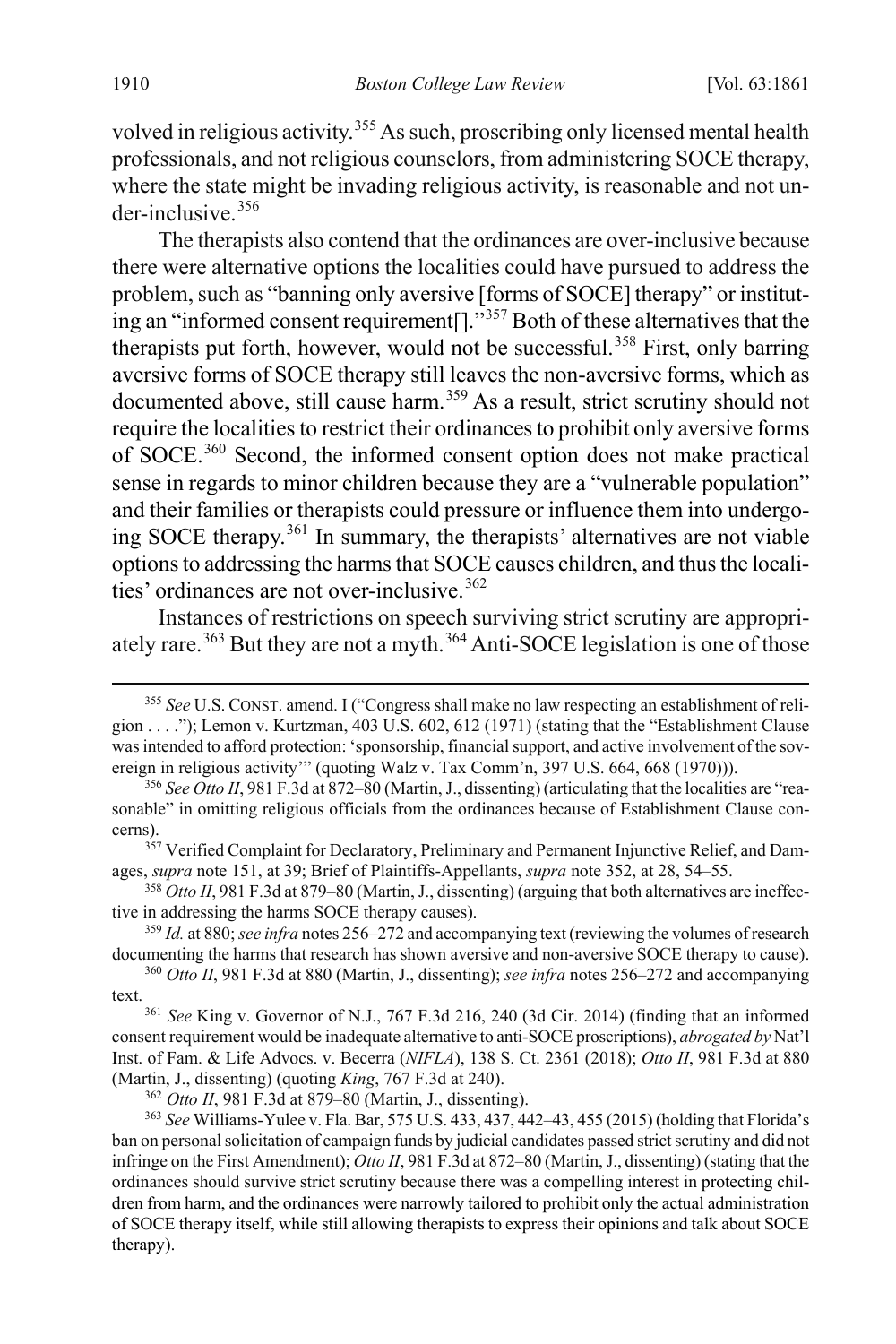volved in religious activity.<sup>[355](#page-50-0)</sup> As such, proscribing only licensed mental health professionals, and not religious counselors, from administering SOCE therapy, where the state might be invading religious activity, is reasonable and not under-inclusive.[356](#page-50-1)

The therapists also contend that the ordinances are over-inclusive because there were alternative options the localities could have pursued to address the problem, such as "banning only aversive [forms of SOCE] therapy" or institut-ing an "informed consent requirement<sup>[]</sup>."<sup>[357](#page-50-2)</sup> Both of these alternatives that the therapists put forth, however, would not be successful.<sup>[358](#page-50-3)</sup> First, only barring aversive forms of SOCE therapy still leaves the non-aversive forms, which as documented above, still cause harm.<sup>[359](#page-50-4)</sup> As a result, strict scrutiny should not require the localities to restrict their ordinances to prohibit only aversive forms of SOCE.[360](#page-50-5) Second, the informed consent option does not make practical sense in regards to minor children because they are a "vulnerable population" and their families or therapists could pressure or influence them into undergoing SOCE therapy.[361](#page-50-6) In summary, the therapists' alternatives are not viable options to addressing the harms that SOCE causes children, and thus the locali-ties' ordinances are not over-inclusive.<sup>[362](#page-50-7)</sup>

<span id="page-50-9"></span>Instances of restrictions on speech surviving strict scrutiny are appropri-ately rare.<sup>[363](#page-50-8)</sup> But they are not a myth.<sup>[364](#page-50-9)</sup> Anti-SOCE legislation is one of those

<span id="page-50-3"></span><sup>358</sup> *Otto II*, 981 F.3d at 879–80 (Martin, J., dissenting) (arguing that both alternatives are ineffective in addressing the harms SOCE therapy causes).

<span id="page-50-4"></span><sup>359</sup> *Id.* at 880; *see infra* note[s 256](#page-37-0)[–272](#page-39-12) and accompanying text (reviewing the volumes of research documenting the harms that research has shown aversive and non-aversive SOCE therapy to cause).

<span id="page-50-6"></span><sup>361</sup> *See* King v. Governor of N.J., 767 F.3d 216, 240 (3d Cir. 2014) (finding that an informed consent requirement would be inadequate alternative to anti-SOCE proscriptions), *abrogated by* Nat'l Inst. of Fam. & Life Advocs. v. Becerra (*NIFLA*), 138 S. Ct. 2361 (2018); *Otto II*, 981 F.3d at 880 (Martin, J., dissenting) (quoting *King*, 767 F.3d at 240).

<span id="page-50-0"></span> <sup>355</sup> *See* U.S. CONST. amend. I ("Congress shall make no law respecting an establishment of religion . . . ."); Lemon v. Kurtzman, 403 U.S. 602, 612 (1971) (stating that the "Establishment Clause was intended to afford protection: 'sponsorship, financial support, and active involvement of the sovereign in religious activity'" (quoting Walz v. Tax Comm'n, 397 U.S. 664, 668 (1970))).

<span id="page-50-1"></span><sup>356</sup> *See Otto II*, 981 F.3d at 872–80 (Martin, J., dissenting) (articulating that the localities are "reasonable" in omitting religious officials from the ordinances because of Establishment Clause concerns).

<span id="page-50-2"></span><sup>&</sup>lt;sup>357</sup> Verified Complaint for Declaratory, Preliminary and Permanent Injunctive Relief, and Damages, *supra* not[e 151,](#page-24-9) at 39; Brief of Plaintiffs-Appellants, *supra* note [352,](#page-49-8) at 28, 54–55.

<span id="page-50-5"></span><sup>360</sup> *Otto II*, 981 F.3d at 880 (Martin, J., dissenting); *see infra* note[s 256](#page-37-0)[–272](#page-39-12) and accompanying text.

<sup>362</sup> *Otto II*, 981 F.3d at 879–80 (Martin, J., dissenting).

<span id="page-50-8"></span><span id="page-50-7"></span><sup>363</sup> *See* Williams-Yulee v. Fla. Bar, 575 U.S. 433, 437, 442–43, 455 (2015) (holding that Florida's ban on personal solicitation of campaign funds by judicial candidates passed strict scrutiny and did not infringe on the First Amendment); *Otto II*, 981 F.3d at 872–80 (Martin, J., dissenting) (stating that the ordinances should survive strict scrutiny because there was a compelling interest in protecting children from harm, and the ordinances were narrowly tailored to prohibit only the actual administration of SOCE therapy itself, while still allowing therapists to express their opinions and talk about SOCE therapy).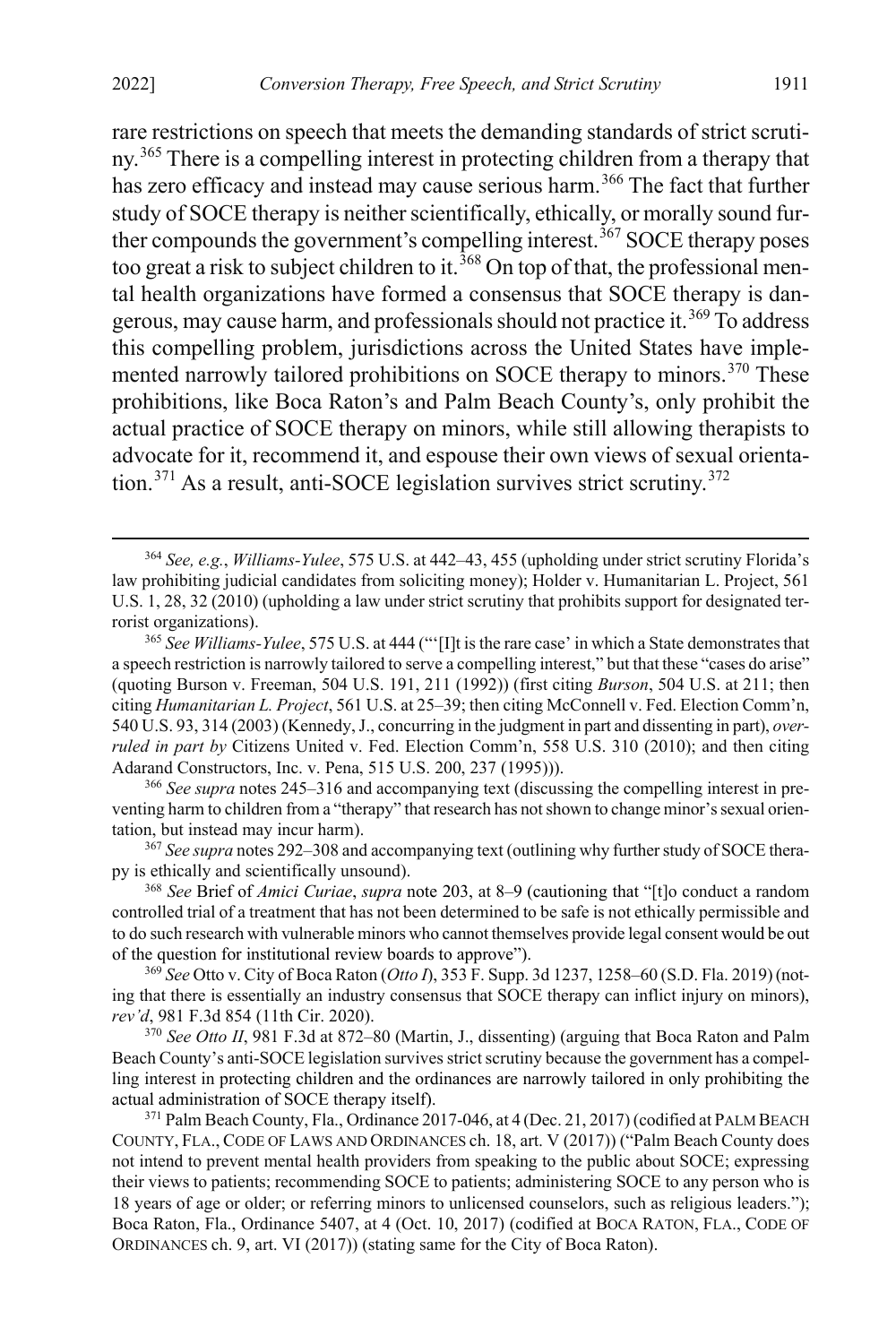rare restrictions on speech that meets the demanding standards of strict scrutiny.[365](#page-51-1) There is a compelling interest in protecting children from a therapy that has zero efficacy and instead may cause serious harm.<sup>[366](#page-51-2)</sup> The fact that further study of SOCE therapy is neither scientifically, ethically, or morally sound fur-ther compounds the government's compelling interest.<sup>[367](#page-51-3)</sup> SOCE therapy poses too great a risk to subject children to it.<sup>[368](#page-51-4)</sup> On top of that, the professional mental health organizations have formed a consensus that SOCE therapy is dan-gerous, may cause harm, and professionals should not practice it.<sup>[369](#page-51-5)</sup> To address this compelling problem, jurisdictions across the United States have imple-mented narrowly tailored prohibitions on SOCE therapy to minors.<sup>[370](#page-51-6)</sup> These prohibitions, like Boca Raton's and Palm Beach County's, only prohibit the actual practice of SOCE therapy on minors, while still allowing therapists to advocate for it, recommend it, and espouse their own views of sexual orienta-tion.<sup>[371](#page-51-7)</sup> As a result, anti-SOCE legislation survives strict scrutiny.<sup>[372](#page-51-8)</sup>

<span id="page-51-2"></span><sup>366</sup> *See supra* note[s 245](#page-36-0)[–316](#page-44-0) and accompanying text (discussing the compelling interest in preventing harm to children from a "therapy" that research has not shown to change minor's sexual orientation, but instead may incur harm).

<span id="page-51-3"></span><sup>367</sup> *See supra* note[s 292](#page-41-7)[–308](#page-43-9) and accompanying text (outlining why further study of SOCE therapy is ethically and scientifically unsound).

<span id="page-51-4"></span><sup>368</sup> *See* Brief of *Amici Curiae*, *supra* note [203,](#page-31-6) at 8–9 (cautioning that "[t]o conduct a random controlled trial of a treatment that has not been determined to be safe is not ethically permissible and to do such research with vulnerable minors who cannot themselves provide legal consent would be out of the question for institutional review boards to approve").

<span id="page-51-5"></span><sup>369</sup> *See* Otto v. City of Boca Raton (*Otto I*), 353 F. Supp. 3d 1237, 1258–60 (S.D. Fla. 2019) (noting that there is essentially an industry consensus that SOCE therapy can inflict injury on minors), *rev'd*, 981 F.3d 854 (11th Cir. 2020).

<span id="page-51-6"></span><sup>370</sup> *See Otto II*, 981 F.3d at 872–80 (Martin, J., dissenting) (arguing that Boca Raton and Palm Beach County's anti-SOCE legislation survives strict scrutiny because the government has a compelling interest in protecting children and the ordinances are narrowly tailored in only prohibiting the actual administration of SOCE therapy itself).

<span id="page-51-8"></span><span id="page-51-7"></span><sup>371</sup> Palm Beach County, Fla., Ordinance 2017-046, at 4 (Dec. 21, 2017) (codified at PALM BEACH COUNTY, FLA., CODE OF LAWS AND ORDINANCES ch. 18, art. V (2017)) ("Palm Beach County does not intend to prevent mental health providers from speaking to the public about SOCE; expressing their views to patients; recommending SOCE to patients; administering SOCE to any person who is 18 years of age or older; or referring minors to unlicensed counselors, such as religious leaders."); Boca Raton, Fla., Ordinance 5407, at 4 (Oct. 10, 2017) (codified at BOCA RATON, FLA., CODE OF ORDINANCES ch. 9, art. VI (2017)) (stating same for the City of Boca Raton).

<span id="page-51-0"></span> <sup>364</sup> *See, e.g.*, *Williams-Yulee*, 575 U.S. at 442–43, 455 (upholding under strict scrutiny Florida's law prohibiting judicial candidates from soliciting money); Holder v. Humanitarian L. Project, 561 U.S. 1, 28, 32 (2010) (upholding a law under strict scrutiny that prohibits support for designated terrorist organizations).

<span id="page-51-1"></span><sup>365</sup> *See Williams-Yulee*, 575 U.S. at 444 ("'[I]t is the rare case' in which a State demonstrates that a speech restriction is narrowly tailored to serve a compelling interest," but that these "cases do arise" (quoting Burson v. Freeman, 504 U.S. 191, 211 (1992)) (first citing *Burson*, 504 U.S. at 211; then citing *Humanitarian L. Project*, 561 U.S. at 25–39; then citing McConnell v. Fed. Election Comm'n, 540 U.S. 93, 314 (2003) (Kennedy, J., concurring in the judgment in part and dissenting in part), *overruled in part by* Citizens United v. Fed. Election Comm'n, 558 U.S. 310 (2010); and then citing Adarand Constructors, Inc. v. Pena, 515 U.S. 200, 237 (1995))).